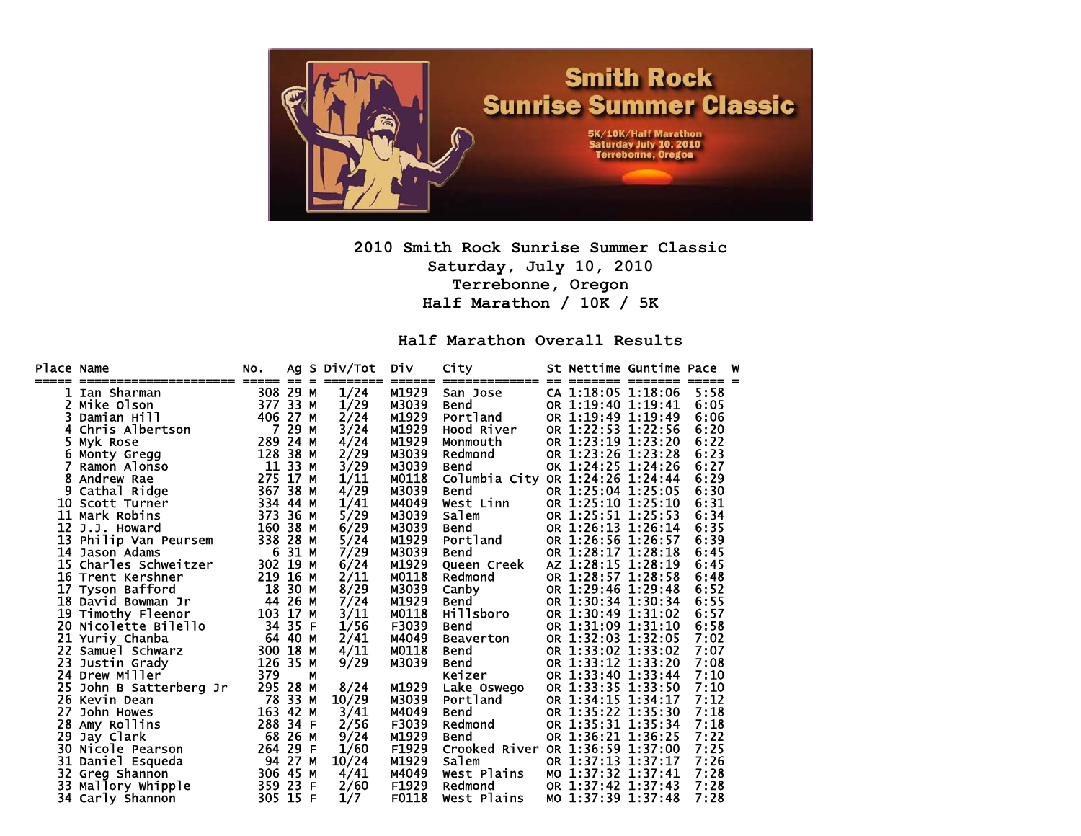

**2010 Smith Rock Sunrise Summer Classic Saturday, July 10, 2010 Terrebonne, Oregon Half Marathon / 10K / 5K** 

**Half Marathon Overall Results** 

| Place Name<br>===== | ---------------------- | NO.<br>$=====$ | $==$<br>$=$ | Ag S Div/Tot | Div<br>====== | City<br>============== | $=$ | =======            | St Nettime Guntime Pace<br>-------- | ===== = | W |
|---------------------|------------------------|----------------|-------------|--------------|---------------|------------------------|-----|--------------------|-------------------------------------|---------|---|
| 1                   | Ian Sharman            | 308            | 29<br>м     | 1/24         | M1929         | San Jose               |     | CA 1:18:05 1:18:06 |                                     | 5:58    |   |
| 2                   | Mike Olson             |                | 377 33 M    | 1/29         | M3039         | <b>Bend</b>            |     | OR 1:19:40 1:19:41 |                                     | 6:05    |   |
| 3                   | Damian Hill            |                | 406 27 M    | 2/24         | M1929         | Portland               |     | OR 1:19:49 1:19:49 |                                     | 6:06    |   |
| 4                   | Chris Albertson        | $\overline{7}$ | 29<br>M     | 3/24         | M1929         | Hood River             |     | OR 1:22:53 1:22:56 |                                     | 6:20    |   |
| 5                   | Myk Rose               | 289            | 24 M        | 4/24         | M1929         | Monmouth               |     |                    | OR 1:23:19 1:23:20                  | 6:22    |   |
| 6                   | Monty Gregg            | 128            | 38<br>м     | 2/29         | M3039         | Redmond                |     | OR 1:23:26 1:23:28 |                                     | 6:23    |   |
|                     | Ramon Alonso           | 11 33          | M           | 3/29         | M3039         | <b>Bend</b>            |     | OK 1:24:25 1:24:26 |                                     | 6:27    |   |
|                     | Andrew Rae             |                | 275 17 M    | 1/11         | M0118         | Columbia City          |     |                    | OR 1:24:26 1:24:44                  | 6:29    |   |
| 9                   | Cathal Ridge           | 367            | 38<br>M     | 4/29         | M3039         | <b>Bend</b>            |     | OR 1:25:04 1:25:05 |                                     | 6:30    |   |
| 10                  | Scott Turner           | 334            | 44<br>M     | 1/41         | M4049         | West Linn              |     | OR 1:25:10 1:25:10 |                                     | 6:31    |   |
| 11                  | Mark Robins            | 373            | 36<br>M     | 5/29         | M3039         | Salem                  |     | OR 1:25:51 1:25:53 |                                     | 6:34    |   |
| 12                  | J.J. Howard            | 160            | 38<br>M     | 6/29         | M3039         | <b>Bend</b>            |     | OR 1:26:13 1:26:14 |                                     | 6:35    |   |
| 13                  | Philip Van Peursem     | 338            | 28<br>М     | 5/24         | M1929         | Portland               |     | OR 1:26:56 1:26:57 |                                     | 6:39    |   |
|                     | 14 Jason Adams         | 6              | 31<br>м     | 7/29         | M3039         | <b>Bend</b>            |     | OR 1:28:17 1:28:18 |                                     | 6:45    |   |
| 15                  | Charles Schweitzer     | 302            | 19<br>M     | 6/24         | M1929         | Queen Creek            |     | AZ 1:28:15 1:28:19 |                                     | 6:45    |   |
|                     | 16 Trent Kershner      | 219            | 16<br>M     | 2/11         | M0118         | Redmond                |     | OR 1:28:57 1:28:58 |                                     | 6:48    |   |
| 17                  | Tyson Bafford          | 18             | 30<br>М     | 8/29         | M3039         | Canby                  |     | OR 1:29:46 1:29:48 |                                     | 6:52    |   |
|                     | 18 David Bowman Jr     | 44             | 26<br>М     | 7/24         | M1929         | <b>Bend</b>            |     | OR 1:30:34 1:30:34 |                                     | 6:55    |   |
| 19                  | Timothy Fleenor        | 103            | 17 M        | 3/11         | M0118         | Hillsboro              |     | OR 1:30:49 1:31:02 |                                     | 6:57    |   |
| 20                  | Nicolette Bilello      | 34             | 35<br>F     | 1/56         | F3039         | <b>Bend</b>            |     | OR 1:31:09 1:31:10 |                                     | 6:58    |   |
| 21                  | Yuriy_Chanba           |                | 64 40<br>M  | 2/41         | M4049         | <b>Beaverton</b>       |     | OR 1:32:03 1:32:05 |                                     | 7:02    |   |
| 22                  | Samuel Schwarz         | 300 18         | М           | 4/11         | M0118         | <b>Bend</b>            |     | OR 1:33:02 1:33:02 |                                     | 7:07    |   |
| 23                  | Justin Grady           | 126            | 35<br>M     | 9/29         | M3039         | <b>Bend</b>            |     | OR 1:33:12 1:33:20 |                                     | 7:08    |   |
|                     | 24 Drew Miller         | 379            | м           |              |               | Keizer                 |     | OR 1:33:40 1:33:44 |                                     | 7:10    |   |
| 25                  | John B Satterberg Jr   | 295 28         | M           | 8/24         | M1929         | Lake Oswego            |     | OR 1:33:35 1:33:50 |                                     | 7:10    |   |
|                     | 26 Kevin Dean          | 78             | 33<br>M     | 10/29        | M3039         | Portland               |     | OR 1:34:15 1:34:17 |                                     | 7:12    |   |
| 27                  | John Howes             | 163            | 42<br>М     | 3/41         | M4049         | <b>Bend</b>            |     | OR 1:35:22 1:35:30 |                                     | 7:18    |   |
| 28                  | Amy Rollins            | 288 34         | F           | 2/56         | F3039         | Redmond                |     | OR 1:35:31 1:35:34 |                                     | 7:18    |   |
| 29                  | Jay Clark              | 68             | 26<br>м     | 9/24         | M1929         | <b>Bend</b>            |     | OR 1:36:21 1:36:25 |                                     | 7:22    |   |
| 30                  | Nicole Pearson         | 264            | -29<br>F    | 1/60         | F1929         | Crooked River          |     | OR 1:36:59 1:37:00 |                                     | 7:25    |   |
| 31                  | Daniel Esqueda         | 94             | 27 M        | 10/24        | M1929         | Salem                  |     | OR 1:37:13 1:37:17 |                                     | 7:26    |   |
| 32                  | Greg Shannon           |                | 306 45 M    | 4/41         | M4049         | West Plains            |     | MO 1:37:32 1:37:41 |                                     | 7:28    |   |
| 33                  | Mallory Whipple        | 359 23         | F           | 2/60         | F1929         | Redmond                |     | OR 1:37:42 1:37:43 |                                     | 7:28    |   |
|                     | 34 Carly Shannon       |                | 305 15 F    | 1/7          | F0118         | West Plains            |     | MO 1:37:39 1:37:48 |                                     | 7:28    |   |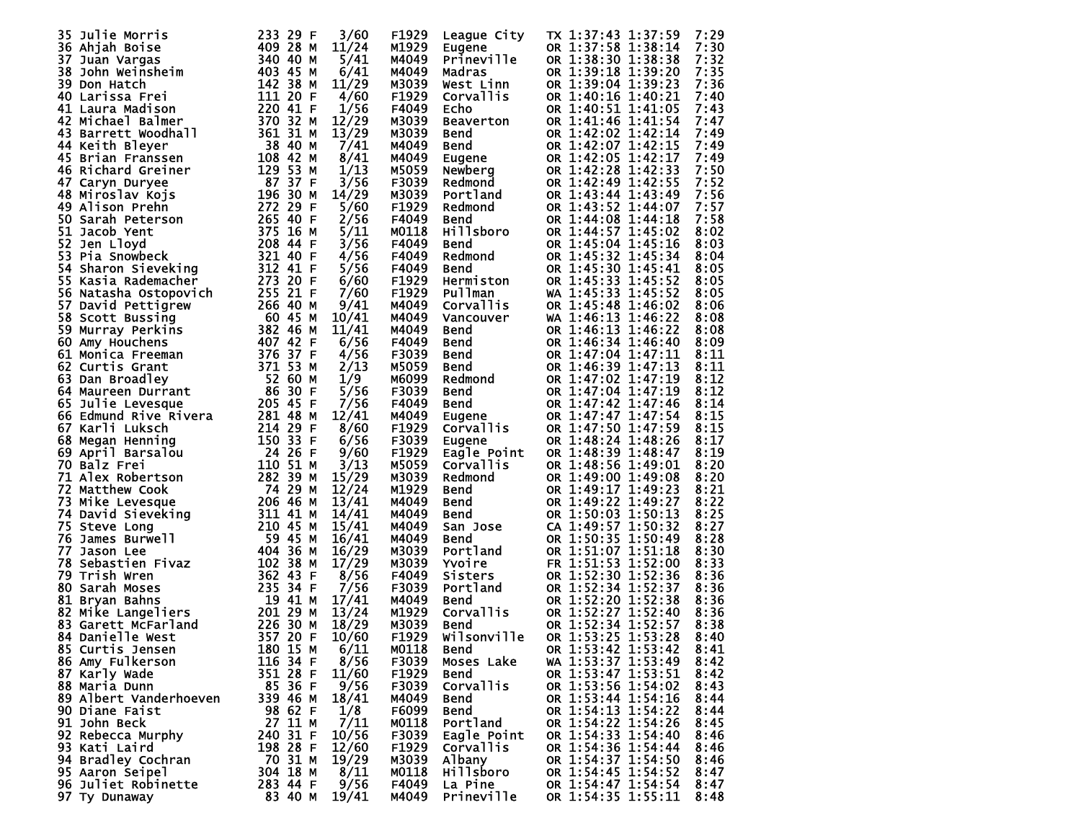| Julie Morris<br>35     |                                                                                                                                                                                                                                                        | 233 29 F             | 3/60  | F1929             | League City         | TX 1:37:43 1:37:59 | 7:29         |
|------------------------|--------------------------------------------------------------------------------------------------------------------------------------------------------------------------------------------------------------------------------------------------------|----------------------|-------|-------------------|---------------------|--------------------|--------------|
| 36 Ahjah Boise         | Ahjah Boise<br>Juan Vargas<br>John Weinsheim<br>Don Hatch<br>Larisa Frei (142 38 M<br>Larisa Hadison<br>111 20 F                                                                                                                                       |                      | 11/24 | M1929             | Eugene              | OR 1:37:58 1:38:14 | 7:30         |
| 37 Juan Vargas         |                                                                                                                                                                                                                                                        |                      | 5/41  | M4049             | Prineville          | OR 1:38:30 1:38:38 | 7:32         |
| 38                     |                                                                                                                                                                                                                                                        |                      | 6/41  | M4049             | Madras              | OR 1:39:18 1:39:20 | 7:35         |
| 39 Don Hatch           |                                                                                                                                                                                                                                                        |                      | 11/29 | M3039             | West Linn           | OR 1:39:04 1:39:23 | 7:36         |
| 40 Larissa Frei        |                                                                                                                                                                                                                                                        |                      | 4/60  | F <sub>1929</sub> | Corvallis           | OR 1:40:16 1:40:21 | 7:40         |
| 41 Laura Madison       |                                                                                                                                                                                                                                                        | 220 41 F             | 1/56  | F4049             | Echo                | OR 1:40:51 1:41:05 | 7:43         |
| 42 Michael Balmer      |                                                                                                                                                                                                                                                        | 370 32 M             | 12/29 |                   |                     | OR 1:41:46 1:41:54 | 7:47         |
|                        |                                                                                                                                                                                                                                                        |                      |       | M3039             | Beaverton           |                    |              |
|                        |                                                                                                                                                                                                                                                        |                      |       | M3039             | <b>Bend</b>         | OR 1:42:02 1:42:14 | 7:49         |
|                        |                                                                                                                                                                                                                                                        |                      |       | M4049             | <b>Bend</b>         | OR 1:42:07 1:42:15 | 7:49         |
|                        |                                                                                                                                                                                                                                                        |                      |       | M4049             | Eugene              | OR 1:42:05 1:42:17 | 7:49         |
|                        |                                                                                                                                                                                                                                                        |                      |       | M5059             | Newberg             | OR 1:42:28 1:42:33 | 7:50         |
|                        |                                                                                                                                                                                                                                                        |                      |       | F3039             | Redmond             | OR 1:42:49 1:42:55 | 7:52         |
|                        |                                                                                                                                                                                                                                                        |                      |       | M3039             | Portland            | OR 1:43:44 1:43:49 | 7:56         |
|                        |                                                                                                                                                                                                                                                        |                      |       | F <sub>1929</sub> | Redmond             | OR 1:43:52 1:44:07 | 7:57         |
|                        |                                                                                                                                                                                                                                                        |                      |       | F4049             | Bend                | OR 1:44:08 1:44:18 | 7:58         |
|                        |                                                                                                                                                                                                                                                        |                      |       | M0118             | Hillsboro           | OR 1:44:57 1:45:02 | 8:02         |
|                        |                                                                                                                                                                                                                                                        |                      |       | F4049             | <b>Bend</b>         | OR 1:45:04 1:45:16 | 8:03         |
|                        |                                                                                                                                                                                                                                                        |                      |       | F4049             | Redmond             | OR 1:45:32 1:45:34 | 8:04         |
|                        |                                                                                                                                                                                                                                                        |                      |       | F4049             | Bend                | OR 1:45:30 1:45:41 | 8:05         |
|                        |                                                                                                                                                                                                                                                        |                      |       | F <sub>1929</sub> | Hermiston           | OR 1:45:33 1:45:52 | 8:05         |
|                        |                                                                                                                                                                                                                                                        |                      |       | F <sub>1929</sub> | <b>Pullman</b>      | WA 1:45:33 1:45:52 | 8:05         |
|                        |                                                                                                                                                                                                                                                        |                      |       | M4049             | Corvallis           | OR 1:45:48 1:46:02 | 8:06         |
|                        |                                                                                                                                                                                                                                                        |                      |       | M4049             | Vancouver           | WA 1:46:13 1:46:22 | 8:08         |
|                        |                                                                                                                                                                                                                                                        |                      |       | M4049             | <b>Bend</b>         | OR 1:46:13 1:46:22 | 8:08         |
|                        |                                                                                                                                                                                                                                                        |                      |       | F4049             | <b>Bend</b>         | OR 1:46:34 1:46:40 | 8:09         |
|                        |                                                                                                                                                                                                                                                        |                      |       | F3039             | <b>Bend</b>         | OR 1:47:04 1:47:11 | 8:11         |
|                        |                                                                                                                                                                                                                                                        |                      |       | M5059             | <b>Bend</b>         | OR 1:46:39 1:47:13 | 8:11         |
|                        | 62 Curtis Grant<br>63 Dan Broadley<br>64 Maureen Durrant<br>65 Julie Levesque<br>66 Edmund Rive Rivera<br>66 Edmund Rive Rivera<br>67 Karli Luksch<br>68 Megan Henning<br>69 April Barsalou<br>69 April Barsalou<br>70 Balz Frei<br>70 Balz Frei<br>11 |                      |       | M6099             | Redmond             | OR 1:47:02 1:47:19 | 8:12         |
|                        |                                                                                                                                                                                                                                                        |                      | 5/56  | F3039             | <b>Bend</b>         | OR 1:47:04 1:47:19 | 8:12         |
|                        |                                                                                                                                                                                                                                                        |                      | 7/56  | F4049             | <b>Bend</b>         | OR 1:47:42 1:47:46 | 8:14         |
|                        |                                                                                                                                                                                                                                                        |                      | 12/41 | M4049             |                     | OR 1:47:47 1:47:54 | 8:15         |
|                        |                                                                                                                                                                                                                                                        |                      |       |                   | Eugene              |                    |              |
|                        |                                                                                                                                                                                                                                                        |                      | 8/60  | F1929             | <b>Corvallis</b>    | OR 1:47:50 1:47:59 | 8:15         |
|                        |                                                                                                                                                                                                                                                        |                      | 6/56  | F3039             | Eugene              | OR 1:48:24 1:48:26 | 8:17         |
|                        |                                                                                                                                                                                                                                                        |                      | 9/60  | F1929             | Eagle Point         | OR 1:48:39 1:48:47 | 8:19         |
|                        |                                                                                                                                                                                                                                                        |                      | 3/13  | M5059             | Corvallis           | OR 1:48:56 1:49:01 | 8:20         |
| 71 Alex Robertson      | 71 Alex Robertson<br>72 Matthew Cook<br>73 Mike Levesque<br>74 David Sieveking<br>74 David Sieveking<br>75 Steve Long<br>76 James Burwell<br>76 James Burwell<br>76 James Burwell<br>76 James Burwell<br>76 James Burwell<br>76 James Burwell<br>76 Ja | 282 39 M             | 15/29 | M3039             | Redmond             | OR 1:49:00 1:49:08 | 8:20         |
|                        |                                                                                                                                                                                                                                                        |                      | 12/24 | M1929             | <b>Bend</b>         | OR 1:49:17 1:49:23 | 8:21         |
|                        |                                                                                                                                                                                                                                                        |                      | 13/41 | M4049             | <b>Bend</b>         | OR 1:49:22 1:49:27 | 8:22         |
|                        |                                                                                                                                                                                                                                                        |                      | 14/41 | M4049             | <b>Bend</b>         | OR 1:50:03 1:50:13 | 8:25         |
|                        |                                                                                                                                                                                                                                                        |                      | 15/41 | M4049             | San Jose            | CA 1:49:57 1:50:32 | 8:27         |
|                        |                                                                                                                                                                                                                                                        |                      | 16/41 | M4049             | <b>Bend</b>         | OR 1:50:35 1:50:49 | 8:28         |
| 77.                    |                                                                                                                                                                                                                                                        |                      | 16/29 | M3039             | Portland            | OR 1:51:07 1:51:18 | 8:30         |
| 78                     | 3<br>alson Lee<br>Sebastien Fivaz<br>Sebastien Fivaz<br>Trish Wren<br>Sarah Moses<br>235 34 F<br>Bryan Bahns<br>235 34 F<br>Bryan Bahns<br>235 34 F<br>Mike Langeliers<br>201 29 M<br>Garett McFarland<br>226 30 M<br>Danielle West<br>357 20 F        |                      | 17/29 | M3039             | <b>Yvoire</b>       | FR 1:51:53 1:52:00 | 8:33         |
| 79 Trish Wren          |                                                                                                                                                                                                                                                        |                      | 8/56  | F4049             | Sisters             | OR 1:52:30 1:52:36 | 8:36         |
| 80 Sarah Moses         |                                                                                                                                                                                                                                                        |                      | 7/56  | F3039             | Sisters<br>Portland | OR 1:52:34 1:52:37 | 8:36         |
| 81                     |                                                                                                                                                                                                                                                        |                      | 17/41 | M4049             | Bend                | OR 1:52:20 1:52:38 | 8:36         |
| 82                     |                                                                                                                                                                                                                                                        |                      | 13/24 | M1929             | Corvallis           | OR 1:52:27 1:52:40 | 8:36         |
| 83 Garett McFarland    |                                                                                                                                                                                                                                                        |                      | 18/29 | M3039             | <b>Bend</b>         | OR 1:52:34 1:52:57 | 8:38         |
| 84 Danielle West       | 35720 F                                                                                                                                                                                                                                                |                      | 10/60 | F1929             | Wilsonville         | OR 1:53:25 1:53:28 | 8:40         |
| 85 Curtis Jensen       |                                                                                                                                                                                                                                                        | 180 15 M             | 6/11  | M0118             | Bend                | OR 1:53:42 1:53:42 | 8:41         |
| 86 Amy Fulkerson       |                                                                                                                                                                                                                                                        | 116 34 F             | 8/56  | F3039             | Moses Lake          | WA 1:53:37 1:53:49 | 8:42         |
| 87 Karly Wade          |                                                                                                                                                                                                                                                        | 351 28 F             | 11/60 | F1929             | Bend                | OR 1:53:47 1:53:51 | 8:42         |
| 88 Maria Dunn          |                                                                                                                                                                                                                                                        | 85 36 F              | 9/56  | F3039             | Corvallis           | OR 1:53:56 1:54:02 | 8:43         |
| 89 Albert Vanderhoeven |                                                                                                                                                                                                                                                        | 339 46 M             | 18/41 | M4049             | Bend                | OR 1:53:44 1:54:16 | 8:44         |
| 90 Diane Faist         |                                                                                                                                                                                                                                                        | 98 62 F              | 1/8   | F6099             | Bend                | OR 1:54:13 1:54:22 | 8:44         |
| 91 John Beck           |                                                                                                                                                                                                                                                        | 27 11 M              | 7/11  | M0118             | Portland            | OR 1:54:22 1:54:26 | 8:45         |
| 92 Rebecca Murphy      |                                                                                                                                                                                                                                                        | 240 31 F             | 10/56 | F3039             | Eagle Point         | OR 1:54:33 1:54:40 | 8:46         |
| 93 Kati Laird          |                                                                                                                                                                                                                                                        | 198 28 F             | 12/60 | F1929             | Corvallis           | OR 1:54:36 1:54:44 | 8:46         |
| 94 Bradley Cochran     |                                                                                                                                                                                                                                                        |                      |       |                   |                     | OR 1:54:37 1:54:50 |              |
| 95 Aaron Seipel        |                                                                                                                                                                                                                                                        | 70 31 M              | 19/29 | M3039             | Albany              | OR 1:54:45 1:54:52 | 8:46<br>8:47 |
|                        |                                                                                                                                                                                                                                                        | 304 18 M<br>283 44 F | 8/11  | M0118<br>F4049    | <b>Hillsboro</b>    | OR 1:54:47 1:54:54 |              |
| 96 Juliet Robinette    |                                                                                                                                                                                                                                                        |                      | 9/56  |                   | La Pine             |                    | 8:47         |
| 97 Ty Dunaway          |                                                                                                                                                                                                                                                        | 83 40 M              | 19/41 | M4049             | Prineville          | OR 1:54:35 1:55:11 | 8:48         |
|                        |                                                                                                                                                                                                                                                        |                      |       |                   |                     |                    |              |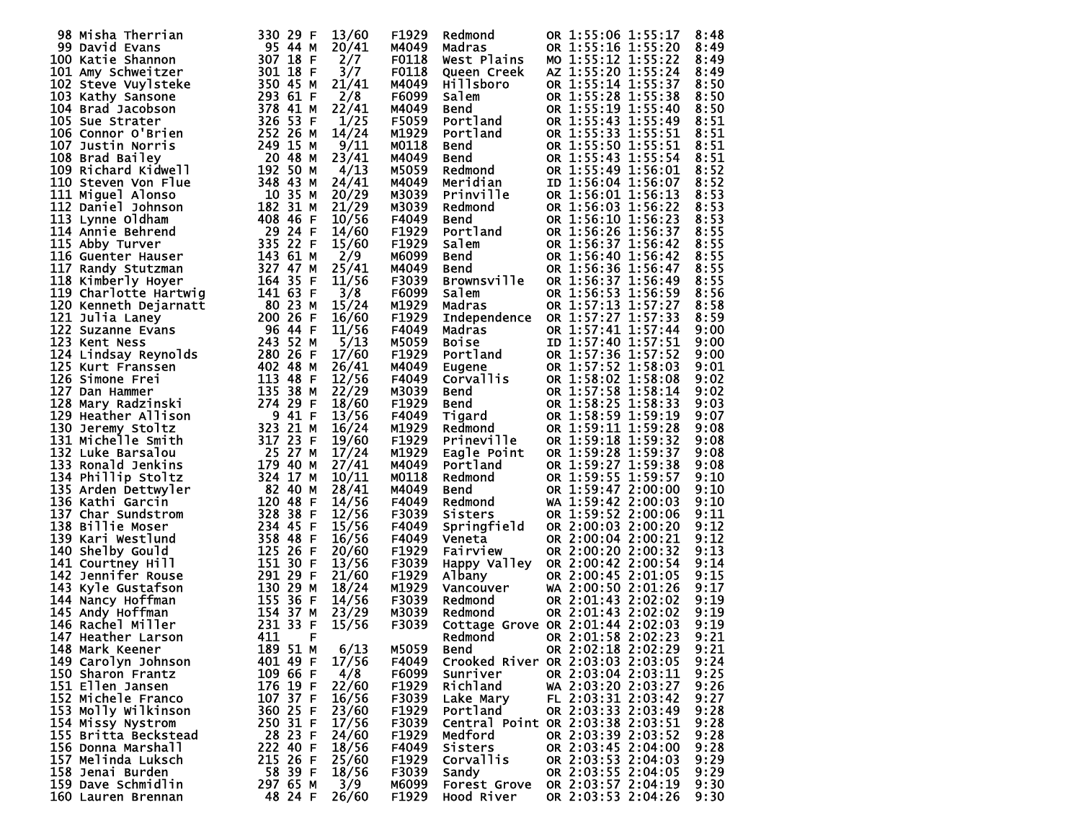| 98 Misha Therrian                                                                                                                                                                                                                                         | 330 29 F | 13/60 | F1929             | Redmond                                                                     | OR 1:55:06 1:55:17<br>8:48               |  |
|-----------------------------------------------------------------------------------------------------------------------------------------------------------------------------------------------------------------------------------------------------------|----------|-------|-------------------|-----------------------------------------------------------------------------|------------------------------------------|--|
|                                                                                                                                                                                                                                                           |          |       |                   |                                                                             |                                          |  |
|                                                                                                                                                                                                                                                           |          | 20/41 | M4049             | Madras                                                                      | OR 1:55:16 1:55:20<br>8:49               |  |
|                                                                                                                                                                                                                                                           |          | 2/7   | F0118             | West Plains                                                                 | MO 1:55:12 1:55:22<br>8:49               |  |
|                                                                                                                                                                                                                                                           |          |       |                   |                                                                             |                                          |  |
|                                                                                                                                                                                                                                                           |          | 3/7   | F0118             | <b>Oueen Creek</b>                                                          | AZ 1:55:20 1:55:24<br>8:49               |  |
|                                                                                                                                                                                                                                                           |          | 21/41 | M4049             | Hillsboro                                                                   | OR 1:55:14 1:55:37<br>8:50               |  |
|                                                                                                                                                                                                                                                           |          |       |                   |                                                                             |                                          |  |
|                                                                                                                                                                                                                                                           |          | 2/8   | F6099             | Salem                                                                       | OR 1:55:28 1:55:38<br>8:50               |  |
|                                                                                                                                                                                                                                                           |          | 22/41 | M4049             | <b>Bend<br/>Portland<br/>Portland</b>                                       | OR 1:55:19 1:55:40<br>8:50               |  |
|                                                                                                                                                                                                                                                           |          |       |                   |                                                                             |                                          |  |
|                                                                                                                                                                                                                                                           |          | 1/25  | F5059             |                                                                             | OR 1:55:43 1:55:49<br>8:51               |  |
|                                                                                                                                                                                                                                                           |          | 14/24 | M1929             |                                                                             | OR 1:55:33 1:55:51<br>8:51               |  |
|                                                                                                                                                                                                                                                           |          |       |                   |                                                                             |                                          |  |
|                                                                                                                                                                                                                                                           |          | 9/11  | M0118             | Bend                                                                        | OR 1:55:50 1:55:51<br>8:51               |  |
|                                                                                                                                                                                                                                                           |          | 23/41 | M4049             |                                                                             | OR 1:55:43 1:55:54<br>8:51               |  |
|                                                                                                                                                                                                                                                           |          |       |                   |                                                                             |                                          |  |
|                                                                                                                                                                                                                                                           |          | 4/13  | M5059             |                                                                             | OR 1:55:49 1:56:01<br>8:52               |  |
|                                                                                                                                                                                                                                                           |          | 24/41 | M4049             | Bend<br>Redmond<br>Meridian                                                 | ID 1:56:04 1:56:07<br>8:52               |  |
|                                                                                                                                                                                                                                                           |          |       |                   |                                                                             |                                          |  |
|                                                                                                                                                                                                                                                           |          | 20/29 | M3039             | Prinville                                                                   | OR 1:56:01 1:56:13<br>8:53               |  |
|                                                                                                                                                                                                                                                           |          | 21/29 | M3039             | Redmond                                                                     | OR 1:56:03 1:56:22<br>8:53               |  |
|                                                                                                                                                                                                                                                           |          |       |                   |                                                                             |                                          |  |
|                                                                                                                                                                                                                                                           |          | 10/56 | F4049             |                                                                             | OR 1:56:10 1:56:23<br>8:53               |  |
|                                                                                                                                                                                                                                                           |          | 14/60 | F <sub>1929</sub> | <b>Bend<br/>Portland<br/>Salem<br/>Bend<br/>Bend</b>                        | OR 1:56:26 1:56:37<br>8:55               |  |
|                                                                                                                                                                                                                                                           |          |       |                   |                                                                             |                                          |  |
|                                                                                                                                                                                                                                                           |          | 15/60 | F1929             |                                                                             | OR 1:56:37 1:56:42<br>8:55               |  |
|                                                                                                                                                                                                                                                           |          | 2/9   | M6099             |                                                                             | OR 1:56:40 1:56:42<br>8:55               |  |
|                                                                                                                                                                                                                                                           |          |       |                   |                                                                             |                                          |  |
|                                                                                                                                                                                                                                                           |          | 25/41 | M4049             | Bend                                                                        | OR 1:56:36 1:56:47<br>8:55               |  |
|                                                                                                                                                                                                                                                           |          | 11/56 | F3039             | <b>Brownsville</b>                                                          | 8:55<br>OR 1:56:37 1:56:49               |  |
|                                                                                                                                                                                                                                                           |          |       |                   |                                                                             |                                          |  |
|                                                                                                                                                                                                                                                           |          | 3/8   | F6099             | Salem                                                                       | OR 1:56:53 1:56:59<br>8:56               |  |
|                                                                                                                                                                                                                                                           |          | 15/24 | M1929             | Madras                                                                      | OR 1:57:13 1:57:27<br>8:58               |  |
|                                                                                                                                                                                                                                                           |          |       |                   |                                                                             |                                          |  |
|                                                                                                                                                                                                                                                           |          | 16/60 | F1929             | Independence                                                                | OR 1:57:27 1:57:33<br>8:59               |  |
|                                                                                                                                                                                                                                                           |          | 11/56 | F4049             | Madras                                                                      | OR 1:57:41 1:57:44<br>9:00               |  |
|                                                                                                                                                                                                                                                           |          |       |                   |                                                                             |                                          |  |
|                                                                                                                                                                                                                                                           |          | 5/13  | M5059             |                                                                             | ID 1:57:40 1:57:51<br>9:00               |  |
|                                                                                                                                                                                                                                                           |          | 17/60 | F <sub>1929</sub> |                                                                             | OR 1:57:36 1:57:52<br>9:00               |  |
|                                                                                                                                                                                                                                                           |          |       |                   |                                                                             |                                          |  |
|                                                                                                                                                                                                                                                           |          | 26/41 | M4049             | <b>Madras<br/>Boise<br/>Portland<br/>Eugene<br/>Corvallis<br/>Corvallis</b> | OR 1:57:52 1:58:03<br>9:01               |  |
|                                                                                                                                                                                                                                                           |          | 12/56 | F4049             |                                                                             | OR 1:58:02 1:58:08<br>9:02               |  |
|                                                                                                                                                                                                                                                           |          |       |                   |                                                                             |                                          |  |
|                                                                                                                                                                                                                                                           |          | 22/29 | M3039             | Bend                                                                        | OR 1:57:58 1:58:14<br>9:02               |  |
|                                                                                                                                                                                                                                                           |          | 18/60 | F1929             |                                                                             | OR 1:58:25 1:58:33<br>9:03               |  |
|                                                                                                                                                                                                                                                           |          |       |                   |                                                                             |                                          |  |
|                                                                                                                                                                                                                                                           |          | 13/56 | F4049             | Bend<br>Tigard<br>Redmond__                                                 | OR 1:58:59 1:59:19<br>9:07               |  |
|                                                                                                                                                                                                                                                           |          | 16/24 | M1929             |                                                                             | OR 1:59:11 1:59:28<br>9:08               |  |
|                                                                                                                                                                                                                                                           |          |       |                   |                                                                             |                                          |  |
|                                                                                                                                                                                                                                                           |          | 19/60 | F1929             | <b>Prineville</b>                                                           | OR 1:59:18 1:59:32<br>9:08               |  |
|                                                                                                                                                                                                                                                           |          | 17/24 | M1929             | Eagle Point                                                                 | OR 1:59:28 1:59:37<br>9:08               |  |
|                                                                                                                                                                                                                                                           |          |       |                   |                                                                             |                                          |  |
|                                                                                                                                                                                                                                                           |          | 27/41 | M4049             | Portland                                                                    | OR 1:59:27 1:59:38<br>9:08               |  |
|                                                                                                                                                                                                                                                           |          | 10/11 | M0118             |                                                                             | OR 1:59:55 1:59:57<br>9:10               |  |
|                                                                                                                                                                                                                                                           |          |       |                   | Redmond<br>Bend<br>Redmond<br>Sisters                                       |                                          |  |
|                                                                                                                                                                                                                                                           |          | 28/41 | M4049             |                                                                             | OR 1:59:47 2:00:00<br>9:10               |  |
|                                                                                                                                                                                                                                                           |          | 14/56 | F4049             |                                                                             | WA 1:59:42 2:00:03<br>9:10               |  |
|                                                                                                                                                                                                                                                           |          |       |                   |                                                                             |                                          |  |
|                                                                                                                                                                                                                                                           |          | 12/56 | F3039             | Sisters                                                                     | OR 1:59:52 2:00:06<br>9:11               |  |
|                                                                                                                                                                                                                                                           |          | 15/56 | F4049             | Springfield                                                                 | OR 2:00:03 2:00:20<br>9:12               |  |
|                                                                                                                                                                                                                                                           |          | 16/56 | F4049             |                                                                             | 9:12<br>OR 2:00:04 2:00:21               |  |
|                                                                                                                                                                                                                                                           |          |       |                   | Veneta                                                                      |                                          |  |
|                                                                                                                                                                                                                                                           |          | 20/60 | F1929             | Fairview                                                                    | OR 2:00:20 2:00:32<br>9:13               |  |
|                                                                                                                                                                                                                                                           |          | 13/56 | F3039             | Happy Valley                                                                | OR 2:00:42 2:00:54<br>9:14               |  |
|                                                                                                                                                                                                                                                           |          |       |                   |                                                                             |                                          |  |
|                                                                                                                                                                                                                                                           |          | 21/60 | F1929             | Albany                                                                      | OR 2:00:45 2:01:05<br>9:15               |  |
|                                                                                                                                                                                                                                                           |          | 18/24 | M1929             | Albany<br>Vancouver                                                         | WA 2:00:50 2:01:26<br>9:17               |  |
|                                                                                                                                                                                                                                                           |          |       |                   |                                                                             |                                          |  |
|                                                                                                                                                                                                                                                           |          | 14/56 | F3039             | Redmond                                                                     | OR 2:01:43 2:02:02<br>9:19               |  |
|                                                                                                                                                                                                                                                           |          | 23/29 | M3039             | Redmond                                                                     | OR 2:01:43 2:02:02<br>9:19               |  |
|                                                                                                                                                                                                                                                           |          |       |                   |                                                                             |                                          |  |
|                                                                                                                                                                                                                                                           |          | 15/56 | F3039             |                                                                             | Cottage Grove OR 2:01:44 2:02:03<br>9:19 |  |
| 147 Heather Larson 411                                                                                                                                                                                                                                    | - F      |       |                   |                                                                             | Redmond OR 2:01:58 2:02:23<br>9:21       |  |
|                                                                                                                                                                                                                                                           |          |       |                   |                                                                             |                                          |  |
| 98 Misha Therrian 330 29 F M<br>100 Axtie Eshannon 957 44<br>100 Katie Shannon 957 48 F M E 101 Amy Schweitzer 1001 Astrophysics<br>102 Steve Wylsteke 350 45 F M E 102 Steve Wylsteke 104 Brad Jacobson 293 641 F M 4 Brad Jacobson 2<br>148 Mark Keener | 189 51 M | 6/13  | M5059             | Bend                                                                        | OR 2:02:18 2:02:29<br>9:21               |  |
| 149 Carolyn Johnson                                                                                                                                                                                                                                       | 401 49 F | 17/56 | F4049             |                                                                             | Crooked River OR 2:03:03 2:03:05<br>9:24 |  |
|                                                                                                                                                                                                                                                           |          |       |                   |                                                                             | 9:25                                     |  |
| 150 Sharon Frantz                                                                                                                                                                                                                                         | 109 66 F | 4/8   | F6099             | Sunriver                                                                    | OR 2:03:04 2:03:11                       |  |
| 151 Ellen Jansen                                                                                                                                                                                                                                          | 176 19 F | 22/60 | F1929             | Richland                                                                    | WA 2:03:20 2:03:27<br>9:26               |  |
| 152 Michele Franco                                                                                                                                                                                                                                        |          |       |                   |                                                                             | 9:27                                     |  |
|                                                                                                                                                                                                                                                           | 107 37 F | 16/56 | F3039             | Lake Mary                                                                   | FL 2:03:31 2:03:42                       |  |
| 153 Molly Wilkinson                                                                                                                                                                                                                                       | 360 25 F | 23/60 | F1929             | Portland                                                                    | OR 2:03:33 2:03:49<br>9:28               |  |
|                                                                                                                                                                                                                                                           |          |       |                   |                                                                             | 9:28                                     |  |
| 154 Missy Nystrom                                                                                                                                                                                                                                         | 250 31 F | 17/56 | F3039             |                                                                             | Central Point OR 2:03:38 2:03:51         |  |
| 155 Britta Beckstead                                                                                                                                                                                                                                      | 28 23 F  | 24/60 | F1929             | Medford                                                                     | 9:28<br>OR 2:03:39 2:03:52               |  |
| 156 Donna Marshall                                                                                                                                                                                                                                        | 222 40 F |       | F4049             |                                                                             | OR 2:03:45 2:04:00<br>9:28               |  |
|                                                                                                                                                                                                                                                           |          | 18/56 |                   | Sisters                                                                     |                                          |  |
| 157 Melinda Luksch                                                                                                                                                                                                                                        | 215 26 F | 25/60 | F1929             | Corvallis                                                                   | OR 2:03:53 2:04:03<br>9:29               |  |
| 158 Jenai Burden                                                                                                                                                                                                                                          | 58 39 F  | 18/56 | F3039             | Sandv                                                                       | OR 2:03:55 2:04:05<br>9:29               |  |
|                                                                                                                                                                                                                                                           |          |       |                   |                                                                             |                                          |  |
| 159 Dave Schmidlin                                                                                                                                                                                                                                        | 297 65 M | 3/9   | м6099             | <b>Forest Grove</b>                                                         | OR 2:03:57 2:04:19<br>9:30               |  |
| 160 Lauren Brennan                                                                                                                                                                                                                                        | 48 24 F  | 26/60 | F1929             | Hood River                                                                  | OR 2:03:53 2:04:26<br>9:30               |  |
|                                                                                                                                                                                                                                                           |          |       |                   |                                                                             |                                          |  |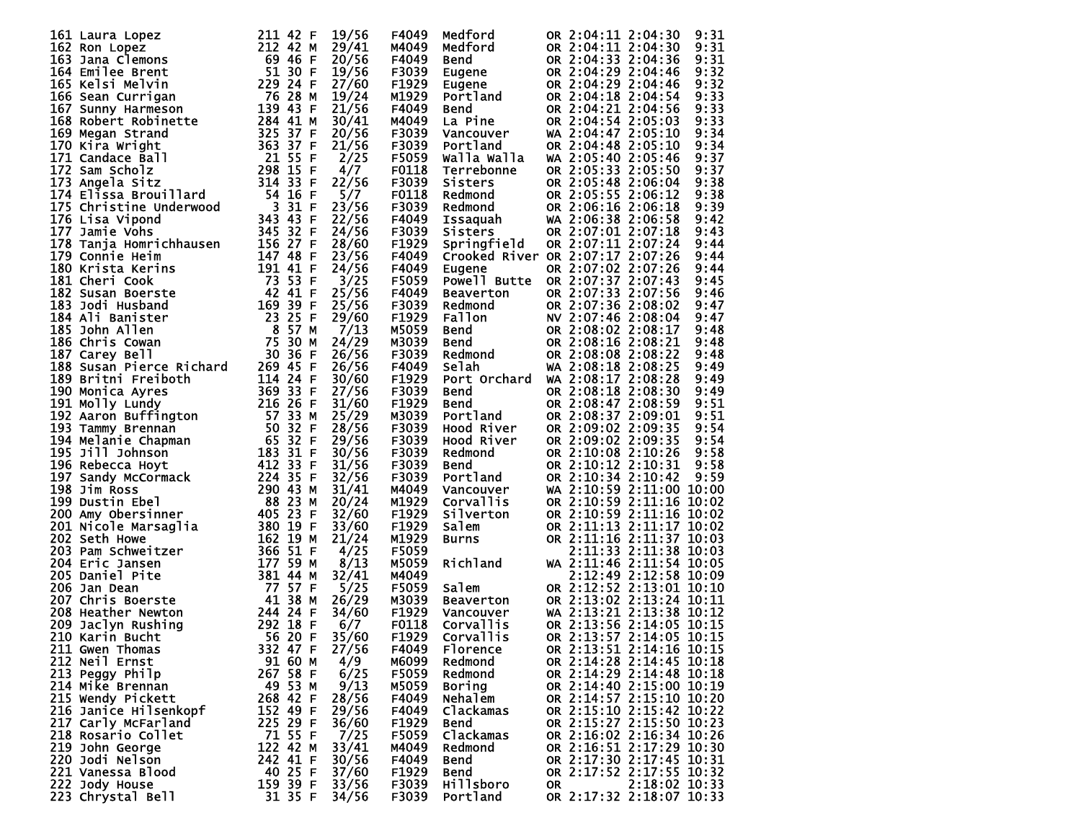|                                                                                                                                                                                                                                                         |          | 19/56 | F4049             | Medford                                                 |     | OR 2:04:11 2:04:30<br>9:31               |
|---------------------------------------------------------------------------------------------------------------------------------------------------------------------------------------------------------------------------------------------------------|----------|-------|-------------------|---------------------------------------------------------|-----|------------------------------------------|
|                                                                                                                                                                                                                                                         |          | 29/41 | M4049             | Medford                                                 |     | 9:31<br>OR 2:04:11 2:04:30               |
|                                                                                                                                                                                                                                                         |          | 20/56 | F4049             | <b>Bend</b>                                             |     | 9:31<br>OR 2:04:33 2:04:36               |
|                                                                                                                                                                                                                                                         |          |       |                   |                                                         |     |                                          |
|                                                                                                                                                                                                                                                         |          | 19/56 | F3039             | Eugene<br>Eugene<br>Portland                            |     | OR 2:04:29 2:04:46<br>9:32               |
|                                                                                                                                                                                                                                                         |          | 27/60 | F1929             |                                                         |     | 9:32<br>OR 2:04:29 2:04:46               |
|                                                                                                                                                                                                                                                         |          | 19/24 | M1929             |                                                         |     | 9:33<br>OR 2:04:18 2:04:54               |
|                                                                                                                                                                                                                                                         |          | 21/56 | F4049             | Bend<br>La Pine                                         |     | 9:33<br>OR 2:04:21 2:04:56               |
|                                                                                                                                                                                                                                                         |          | 30/41 | M4049             |                                                         |     | 9:33<br>OR 2:04:54 2:05:03               |
|                                                                                                                                                                                                                                                         |          | 20/56 | F3039             | Vancouver                                               |     | 9:34<br>WA 2:04:47 2:05:10               |
|                                                                                                                                                                                                                                                         |          | 21/56 | F3039             | Portland                                                |     | OR 2:04:48 2:05:10<br>9:34               |
|                                                                                                                                                                                                                                                         |          | 2/25  | F5059             | Walla Walla                                             |     | WA 2:05:40 2:05:46<br>9:37               |
|                                                                                                                                                                                                                                                         |          | 4/7   | F0118             | Terrebonne                                              |     | OR 2:05:33 2:05:50<br>9:37               |
|                                                                                                                                                                                                                                                         |          | 22/56 | F3039             | Sisters                                                 |     | 9:38<br>OR 2:05:48 2:06:04               |
| 161 Laura Lopez 211 42 F<br>162 Ron Lopez 211 42 F<br>163 Jana Clemons 69 46 F<br>164 Emilee Brent 51 30 F<br>165 Kelsi Melvin 229 24 F<br>165 Kelsi Melvin 229 24 F<br>165 Senn Currigan 76 28 A<br>167 Sunny Harmeson 139 43 F<br>168 Robert          |          |       |                   |                                                         |     |                                          |
|                                                                                                                                                                                                                                                         |          | 5/7   | F0118             | <b>Redmond<br/>Redmond<br/>Issaquah<br/>Sisters</b>     |     | OR 2:05:55 2:06:12<br>9:38               |
|                                                                                                                                                                                                                                                         |          | 23/56 | F3039             |                                                         |     | 9:39<br>OR 2:06:16 2:06:18               |
|                                                                                                                                                                                                                                                         |          | 22/56 | F4049             |                                                         |     | WA 2:06:38 2:06:58<br>9:42               |
|                                                                                                                                                                                                                                                         |          | 24/56 | F3039             | Sisters                                                 |     | OR 2:07:01 2:07:18<br>9:43               |
|                                                                                                                                                                                                                                                         |          | 28/60 | F1929             | Springfield                                             |     | OR 2:07:11 2:07:24<br>9:44               |
|                                                                                                                                                                                                                                                         |          | 23/56 | F4049             |                                                         |     | Crooked River OR 2:07:17 2:07:26<br>9:44 |
|                                                                                                                                                                                                                                                         |          | 24/56 | F4049             | Eugene                                                  |     | OR 2:07:02 2:07:26<br>9:44               |
|                                                                                                                                                                                                                                                         |          | 3/25  | F5059             |                                                         |     | Powell Butte OR 2:07:37 2:07:43<br>9:45  |
|                                                                                                                                                                                                                                                         |          | 25/56 | F4049             | Beaverton                                               |     | OR 2:07:33 2:07:56<br>9:46               |
|                                                                                                                                                                                                                                                         |          | 25/56 | F3039             |                                                         |     | OR 2:07:36 2:08:02<br>9:47               |
|                                                                                                                                                                                                                                                         |          |       |                   |                                                         |     |                                          |
|                                                                                                                                                                                                                                                         |          | 29/60 | F <sub>1929</sub> | <b>Redmond<br/>Fallon<br/>Bend<br/>Bend<br/>Redmond</b> |     | NV 2:07:46 2:08:04<br>9:47               |
|                                                                                                                                                                                                                                                         |          | 7/13  | M5059             |                                                         |     | OR 2:08:02 2:08:17<br>9:48               |
|                                                                                                                                                                                                                                                         |          | 24/29 | M3039             |                                                         |     | OR 2:08:16 2:08:21<br>9:48               |
|                                                                                                                                                                                                                                                         |          | 26/56 | F3039             |                                                         |     | OR 2:08:08 2:08:22<br>9:48               |
|                                                                                                                                                                                                                                                         |          | 26/56 | F4049             | Selah                                                   |     | WA 2:08:18 2:08:25<br>9:49               |
|                                                                                                                                                                                                                                                         |          | 30/60 | F1929             | Port Orchard                                            |     | WA 2:08:17 2:08:28<br>9:49               |
|                                                                                                                                                                                                                                                         |          | 27/56 | F3039             | Bend                                                    |     | OR 2:08:18 2:08:30<br>9:49               |
|                                                                                                                                                                                                                                                         |          | 31/60 | F <sub>1929</sub> | <b>Bend</b>                                             |     | 9:51<br>OR 2:08:47 2:08:59               |
|                                                                                                                                                                                                                                                         |          | 25/29 | M3039             | Portland                                                |     | OR 2:08:37 2:09:01<br>9:51               |
|                                                                                                                                                                                                                                                         |          | 28/56 | F3039             | Hood River                                              |     | 9:54<br>OR 2:09:02 2:09:35               |
|                                                                                                                                                                                                                                                         |          | 29/56 |                   |                                                         |     | OR 2:09:02 2:09:35<br>9:54               |
|                                                                                                                                                                                                                                                         |          |       | F3039             | Hood River                                              |     |                                          |
|                                                                                                                                                                                                                                                         |          | 30/56 | F3039             | Redmond                                                 |     | 9:58<br>OR 2:10:08 2:10:26               |
|                                                                                                                                                                                                                                                         |          | 31/56 | F3039             | <b>Bend</b>                                             |     | OR 2:10:12 2:10:31<br>9:58               |
|                                                                                                                                                                                                                                                         |          | 32/56 | F3039             | Portland                                                |     | OR 2:10:34 2:10:42<br>9:59               |
| 176 Lisa Vipond<br>177 Jamie Vohs 344 43 F<br>177 Jamie Heim<br>177 Jamie Heim<br>178 Tanja Homrichhausen<br>186 Krista Kerins<br>191 44 48 F<br>181 Cheri Cook<br>182 Susan Boerste<br>182 Susan Boerste<br>182 Susan Boerste<br>182 Susan Boerste<br> |          | 31/41 | M4049             | Vancouver                                               |     | WA 2:10:59 2:11:00 10:00                 |
|                                                                                                                                                                                                                                                         |          | 20/24 | M1929             | Corvallis                                               |     | OR 2:10:59 2:11:16 10:02                 |
|                                                                                                                                                                                                                                                         |          | 32/60 | F1929             | Silverton                                               |     | OR 2:10:59 2:11:16 10:02                 |
|                                                                                                                                                                                                                                                         |          | 33/60 | F1929             | Salem                                                   |     | OR 2:11:13 2:11:17 10:02                 |
|                                                                                                                                                                                                                                                         |          | 21/24 | M1929             | <b>Burns</b>                                            |     | OR 2:11:16 2:11:37 10:03                 |
|                                                                                                                                                                                                                                                         |          | 4/25  | F5059             |                                                         |     | 2:11:33 2:11:38 10:03                    |
|                                                                                                                                                                                                                                                         |          | 8/13  | M5059             | Richland                                                |     | WA 2:11:46 2:11:54 10:05                 |
|                                                                                                                                                                                                                                                         |          | 32/41 | M4049             |                                                         |     | 2:12:49 2:12:58 10:09                    |
|                                                                                                                                                                                                                                                         |          | 5/25  | F5059             | Salem                                                   |     | OR 2:12:52 2:13:01 10:10                 |
|                                                                                                                                                                                                                                                         |          |       |                   |                                                         |     |                                          |
|                                                                                                                                                                                                                                                         |          | 26/29 | M3039             | Beaverton                                               |     | OR 2:13:02 2:13:24 10:11                 |
|                                                                                                                                                                                                                                                         |          | 34/60 | F1929             | Vancouver                                               |     | WA 2:13:21 2:13:38 10:12                 |
|                                                                                                                                                                                                                                                         |          | 6/7   | F0118             | Corvallis                                               |     | OR 2:13:56 2:14:05 10:15                 |
| 5620 F                                                                                                                                                                                                                                                  |          | 35/60 | F1929             | <b>Corvallis</b>                                        |     | OR 2:13:57 2:14:05 10:15                 |
| 211 Gwen Thomas                                                                                                                                                                                                                                         | 332 47 F | 27/56 | F4049             | Florence                                                |     | OR 2:13:51 2:14:16 10:15                 |
| 212 Neil Ernst                                                                                                                                                                                                                                          | 91 60 M  | 4/9   | M6099             | Redmond                                                 |     | OR 2:14:28 2:14:45 10:18                 |
| 213 Peggy Philp                                                                                                                                                                                                                                         | 267 58 F | 6/25  | F5059             | Redmond                                                 |     | OR 2:14:29 2:14:48 10:18                 |
| 214 Mike Brennan                                                                                                                                                                                                                                        | 49 53 M  | 9/13  | M5059             | Boring                                                  |     | OR 2:14:40 2:15:00 10:19                 |
| 215 Wendy Pickett                                                                                                                                                                                                                                       | 268 42 F | 28/56 | F4049             | Nehalem                                                 |     | OR 2:14:57 2:15:10 10:20                 |
| 216 Janice Hilsenkopf                                                                                                                                                                                                                                   | 152 49 F | 29/56 | F4049             | Clackamas                                               |     | OR 2:15:10 2:15:42 10:22                 |
|                                                                                                                                                                                                                                                         | 225 29 F | 36/60 | F1929             | <b>Bend</b>                                             |     | OR 2:15:27 2:15:50 10:23                 |
| 217 Carly McFarland                                                                                                                                                                                                                                     |          |       |                   |                                                         |     |                                          |
| 218 Rosario Collet                                                                                                                                                                                                                                      | 71 55 F  | 7/25  | F5059             | Clackamas                                               |     | OR 2:16:02 2:16:34 10:26                 |
| 219 John George                                                                                                                                                                                                                                         | 122 42 M | 33/41 | M4049             | Redmond                                                 |     | OR 2:16:51 2:17:29 10:30                 |
| 220 Jodi Nelson                                                                                                                                                                                                                                         | 242 41 F | 30/56 | F4049             | Bend                                                    |     | OR 2:17:30 2:17:45 10:31                 |
| 221 Vanessa Blood                                                                                                                                                                                                                                       | 40 25 F  | 37/60 | F1929             | <b>Bend</b>                                             |     | OR 2:17:52 2:17:55 10:32                 |
| 222 Jody House                                                                                                                                                                                                                                          | 159 39 F | 33/56 | F3039             | <b>Hillsboro</b>                                        | 0R. | 2:18:02 10:33                            |
| 223 Chrystal Bell                                                                                                                                                                                                                                       | 31 35 F  | 34/56 | F3039             | Portland                                                |     | OR 2:17:32 2:18:07 10:33                 |
|                                                                                                                                                                                                                                                         |          |       |                   |                                                         |     |                                          |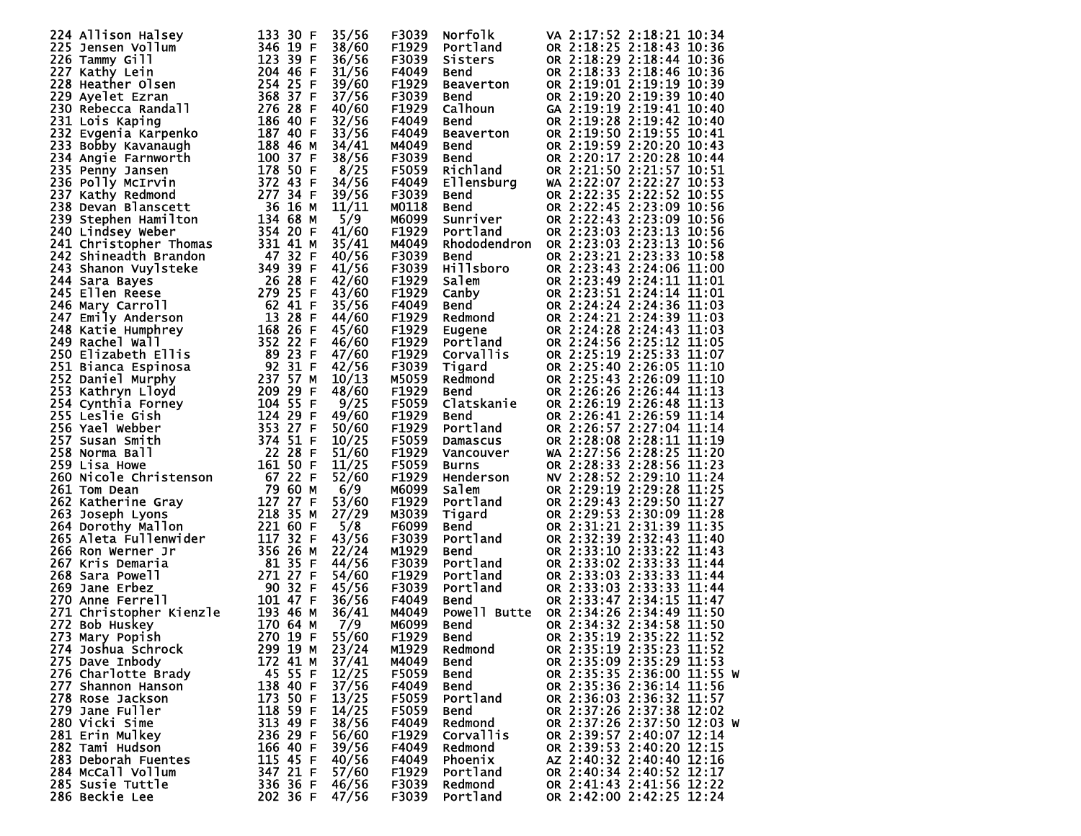|                                                                                                                                                                                                                                                                        |          | 35/56 | F3039             | Norfolk                                                                                                                                                                                                                                                                                                                                  |  | VA 2:17:52 2:18:21 10:34   |  |
|------------------------------------------------------------------------------------------------------------------------------------------------------------------------------------------------------------------------------------------------------------------------|----------|-------|-------------------|------------------------------------------------------------------------------------------------------------------------------------------------------------------------------------------------------------------------------------------------------------------------------------------------------------------------------------------|--|----------------------------|--|
|                                                                                                                                                                                                                                                                        |          | 38/60 | F1929             |                                                                                                                                                                                                                                                                                                                                          |  | OR 2:18:25 2:18:43 10:36   |  |
|                                                                                                                                                                                                                                                                        |          | 36/56 | F3039             |                                                                                                                                                                                                                                                                                                                                          |  | OR 2:18:29 2:18:44 10:36   |  |
|                                                                                                                                                                                                                                                                        |          |       |                   | <b>Norfolk</b><br>Portland<br>Sisters<br>Bend<br>Beaverton<br>Calhoun<br>Calhoun<br>Bend<br>Bend<br>Richland<br>Bend<br>Bend<br>Sunriver<br>Portland<br>Portland<br>Sunriver<br>Portland<br>Portland<br>Sunriver<br>Portland<br>Portland                                                                                                 |  |                            |  |
|                                                                                                                                                                                                                                                                        |          | 31/56 | F4049             |                                                                                                                                                                                                                                                                                                                                          |  | OR 2:18:33 2:18:46 10:36   |  |
|                                                                                                                                                                                                                                                                        |          | 39/60 | F1929             |                                                                                                                                                                                                                                                                                                                                          |  | OR 2:19:01 2:19:19 10:39   |  |
|                                                                                                                                                                                                                                                                        |          | 37/56 | F3039             |                                                                                                                                                                                                                                                                                                                                          |  | OR 2:19:20 2:19:39 10:40   |  |
|                                                                                                                                                                                                                                                                        |          |       |                   |                                                                                                                                                                                                                                                                                                                                          |  |                            |  |
|                                                                                                                                                                                                                                                                        |          | 40/60 | F1929             |                                                                                                                                                                                                                                                                                                                                          |  | GA 2:19:19 2:19:41 10:40   |  |
|                                                                                                                                                                                                                                                                        |          | 32/56 | F4049             |                                                                                                                                                                                                                                                                                                                                          |  | OR 2:19:28 2:19:42 10:40   |  |
|                                                                                                                                                                                                                                                                        |          |       | F4049             |                                                                                                                                                                                                                                                                                                                                          |  | OR 2:19:50 2:19:55 10:41   |  |
|                                                                                                                                                                                                                                                                        |          | 33/56 |                   |                                                                                                                                                                                                                                                                                                                                          |  |                            |  |
|                                                                                                                                                                                                                                                                        |          | 34/41 | M4049             |                                                                                                                                                                                                                                                                                                                                          |  | OR 2:19:59 2:20:20 10:43   |  |
|                                                                                                                                                                                                                                                                        |          | 38/56 | F3039             |                                                                                                                                                                                                                                                                                                                                          |  | OR 2:20:17 2:20:28 10:44   |  |
|                                                                                                                                                                                                                                                                        |          |       |                   |                                                                                                                                                                                                                                                                                                                                          |  |                            |  |
|                                                                                                                                                                                                                                                                        |          | 8/25  | F5059             |                                                                                                                                                                                                                                                                                                                                          |  | OR 2:21:50 2:21:57 10:51   |  |
|                                                                                                                                                                                                                                                                        |          | 34/56 | F4049             |                                                                                                                                                                                                                                                                                                                                          |  | WA 2:22:07 2:22:27 10:53   |  |
|                                                                                                                                                                                                                                                                        |          | 39/56 | F3039             |                                                                                                                                                                                                                                                                                                                                          |  | OR 2:22:35 2:22:52 10:55   |  |
|                                                                                                                                                                                                                                                                        |          |       |                   |                                                                                                                                                                                                                                                                                                                                          |  |                            |  |
|                                                                                                                                                                                                                                                                        |          | 11/11 | M0118             |                                                                                                                                                                                                                                                                                                                                          |  | OR 2:22:45 2:23:09 10:56   |  |
|                                                                                                                                                                                                                                                                        |          | 5/9   | M6099             |                                                                                                                                                                                                                                                                                                                                          |  | OR 2:22:43 2:23:09 10:56   |  |
|                                                                                                                                                                                                                                                                        |          | 41/60 | F1929             |                                                                                                                                                                                                                                                                                                                                          |  | OR 2:23:03 2:23:13 10:56   |  |
|                                                                                                                                                                                                                                                                        |          |       |                   |                                                                                                                                                                                                                                                                                                                                          |  |                            |  |
|                                                                                                                                                                                                                                                                        |          | 35/41 | M4049             | Rhododendron                                                                                                                                                                                                                                                                                                                             |  | OR 2:23:03 2:23:13 10:56   |  |
|                                                                                                                                                                                                                                                                        |          | 40/56 | F3039             | <b>Bend</b>                                                                                                                                                                                                                                                                                                                              |  | OR 2:23:21 2:23:33 10:58   |  |
|                                                                                                                                                                                                                                                                        |          | 41/56 | F3039             |                                                                                                                                                                                                                                                                                                                                          |  | OR 2:23:43 2:24:06 11:00   |  |
|                                                                                                                                                                                                                                                                        |          |       |                   |                                                                                                                                                                                                                                                                                                                                          |  |                            |  |
|                                                                                                                                                                                                                                                                        |          | 42/60 | F1929             |                                                                                                                                                                                                                                                                                                                                          |  | OR 2:23:49 2:24:11 11:01   |  |
|                                                                                                                                                                                                                                                                        |          | 43/60 | F1929             |                                                                                                                                                                                                                                                                                                                                          |  | OR 2:23:51 2:24:14 11:01   |  |
|                                                                                                                                                                                                                                                                        |          | 35/56 | F4049             |                                                                                                                                                                                                                                                                                                                                          |  | OR 2:24:24 2:24:36 11:03   |  |
|                                                                                                                                                                                                                                                                        |          |       |                   |                                                                                                                                                                                                                                                                                                                                          |  |                            |  |
|                                                                                                                                                                                                                                                                        |          | 44/60 | F1929             |                                                                                                                                                                                                                                                                                                                                          |  | OR 2:24:21 2:24:39 11:03   |  |
|                                                                                                                                                                                                                                                                        |          | 45/60 | F1929             |                                                                                                                                                                                                                                                                                                                                          |  | OR 2:24:28 2:24:43 11:03   |  |
|                                                                                                                                                                                                                                                                        |          | 46/60 | F1929             |                                                                                                                                                                                                                                                                                                                                          |  | OR 2:24:56 2:25:12 11:05   |  |
|                                                                                                                                                                                                                                                                        |          |       |                   |                                                                                                                                                                                                                                                                                                                                          |  |                            |  |
|                                                                                                                                                                                                                                                                        |          | 47/60 | F1929             |                                                                                                                                                                                                                                                                                                                                          |  | OR 2:25:19 2:25:33 11:07   |  |
|                                                                                                                                                                                                                                                                        |          | 42/56 | F3039             |                                                                                                                                                                                                                                                                                                                                          |  | OR 2:25:40 2:26:05 11:10   |  |
|                                                                                                                                                                                                                                                                        |          |       | M5059             | <b>Bend<br/>Hillsboro<br/>Salem<br/>Canby<br/>Bedmond<br/>Redmond<br/>Corvallis<br/>Tigard<br/>Redmond<br/>Bend<br/>Clatskanie<br/>Clatskanie</b>                                                                                                                                                                                        |  | OR 2:25:43 2:26:09 11:10   |  |
|                                                                                                                                                                                                                                                                        |          | 10/13 |                   |                                                                                                                                                                                                                                                                                                                                          |  |                            |  |
|                                                                                                                                                                                                                                                                        |          | 48/60 | F1929             |                                                                                                                                                                                                                                                                                                                                          |  | OR 2:26:26 2:26:44 11:13   |  |
|                                                                                                                                                                                                                                                                        |          | 9/25  | F5059             |                                                                                                                                                                                                                                                                                                                                          |  | OR 2:26:19 2:26:48 11:13   |  |
|                                                                                                                                                                                                                                                                        |          |       |                   |                                                                                                                                                                                                                                                                                                                                          |  |                            |  |
|                                                                                                                                                                                                                                                                        |          | 49/60 | F1929             |                                                                                                                                                                                                                                                                                                                                          |  | OR 2:26:41 2:26:59 11:14   |  |
|                                                                                                                                                                                                                                                                        |          | 50/60 | F1929             |                                                                                                                                                                                                                                                                                                                                          |  | OR 2:26:57 2:27:04 11:14   |  |
|                                                                                                                                                                                                                                                                        |          | 10/25 | F5059             |                                                                                                                                                                                                                                                                                                                                          |  | OR 2:28:08 2:28:11 11:19   |  |
|                                                                                                                                                                                                                                                                        |          |       |                   | <b>Clatskanie<br/>Bend<br/>Portland<br/>Damascus<br/>Vancouver<br/>Burns<br/>Henderson<br/>Salem<br/>Portland<br/>Bend<br/>Portland<br/>Portland<br/>Portland<br/>Portland<br/>Portland<br/>Portland<br/>Portland<br/>Portland<br/>Portland<br/>Portland<br/>Portland<br/>Portland<br/>Portland<br/>Portland<br/>Portland<br/>Portla</b> |  |                            |  |
|                                                                                                                                                                                                                                                                        |          | 51/60 | F1929             |                                                                                                                                                                                                                                                                                                                                          |  | WA 2:27:56 2:28:25 11:20   |  |
|                                                                                                                                                                                                                                                                        |          | 11/25 | F5059             |                                                                                                                                                                                                                                                                                                                                          |  | OR 2:28:33 2:28:56 11:23   |  |
|                                                                                                                                                                                                                                                                        |          | 52/60 | F1929             |                                                                                                                                                                                                                                                                                                                                          |  | NV 2:28:52 2:29:10 11:24   |  |
|                                                                                                                                                                                                                                                                        |          |       |                   |                                                                                                                                                                                                                                                                                                                                          |  |                            |  |
|                                                                                                                                                                                                                                                                        |          | 6/9   | M6099             |                                                                                                                                                                                                                                                                                                                                          |  | OR 2:29:19 2:29:28 11:25   |  |
|                                                                                                                                                                                                                                                                        |          | 53/60 | F1929             |                                                                                                                                                                                                                                                                                                                                          |  | OR 2:29:43 2:29:50 11:27   |  |
|                                                                                                                                                                                                                                                                        |          | 27/29 | M3039             |                                                                                                                                                                                                                                                                                                                                          |  | OR 2:29:53 2:30:09 11:28   |  |
|                                                                                                                                                                                                                                                                        |          |       |                   |                                                                                                                                                                                                                                                                                                                                          |  |                            |  |
|                                                                                                                                                                                                                                                                        |          | 5/8   | F6099             |                                                                                                                                                                                                                                                                                                                                          |  | OR 2:31:21 2:31:39 11:35   |  |
|                                                                                                                                                                                                                                                                        |          | 43/56 | F3039             |                                                                                                                                                                                                                                                                                                                                          |  | OR 2:32:39 2:32:43 11:40   |  |
|                                                                                                                                                                                                                                                                        |          | 22/24 | M1929             |                                                                                                                                                                                                                                                                                                                                          |  | OR 2:33:10 2:33:22 11:43   |  |
|                                                                                                                                                                                                                                                                        |          |       |                   |                                                                                                                                                                                                                                                                                                                                          |  |                            |  |
|                                                                                                                                                                                                                                                                        |          | 44/56 | F3039             |                                                                                                                                                                                                                                                                                                                                          |  | OR 2:33:02 2:33:33 11:44   |  |
|                                                                                                                                                                                                                                                                        |          | 54/60 | F <sub>1929</sub> |                                                                                                                                                                                                                                                                                                                                          |  | OR 2:33:03 2:33:33 11:44   |  |
|                                                                                                                                                                                                                                                                        |          | 45/56 | F3039             |                                                                                                                                                                                                                                                                                                                                          |  | OR 2:33:03 2:33:33 11:44   |  |
|                                                                                                                                                                                                                                                                        |          |       |                   |                                                                                                                                                                                                                                                                                                                                          |  |                            |  |
|                                                                                                                                                                                                                                                                        |          | 36/56 | F4049             | <b>Bend</b>                                                                                                                                                                                                                                                                                                                              |  | OR 2:33:47 2:34:15 11:47   |  |
|                                                                                                                                                                                                                                                                        |          | 36/41 | M4049             | Powell Butte                                                                                                                                                                                                                                                                                                                             |  | OR 2:34:26 2:34:49 11:50   |  |
|                                                                                                                                                                                                                                                                        |          | 7/9   | M6099             |                                                                                                                                                                                                                                                                                                                                          |  | OR 2:34:32 2:34:58 11:50   |  |
|                                                                                                                                                                                                                                                                        |          |       |                   | Bend                                                                                                                                                                                                                                                                                                                                     |  |                            |  |
|                                                                                                                                                                                                                                                                        |          | 55/60 | F <sub>1929</sub> | Bend                                                                                                                                                                                                                                                                                                                                     |  | OR 2:35:19 2:35:22 11:52   |  |
| 274 Joshua Schrock                                                                                                                                                                                                                                                     | 299 19 M | 23/24 | M1929             | Redmond                                                                                                                                                                                                                                                                                                                                  |  | OR 2:35:19 2:35:23 11:52   |  |
|                                                                                                                                                                                                                                                                        |          |       |                   |                                                                                                                                                                                                                                                                                                                                          |  |                            |  |
| 224 Allison Hallsey<br>2225 Jensen Vollum<br>2225 Jensen Vollum<br>2225 Jensen Vollum<br>2227 Mathy Lein<br>2278 Heather Olsen<br>2278 Heather Olsen<br>228 Heather Olsen<br>228 Heather Olsen<br>233 Bobby Kavanaugh<br>233 Bobby Kavanaugh<br>233<br>275 Dave Inbody | 172 41 M | 37/41 | M4049             | <b>Bend</b>                                                                                                                                                                                                                                                                                                                              |  | OR 2:35:09 2:35:29 11:53   |  |
| 276 Charlotte Brady                                                                                                                                                                                                                                                    | 45 55 F  | 12/25 | F5059             | <b>Bend</b>                                                                                                                                                                                                                                                                                                                              |  | OR 2:35:35 2:36:00 11:55 W |  |
| 277 Shannon Hanson                                                                                                                                                                                                                                                     | 138 40 F | 37/56 | F4049             | <b>Bend</b>                                                                                                                                                                                                                                                                                                                              |  | OR 2:35:36 2:36:14 11:56   |  |
|                                                                                                                                                                                                                                                                        |          |       |                   |                                                                                                                                                                                                                                                                                                                                          |  |                            |  |
| 278 Rose Jackson                                                                                                                                                                                                                                                       | 173 50 F | 13/25 | F5059             | Portland                                                                                                                                                                                                                                                                                                                                 |  | OR 2:36:03 2:36:32 11:57   |  |
| 279 Jane Fuller                                                                                                                                                                                                                                                        | 118 59 F | 14/25 | F5059             | <b>Bend</b>                                                                                                                                                                                                                                                                                                                              |  | OR 2:37:26 2:37:38 12:02   |  |
| 280 Vicki Sime                                                                                                                                                                                                                                                         | 313 49 F | 38/56 | F4049             | Redmond                                                                                                                                                                                                                                                                                                                                  |  | OR 2:37:26 2:37:50 12:03 W |  |
|                                                                                                                                                                                                                                                                        |          |       |                   |                                                                                                                                                                                                                                                                                                                                          |  |                            |  |
| 281 Erin Mulkey                                                                                                                                                                                                                                                        | 236 29 F | 56/60 | F <sub>1929</sub> | Corvallis                                                                                                                                                                                                                                                                                                                                |  | OR 2:39:57 2:40:07 12:14   |  |
| 282 Tami Hudson                                                                                                                                                                                                                                                        | 166 40 F | 39/56 | F4049             | Redmond                                                                                                                                                                                                                                                                                                                                  |  | OR 2:39:53 2:40:20 12:15   |  |
| 283 Deborah Fuentes                                                                                                                                                                                                                                                    | 115 45 F | 40/56 | F4049             | Phoenix                                                                                                                                                                                                                                                                                                                                  |  | AZ 2:40:32 2:40:40 12:16   |  |
|                                                                                                                                                                                                                                                                        |          |       |                   |                                                                                                                                                                                                                                                                                                                                          |  |                            |  |
| 284 McCall Vollum                                                                                                                                                                                                                                                      | 347 21 F | 57/60 | F1929             | Portland                                                                                                                                                                                                                                                                                                                                 |  | OR 2:40:34 2:40:52 12:17   |  |
| 285 Susie Tuttle                                                                                                                                                                                                                                                       | 336 36 F | 46/56 | F3039             | Redmond                                                                                                                                                                                                                                                                                                                                  |  | OR 2:41:43 2:41:56 12:22   |  |
| 286 Beckie Lee                                                                                                                                                                                                                                                         | 202 36 F | 47/56 | F3039             | Portland                                                                                                                                                                                                                                                                                                                                 |  | OR 2:42:00 2:42:25 12:24   |  |
|                                                                                                                                                                                                                                                                        |          |       |                   |                                                                                                                                                                                                                                                                                                                                          |  |                            |  |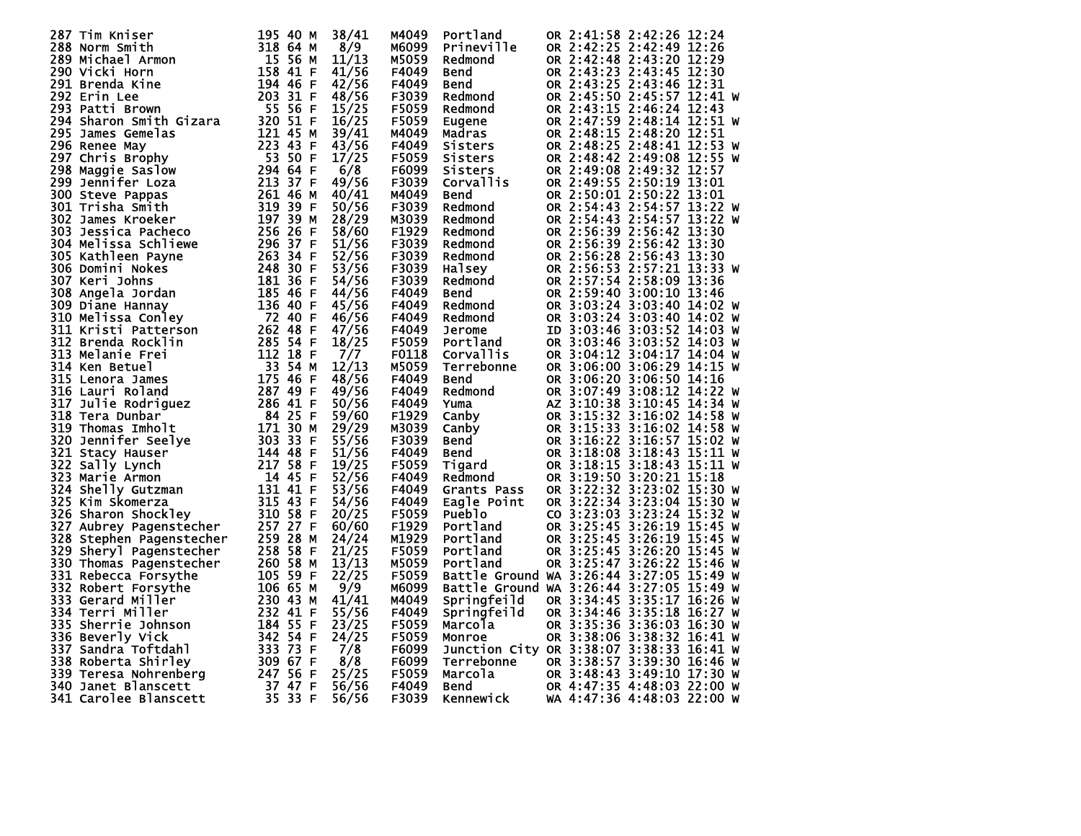| 287 Tim Kniser                                                                                                                                                                                                                                         | 195 40 M            | 38/41 | M4049             | Portland                                                                                                      |  | OR 2:41:58 2:42:26 12:24   |  |
|--------------------------------------------------------------------------------------------------------------------------------------------------------------------------------------------------------------------------------------------------------|---------------------|-------|-------------------|---------------------------------------------------------------------------------------------------------------|--|----------------------------|--|
| 233 40 M<br>318 64 M<br>318 64 M<br>15 56 M<br>158 41 F<br>194 46 F<br>203 31 F<br>55 56 F<br>288 Norm Smith                                                                                                                                           |                     | 8/9   | M6099             | Prineville                                                                                                    |  | OR 2:42:25 2:42:49 12:26   |  |
| 289 Michael Armon                                                                                                                                                                                                                                      |                     | 11/13 | M5059             | Redmond                                                                                                       |  | OR 2:42:48 2:43:20 12:29   |  |
| 290 Vicki Horn                                                                                                                                                                                                                                         |                     | 41/56 | F4049             | Bend                                                                                                          |  | OR 2:43:23 2:43:45 12:30   |  |
| 291 Brenda Kine                                                                                                                                                                                                                                        |                     | 42/56 | F4049             | Bend                                                                                                          |  | OR 2:43:25 2:43:46 12:31   |  |
| 292 Erin Lee                                                                                                                                                                                                                                           |                     | 48/56 | F3039             |                                                                                                               |  | OR 2:45:50 2:45:57 12:41 W |  |
|                                                                                                                                                                                                                                                        |                     | 15/25 | F5059             | Redmond                                                                                                       |  | OR 2:43:15 2:46:24 12:43   |  |
| 293 Patti Brown                                                                                                                                                                                                                                        |                     |       |                   | Redmond                                                                                                       |  |                            |  |
|                                                                                                                                                                                                                                                        |                     | 16/25 | <b>F5059</b>      |                                                                                                               |  | OR 2:47:59 2:48:14 12:51 W |  |
|                                                                                                                                                                                                                                                        |                     | 39/41 | M4049             | Eugene<br>Madras<br>Sisters                                                                                   |  | OR 2:48:15 2:48:20 12:51   |  |
|                                                                                                                                                                                                                                                        |                     | 43/56 | F4049             |                                                                                                               |  | OR 2:48:25 2:48:41 12:53 W |  |
| 294 Sharon Smith Gizara<br>294 Sharon Smith Gizara<br>295 James Gemelas<br>295 Renee May<br>297 Chris Brophy<br>298 Maggie Saslow<br>298 Maggie Saslow<br>299 Jennifer Loza<br>300 Steve Pappas<br>301 Trisha Smith<br>302 James Kroeker<br>202 Jame   |                     | 17/25 | F5059             | Sisters                                                                                                       |  | OR 2:48:42 2:49:08 12:55 W |  |
|                                                                                                                                                                                                                                                        |                     | 6/8   | F6099             | Sisters                                                                                                       |  | OR 2:49:08 2:49:32 12:57   |  |
|                                                                                                                                                                                                                                                        |                     | 49/56 | F3039             | Corvallis                                                                                                     |  | OR 2:49:55 2:50:19 13:01   |  |
|                                                                                                                                                                                                                                                        |                     | 40/41 | M4049             | Bend                                                                                                          |  | OR 2:50:01 2:50:22 13:01   |  |
|                                                                                                                                                                                                                                                        |                     | 50/56 | F3039             | Redmond                                                                                                       |  | OR 2:54:43 2:54:57 13:22 W |  |
|                                                                                                                                                                                                                                                        |                     | 28/29 | M3039             | Redmond                                                                                                       |  | OR 2:54:43 2:54:57 13:22 W |  |
|                                                                                                                                                                                                                                                        |                     | 58/60 | F <sub>1929</sub> | Redmond                                                                                                       |  | OR 2:56:39 2:56:42 13:30   |  |
|                                                                                                                                                                                                                                                        |                     | 51/56 | F3039             | Redmond                                                                                                       |  | OR 2:56:39 2:56:42 13:30   |  |
|                                                                                                                                                                                                                                                        |                     | 52/56 | F3039             | Redmond                                                                                                       |  | OR 2:56:28 2:56:43 13:30   |  |
|                                                                                                                                                                                                                                                        |                     | 53/56 | F3039             | најзеу<br>Halsey                                                                                              |  | OR 2:56:53 2:57:21 13:33 W |  |
|                                                                                                                                                                                                                                                        |                     | 54/56 | F3039             | Redmond                                                                                                       |  | OR 2:57:54 2:58:09 13:36   |  |
|                                                                                                                                                                                                                                                        |                     | 44/56 | F4049             | Bend                                                                                                          |  | OR 2:59:40 3:00:10 13:46   |  |
|                                                                                                                                                                                                                                                        |                     | 45/56 | F4049             | Redmond                                                                                                       |  | OR 3:03:24 3:03:40 14:02 W |  |
|                                                                                                                                                                                                                                                        |                     | 46/56 | F4049             | Redmond                                                                                                       |  | OR 3:03:24 3:03:40 14:02 W |  |
|                                                                                                                                                                                                                                                        |                     | 47/56 | F4049             | Jerome                                                                                                        |  | ID 3:03:46 3:03:52 14:03 W |  |
|                                                                                                                                                                                                                                                        |                     | 18/25 | F5059             | Portland                                                                                                      |  | OR 3:03:46 3:03:52 14:03 W |  |
|                                                                                                                                                                                                                                                        |                     | 7/7   | F0118             | Corvallis                                                                                                     |  | OR 3:04:12 3:04:17 14:04 W |  |
| 302 James Kroeker<br>303 Jessica Pacheco<br>303 Jessica Pacheco<br>305 Kathleen Payne<br>305 Kathleen Payne<br>263 34 F<br>306 Domini Nokes<br>248 30 F<br>307 Keri Johns<br>308 Angela Jordan<br>309 Diane Hannay<br>310 Melissa Conley<br>310 Meliss | 33 54 M             | 12/13 |                   |                                                                                                               |  |                            |  |
| 314 Ken Betuel                                                                                                                                                                                                                                         | $175$ 46 F          |       | M5059             | Terrebonne                                                                                                    |  | OR 3:06:00 3:06:29 14:15 W |  |
| 315 Lenora James                                                                                                                                                                                                                                       |                     | 48/56 | F4049             | Bend                                                                                                          |  | OR 3:06:20 3:06:50 14:16   |  |
| 316 Lauri Roland                                                                                                                                                                                                                                       | 287 49 F            | 49/56 | F4049             | <b>Eclinded</b><br>Redmond<br>Canby<br>Canby<br>Bend<br>Bend<br>Tigard<br>Redmond_                            |  | OR 3:07:49 3:08:12 14:22 W |  |
| 317 Julie Rodriguez<br>318 Tera Dunbar<br>318 Tera Dunbar<br>319 Thomas Imholt<br>320 Jennifer Seelye<br>321 Stacy Hauser<br>322 Sally Lynch<br>322 Sally Lynch<br>323 Marie Armon<br>323 Marie Armon<br>323 Marie Armon<br>323 Marie Armon<br>323 Mar |                     | 50/56 | F4049             |                                                                                                               |  | AZ 3:10:38 3:10:45 14:34 W |  |
|                                                                                                                                                                                                                                                        |                     | 59/60 | F <sub>1929</sub> |                                                                                                               |  | OR 3:15:32 3:16:02 14:58 W |  |
|                                                                                                                                                                                                                                                        |                     | 29/29 | M3039             |                                                                                                               |  | OR 3:15:33 3:16:02 14:58 W |  |
|                                                                                                                                                                                                                                                        |                     | 55/56 | F3039             |                                                                                                               |  | OR 3:16:22 3:16:57 15:02 W |  |
|                                                                                                                                                                                                                                                        |                     | 51/56 | F4049             |                                                                                                               |  | OR 3:18:08 3:18:43 15:11 W |  |
|                                                                                                                                                                                                                                                        |                     | 19/25 | F5059             |                                                                                                               |  | OR 3:18:15 3:18:43 15:11 W |  |
| 323 Marie Armon                                                                                                                                                                                                                                        |                     | 52/56 | F4049             |                                                                                                               |  | OR 3:19:50 3:20:21 15:18   |  |
| 324 Shelly Gutzman                                                                                                                                                                                                                                     | 14 45 F<br>131 41 F | 53/56 | F4049             | Grants Pass                                                                                                   |  | OR 3:22:32 3:23:02 15:30 W |  |
| 325 Kim Skomerza                                                                                                                                                                                                                                       | 315 43 F            | 54/56 | F4049             | Eagle Point                                                                                                   |  | OR 3:22:34 3:23:04 15:30 W |  |
| 326 Sharon Shockley<br>326 Sharon Shockley 310 58 F<br>327 Aubrey Pagenstecher 257 27 F                                                                                                                                                                |                     | 20/25 | F5059             | <b>Pueblo</b>                                                                                                 |  | CO 3:23:03 3:23:24 15:32 W |  |
|                                                                                                                                                                                                                                                        |                     | 60/60 | F1929             | Puepic<br>Portland<br>Portland<br>---land                                                                     |  | OR 3:25:45 3:26:19 15:45 W |  |
| 328 Stephen Pagenstecher                                                                                                                                                                                                                               | 259 28 M            | 24/24 | M1929             |                                                                                                               |  | OR 3:25:45 3:26:19 15:45 W |  |
| 329 Sheryl Pagenstecher                                                                                                                                                                                                                                | 258 58 F            | 21/25 | F5059             |                                                                                                               |  | OR 3:25:45 3:26:20 15:45 W |  |
| 330 Thomas Pagenstecher                                                                                                                                                                                                                                | 260 58 M            | 13/13 | M5059             | Portland                                                                                                      |  | OR 3:25:47 3:26:22 15:46 W |  |
| 331 Rebecca Forsythe                                                                                                                                                                                                                                   | 105 59 F            | 22/25 | F5059             | Battle Ground WA 3:26:44 3:27:05 15:49 W                                                                      |  |                            |  |
| 332 Robert Forsythe                                                                                                                                                                                                                                    | 106 65 M            | 9/9   | M6099             | Battle Ground WA 3:26:44 3:27:05 15:49 W                                                                      |  |                            |  |
| 333 Gerard Miller                                                                                                                                                                                                                                      | 230 43 M            | 41/41 | M4049             | Springfeild                                                                                                   |  | OR 3:34:45 3:35:17 16:26 W |  |
| 334 Terri Miller                                                                                                                                                                                                                                       | 232 41 F            | 55/56 | F4049             | Springfeild                                                                                                   |  | OR 3:34:46 3:35:18 16:27 W |  |
| 335 Sherrie Johnson                                                                                                                                                                                                                                    | 184 55 F            | 23/25 | F5059             | Marcola                                                                                                       |  | OR 3:35:36 3:36:03 16:30 W |  |
|                                                                                                                                                                                                                                                        |                     | 24/25 | <b>F5059</b>      | Monroe                                                                                                        |  | OR 3:38:06 3:38:32 16:41 W |  |
|                                                                                                                                                                                                                                                        |                     | 7/8   | F6099             | Junction City OR 3:38:07 3:38:33 16:41 W                                                                      |  |                            |  |
|                                                                                                                                                                                                                                                        |                     | 8/8   | F6099             |                                                                                                               |  | OR 3:38:57 3:39:30 16:46 W |  |
|                                                                                                                                                                                                                                                        |                     |       |                   | Terrebonne                                                                                                    |  |                            |  |
|                                                                                                                                                                                                                                                        |                     | 25/25 | <b>F5059</b>      |                                                                                                               |  |                            |  |
|                                                                                                                                                                                                                                                        |                     | 56/56 | F4049             | Marcola OR 3:48:43 3:49:10 17:30 W<br>Bend OR 4:47:35 4:48:03 22:00 W<br>Kennewick WA 4:47:36 4:48:03 22:00 W |  |                            |  |
| 335 Sner 1.2<br>336 Beverly Vick<br>337 Sandra Toftdahl<br>338 Roberta Shirley<br>339 Teresa Nohrenberg<br>347 Soft Format Blanscett<br>347 Soft Sandar Sandar 247 Soft<br>347 Tanet Blanscett<br>35 33 F                                              |                     | 56/56 | F3039             |                                                                                                               |  |                            |  |
|                                                                                                                                                                                                                                                        |                     |       |                   |                                                                                                               |  |                            |  |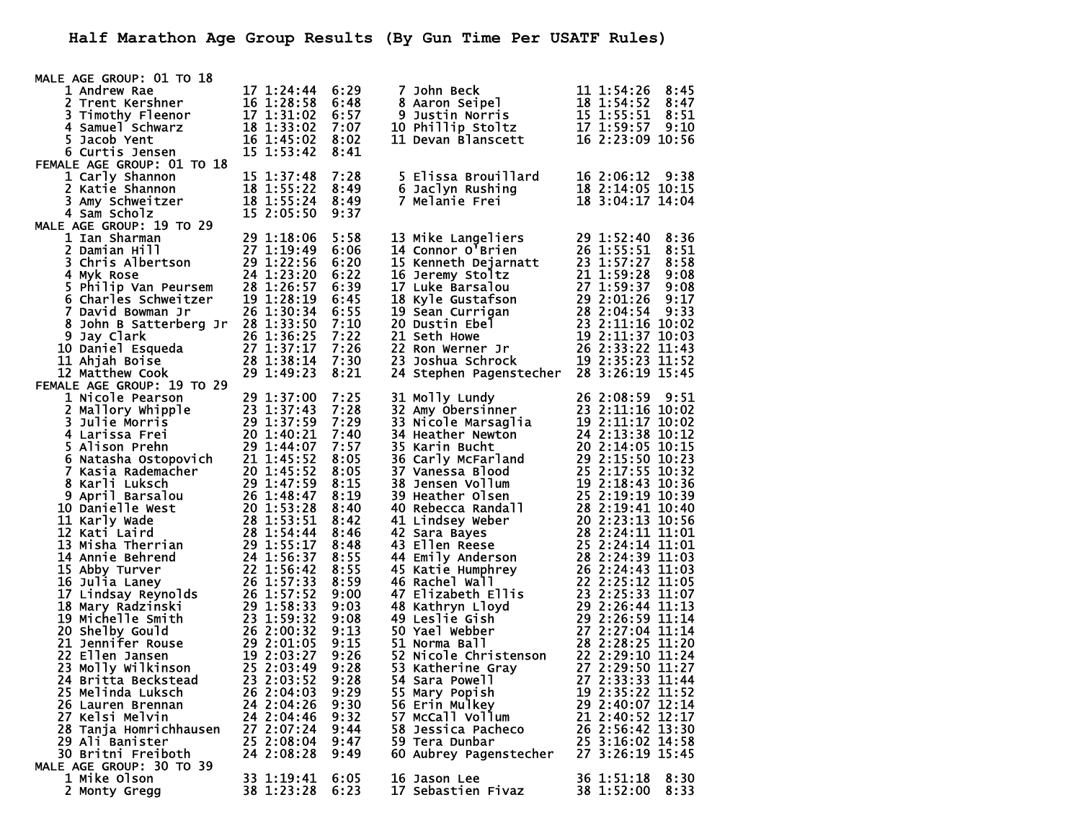| MALE AGE GROUP: 01 TO 18<br>AGE GROUP.<br>1 Andrew Rae<br>2 Trent Kershner<br>3 Timothy Fleenor<br>4 Samuel Schwarz<br>5 Jacob Yent<br>16 1:33:02 7:07<br>5 Jacob Yent<br>16 1:45:02 8:02<br>15 1:53:42 8:41                                                                   |            |      |                                                                                                                                                                                                                                                                          |                    |
|--------------------------------------------------------------------------------------------------------------------------------------------------------------------------------------------------------------------------------------------------------------------------------|------------|------|--------------------------------------------------------------------------------------------------------------------------------------------------------------------------------------------------------------------------------------------------------------------------|--------------------|
|                                                                                                                                                                                                                                                                                |            |      | 7 John Beck 11 1:54:26 8:45<br>8 Aaron Seipel 18 1:54:52 8:47<br>9 Justin Norris 15 1:55:51 8:51<br>10 Phillip Stoltz 17 1:59:57 9:10<br>11 Devan Blanscett 16 2:23:09 10:56                                                                                             |                    |
|                                                                                                                                                                                                                                                                                |            |      |                                                                                                                                                                                                                                                                          |                    |
|                                                                                                                                                                                                                                                                                |            |      |                                                                                                                                                                                                                                                                          |                    |
|                                                                                                                                                                                                                                                                                |            |      |                                                                                                                                                                                                                                                                          |                    |
|                                                                                                                                                                                                                                                                                |            |      |                                                                                                                                                                                                                                                                          |                    |
|                                                                                                                                                                                                                                                                                |            |      |                                                                                                                                                                                                                                                                          |                    |
| FEMALE AGE GROUP: 01 TO 18<br>1 Carly Shannon<br>2 Katie Shannon<br>3 Amy Schweitzer<br>3 Amy Schweitzer<br>18 1:55:24<br>18 1:55:24<br>18 1:55:24<br>18 1:55:24<br>15 2:05:50                                                                                                 |            |      |                                                                                                                                                                                                                                                                          |                    |
|                                                                                                                                                                                                                                                                                |            | 7:28 | در است Sa Brouillard<br>6 Jaclyn Rushing<br>7 Melanie Frei                                                                                                                                                                                                               | 16 2:06:12 9:38    |
|                                                                                                                                                                                                                                                                                |            | 8:49 |                                                                                                                                                                                                                                                                          | 18 2:14:05 10:15   |
|                                                                                                                                                                                                                                                                                |            | 8:49 |                                                                                                                                                                                                                                                                          | 18 3:04:17 14:04   |
|                                                                                                                                                                                                                                                                                |            | 9:37 |                                                                                                                                                                                                                                                                          |                    |
| MALE AGE GROUP: 19 TO 29                                                                                                                                                                                                                                                       |            |      |                                                                                                                                                                                                                                                                          |                    |
| : AGE GROUP: 19 TO 29<br>1 Ian Sharman<br>2 Damian Hill<br>3 Chris Albertson<br>2 1:22:56<br>4 Myk Rose<br>5 Philip Van Peursem<br>28 1:26:57<br>5 Charles Schweitzer<br>19 1:28:19<br>5 Charles Schweitzer<br>19 1:28:19<br>7 Covid Downer 17<br>26 1:3                       |            | 5:58 | 13 Mike Langeliers<br>14 Connor O'Brien<br>15 Kenneth Dejarnatt<br>15 Kenneth Dejarnatt<br>15 Kenneth Dejarnatt<br>23 1:57:27 8:58<br>16 Jeremy Stoltz<br>17 Luke Barsalou<br>27 1:59:37 9:08<br>18 Kyle Gustafson<br>29 2:01:26 9:17<br>19 Sean Cur                     |                    |
|                                                                                                                                                                                                                                                                                |            | 6:06 |                                                                                                                                                                                                                                                                          |                    |
|                                                                                                                                                                                                                                                                                |            | 6:20 |                                                                                                                                                                                                                                                                          |                    |
|                                                                                                                                                                                                                                                                                |            | 6:22 |                                                                                                                                                                                                                                                                          |                    |
|                                                                                                                                                                                                                                                                                |            | 6:39 |                                                                                                                                                                                                                                                                          |                    |
|                                                                                                                                                                                                                                                                                |            |      |                                                                                                                                                                                                                                                                          |                    |
|                                                                                                                                                                                                                                                                                |            |      |                                                                                                                                                                                                                                                                          |                    |
|                                                                                                                                                                                                                                                                                |            |      |                                                                                                                                                                                                                                                                          |                    |
|                                                                                                                                                                                                                                                                                |            |      |                                                                                                                                                                                                                                                                          |                    |
|                                                                                                                                                                                                                                                                                |            |      |                                                                                                                                                                                                                                                                          |                    |
|                                                                                                                                                                                                                                                                                |            |      |                                                                                                                                                                                                                                                                          |                    |
|                                                                                                                                                                                                                                                                                |            |      | 24 Stephen Pagenstecher 28 3:26:19 15:45                                                                                                                                                                                                                                 |                    |
| 19 1:28:19 6:45<br>8 John B Satterberg Jr 26 1:30:34 6:55<br>8 John B Satterberg Jr 28 1:33:50 7:10<br>9 Jay Clark 26 1:36:25 7:22<br>10 Daniel Esqueda 27 1:37:17 7:26<br>11 Ahjah Boise 28 1:38:14 7:30<br>12 Matthew Cook 29 1:40:22<br>1<br>FEMALE AGE GROUP: 19 TO 29     |            |      |                                                                                                                                                                                                                                                                          |                    |
|                                                                                                                                                                                                                                                                                |            |      |                                                                                                                                                                                                                                                                          |                    |
|                                                                                                                                                                                                                                                                                |            | 7:25 |                                                                                                                                                                                                                                                                          |                    |
|                                                                                                                                                                                                                                                                                |            | 7:28 |                                                                                                                                                                                                                                                                          |                    |
|                                                                                                                                                                                                                                                                                |            | 7:29 |                                                                                                                                                                                                                                                                          |                    |
|                                                                                                                                                                                                                                                                                |            | 7:40 |                                                                                                                                                                                                                                                                          |                    |
|                                                                                                                                                                                                                                                                                |            | 7:57 |                                                                                                                                                                                                                                                                          |                    |
|                                                                                                                                                                                                                                                                                |            | 8:05 |                                                                                                                                                                                                                                                                          |                    |
|                                                                                                                                                                                                                                                                                |            | 8:05 |                                                                                                                                                                                                                                                                          |                    |
|                                                                                                                                                                                                                                                                                |            | 8:15 |                                                                                                                                                                                                                                                                          |                    |
|                                                                                                                                                                                                                                                                                |            | 8:19 |                                                                                                                                                                                                                                                                          |                    |
|                                                                                                                                                                                                                                                                                |            | 8:40 |                                                                                                                                                                                                                                                                          |                    |
|                                                                                                                                                                                                                                                                                |            | 8:42 |                                                                                                                                                                                                                                                                          |                    |
|                                                                                                                                                                                                                                                                                |            | 8:46 |                                                                                                                                                                                                                                                                          |                    |
|                                                                                                                                                                                                                                                                                |            | 8:48 |                                                                                                                                                                                                                                                                          |                    |
|                                                                                                                                                                                                                                                                                |            | 8:55 |                                                                                                                                                                                                                                                                          |                    |
|                                                                                                                                                                                                                                                                                |            | 8:55 |                                                                                                                                                                                                                                                                          |                    |
|                                                                                                                                                                                                                                                                                |            | 8:59 |                                                                                                                                                                                                                                                                          |                    |
|                                                                                                                                                                                                                                                                                |            | 9:00 |                                                                                                                                                                                                                                                                          |                    |
|                                                                                                                                                                                                                                                                                |            | 9:03 |                                                                                                                                                                                                                                                                          |                    |
|                                                                                                                                                                                                                                                                                |            | 9:08 |                                                                                                                                                                                                                                                                          |                    |
|                                                                                                                                                                                                                                                                                |            | 9:13 |                                                                                                                                                                                                                                                                          |                    |
|                                                                                                                                                                                                                                                                                |            | 9:15 |                                                                                                                                                                                                                                                                          |                    |
|                                                                                                                                                                                                                                                                                |            | 9:26 |                                                                                                                                                                                                                                                                          |                    |
|                                                                                                                                                                                                                                                                                |            | 9:28 |                                                                                                                                                                                                                                                                          |                    |
|                                                                                                                                                                                                                                                                                |            | 9:28 |                                                                                                                                                                                                                                                                          |                    |
| MALE AGE GROUP: 19 TO 29<br>1 Nicole Pearson<br>2 Mallory whipple<br>3 Julie Morris<br>4 Larissa Frei<br>20 1:37:439<br>4 Larissa Frei<br>20 1:40:21<br>5 Alison Prehn<br>29 1:44:07<br>5 Alison Prehn<br>29 1:44:07<br>5 Alison Prehn<br>29 1:44:07<br>5<br>25 Melinda Luksch | 26 2:04:03 | 9:29 | 31 Molly Lundy<br>26 2:08:59 9:51<br>31 Molly Lundy<br>31 Micole Marsaglia<br>32 Ainzon Buchar<br>26 2:08:59 9:51<br>33 Nicole Marsaglia<br>32 2:11:16 10:02<br>34 Heather Newton<br>24 2:13:38 10:12<br>35 Karrin Bucht<br>20 2:14:05 10:23<br>37 Van<br>55 Mary Popish | 19 2:35:22 11:52   |
| 26 Lauren Brennan                                                                                                                                                                                                                                                              | 24 2:04:26 | 9:30 | 56 Erin Mulkey                                                                                                                                                                                                                                                           | 29 2:40:07 12:14   |
| 27 Kelsi Melvin                                                                                                                                                                                                                                                                | 24 2:04:46 | 9:32 | 57 McCall Vollum                                                                                                                                                                                                                                                         | 21 2:40:52 12:17   |
| 28 Tanja Homrichhausen                                                                                                                                                                                                                                                         | 27 2:07:24 | 9:44 | 58 Jessica Pacheco                                                                                                                                                                                                                                                       | 26 2:56:42 13:30   |
| 29 Ali Banister                                                                                                                                                                                                                                                                | 25 2:08:04 | 9:47 | 59 Tera Dunbar                                                                                                                                                                                                                                                           | 25 3:16:02 14:58   |
| 30 Britni Freiboth                                                                                                                                                                                                                                                             | 24 2:08:28 | 9:49 | 60 Aubrey Pagenstecher                                                                                                                                                                                                                                                   | 27 3:26:19 15:45   |
| MALE AGE GROUP: 30 TO 39                                                                                                                                                                                                                                                       |            |      |                                                                                                                                                                                                                                                                          |                    |
| 1 Mike Olson                                                                                                                                                                                                                                                                   | 33 1:19:41 | 6:05 | 16 Jason Lee                                                                                                                                                                                                                                                             | 36 1:51:18<br>8:30 |
| 2 Monty Gregg                                                                                                                                                                                                                                                                  | 38 1:23:28 | 6:23 | 17 Sebastien Fivaz                                                                                                                                                                                                                                                       | 38 1:52:00<br>8:33 |
|                                                                                                                                                                                                                                                                                |            |      |                                                                                                                                                                                                                                                                          |                    |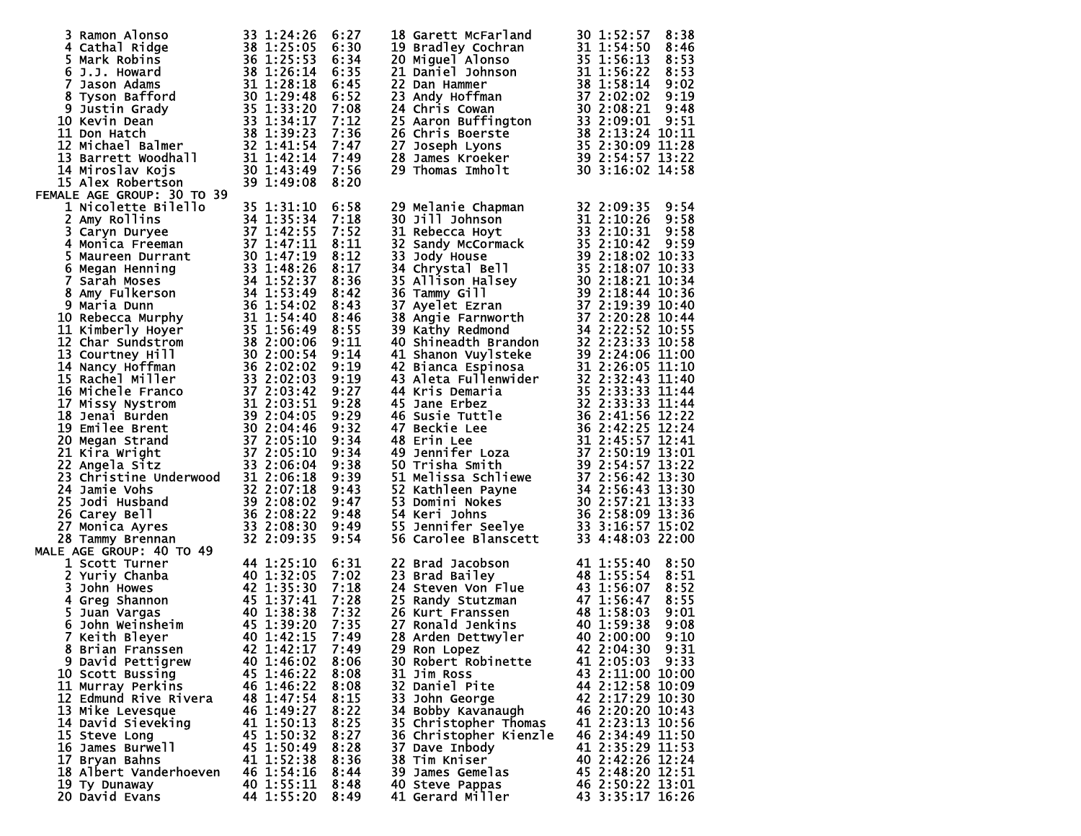| 3 Ramon Alonso                                                                                                                                                                                                                                                                        | 33 1:24:26      | 6:27 | 18 Garett McFarland                                                                                                                                                                                                                                             | 30 1:52:57<br>8:38 |
|---------------------------------------------------------------------------------------------------------------------------------------------------------------------------------------------------------------------------------------------------------------------------------------|-----------------|------|-----------------------------------------------------------------------------------------------------------------------------------------------------------------------------------------------------------------------------------------------------------------|--------------------|
|                                                                                                                                                                                                                                                                                       |                 | 6:30 |                                                                                                                                                                                                                                                                 | 8:46               |
|                                                                                                                                                                                                                                                                                       |                 | 6:34 |                                                                                                                                                                                                                                                                 | 8:53               |
|                                                                                                                                                                                                                                                                                       |                 |      |                                                                                                                                                                                                                                                                 |                    |
|                                                                                                                                                                                                                                                                                       |                 | 6:35 |                                                                                                                                                                                                                                                                 | 8:53               |
|                                                                                                                                                                                                                                                                                       |                 | 6:45 |                                                                                                                                                                                                                                                                 | 9:02               |
|                                                                                                                                                                                                                                                                                       |                 | 6:52 |                                                                                                                                                                                                                                                                 | 9:19               |
|                                                                                                                                                                                                                                                                                       |                 |      |                                                                                                                                                                                                                                                                 |                    |
|                                                                                                                                                                                                                                                                                       |                 | 7:08 |                                                                                                                                                                                                                                                                 | 9:48               |
|                                                                                                                                                                                                                                                                                       |                 | 7:12 |                                                                                                                                                                                                                                                                 | 9:51               |
|                                                                                                                                                                                                                                                                                       |                 | 7:36 |                                                                                                                                                                                                                                                                 | 38 2:13:24 10:11   |
|                                                                                                                                                                                                                                                                                       |                 | 7:47 |                                                                                                                                                                                                                                                                 | 35 2:30:09 11:28   |
|                                                                                                                                                                                                                                                                                       |                 |      |                                                                                                                                                                                                                                                                 |                    |
|                                                                                                                                                                                                                                                                                       |                 | 7:49 |                                                                                                                                                                                                                                                                 | 39 2:54:57 13:22   |
|                                                                                                                                                                                                                                                                                       |                 | 7:56 |                                                                                                                                                                                                                                                                 | 30 3:16:02 14:58   |
|                                                                                                                                                                                                                                                                                       |                 | 8:20 | 18 Garett McFarland<br>19 Bradley Cochran<br>20 Miguel Alonso<br>21 Daniel Johnson<br>31 1:54:50<br>21 Daniel Johnson<br>31 1:56:22<br>22 Dan Hammer<br>38 1:56:13<br>22 Daniel Johnson<br>38 1:58:14<br>23 Andy Hoffman<br>37 2:02:02<br>24 Chris Cowan        |                    |
| 3 Ramon Alonso<br>4 Cathal Ridge<br>5 Mark Robins<br>5 Mark Robins<br>6 J.J. Howard<br>7 Jason Adams<br>8 Tyson Bafford<br>8 Tyson Bafford<br>9 Justin Grady<br>9 Justin Grady<br>10 Kevin Dean<br>12 Michael Balmer<br>12 Michael Balmer<br>12 Michael<br>FEMALE AGE GROUP: 30 TO 39 |                 |      |                                                                                                                                                                                                                                                                 |                    |
|                                                                                                                                                                                                                                                                                       |                 |      |                                                                                                                                                                                                                                                                 |                    |
|                                                                                                                                                                                                                                                                                       |                 | 6:58 |                                                                                                                                                                                                                                                                 |                    |
|                                                                                                                                                                                                                                                                                       |                 | 7:18 |                                                                                                                                                                                                                                                                 |                    |
|                                                                                                                                                                                                                                                                                       |                 | 7:52 |                                                                                                                                                                                                                                                                 |                    |
|                                                                                                                                                                                                                                                                                       |                 |      |                                                                                                                                                                                                                                                                 |                    |
|                                                                                                                                                                                                                                                                                       |                 | 8:11 |                                                                                                                                                                                                                                                                 |                    |
|                                                                                                                                                                                                                                                                                       |                 | 8:12 |                                                                                                                                                                                                                                                                 |                    |
|                                                                                                                                                                                                                                                                                       |                 | 8:17 |                                                                                                                                                                                                                                                                 |                    |
|                                                                                                                                                                                                                                                                                       |                 | 8:36 |                                                                                                                                                                                                                                                                 |                    |
|                                                                                                                                                                                                                                                                                       |                 |      |                                                                                                                                                                                                                                                                 |                    |
|                                                                                                                                                                                                                                                                                       |                 | 8:42 |                                                                                                                                                                                                                                                                 |                    |
|                                                                                                                                                                                                                                                                                       |                 | 8:43 |                                                                                                                                                                                                                                                                 |                    |
|                                                                                                                                                                                                                                                                                       |                 | 8:46 |                                                                                                                                                                                                                                                                 |                    |
|                                                                                                                                                                                                                                                                                       |                 | 8:55 |                                                                                                                                                                                                                                                                 |                    |
|                                                                                                                                                                                                                                                                                       |                 |      |                                                                                                                                                                                                                                                                 |                    |
|                                                                                                                                                                                                                                                                                       |                 | 9:11 |                                                                                                                                                                                                                                                                 |                    |
|                                                                                                                                                                                                                                                                                       |                 | 9:14 |                                                                                                                                                                                                                                                                 |                    |
|                                                                                                                                                                                                                                                                                       |                 | 9:19 |                                                                                                                                                                                                                                                                 |                    |
|                                                                                                                                                                                                                                                                                       |                 |      |                                                                                                                                                                                                                                                                 |                    |
|                                                                                                                                                                                                                                                                                       |                 | 9:19 |                                                                                                                                                                                                                                                                 |                    |
|                                                                                                                                                                                                                                                                                       |                 | 9:27 |                                                                                                                                                                                                                                                                 |                    |
|                                                                                                                                                                                                                                                                                       |                 | 9:28 |                                                                                                                                                                                                                                                                 |                    |
|                                                                                                                                                                                                                                                                                       |                 | 9:29 |                                                                                                                                                                                                                                                                 |                    |
|                                                                                                                                                                                                                                                                                       |                 |      |                                                                                                                                                                                                                                                                 |                    |
|                                                                                                                                                                                                                                                                                       |                 | 9:32 |                                                                                                                                                                                                                                                                 |                    |
|                                                                                                                                                                                                                                                                                       |                 | 9:34 |                                                                                                                                                                                                                                                                 |                    |
|                                                                                                                                                                                                                                                                                       |                 | 9:34 |                                                                                                                                                                                                                                                                 |                    |
|                                                                                                                                                                                                                                                                                       |                 |      |                                                                                                                                                                                                                                                                 |                    |
|                                                                                                                                                                                                                                                                                       |                 | 9:38 |                                                                                                                                                                                                                                                                 |                    |
|                                                                                                                                                                                                                                                                                       |                 | 9:39 |                                                                                                                                                                                                                                                                 |                    |
|                                                                                                                                                                                                                                                                                       |                 | 9:43 |                                                                                                                                                                                                                                                                 |                    |
|                                                                                                                                                                                                                                                                                       |                 | 9:47 |                                                                                                                                                                                                                                                                 |                    |
|                                                                                                                                                                                                                                                                                       |                 |      |                                                                                                                                                                                                                                                                 |                    |
|                                                                                                                                                                                                                                                                                       |                 | 9:48 |                                                                                                                                                                                                                                                                 |                    |
|                                                                                                                                                                                                                                                                                       |                 | 9:49 |                                                                                                                                                                                                                                                                 |                    |
|                                                                                                                                                                                                                                                                                       |                 | 9:54 |                                                                                                                                                                                                                                                                 |                    |
| 1<br>AMALE AGE GROUP: 30 TO 39<br>1 Nicolette Bilello<br>2 Amy Rollins 35 1:31:10<br>2 Amy Rollins 34 1:35:53<br>4 Monica Freeman<br>37 1:42:55<br>4 Monica Freeman<br>37 1:42:55<br>4 Monica Freeman<br>37 1:42:55<br>4 Monica Freeman<br>37 1:42:55<br><br>MALE AGE GROUP: 40 TO 49 |                 |      | 39 Melanie Chapman<br>32 2:09:35 9:54<br>31 Rebecca Hoyt<br>31 2:10:36 9:58<br>31 Rebecca Hoyt<br>33 2:10:31 9:58<br>32 Sandy McCormack<br>33 2:10:31 9:58<br>32 Sandy McCormack<br>33 2:10:42 9:59<br>33 2:10:31 9:58<br>33 2:10:31 9:58<br>33 2:10:3          |                    |
|                                                                                                                                                                                                                                                                                       |                 |      |                                                                                                                                                                                                                                                                 |                    |
|                                                                                                                                                                                                                                                                                       |                 | 6:31 | 22 Brad Jacobson                                                                                                                                                                                                                                                | 41 1:55:40<br>8:50 |
|                                                                                                                                                                                                                                                                                       |                 |      |                                                                                                                                                                                                                                                                 | 8:51               |
|                                                                                                                                                                                                                                                                                       |                 |      |                                                                                                                                                                                                                                                                 | 8:52               |
|                                                                                                                                                                                                                                                                                       |                 |      |                                                                                                                                                                                                                                                                 | 8:55               |
|                                                                                                                                                                                                                                                                                       |                 |      |                                                                                                                                                                                                                                                                 |                    |
|                                                                                                                                                                                                                                                                                       |                 |      |                                                                                                                                                                                                                                                                 | 9:01               |
|                                                                                                                                                                                                                                                                                       |                 |      |                                                                                                                                                                                                                                                                 | 9:08               |
|                                                                                                                                                                                                                                                                                       |                 |      |                                                                                                                                                                                                                                                                 | 9:10               |
| 2 Yuriy Chanba<br>2 Yuriy Chanba<br>3 John Howes<br>4 Greg Shannon<br>5 Juan Vargas<br>6 John Weinsheim<br>7 Keith Bleyer<br>8 Brian Fransen<br>8 Brian Fransen<br>40 1:38:38<br>40 1:38:38<br>40 1:38:20<br>7 Keith Bleyer<br>40 1:42.15<br>8 Brian Franssen                         |                 | 7:49 | 7:02 23 Brad Bailey<br>7:18 24 Steven Von Flue<br>7:28 25 Randy Stutzman<br>7:32 26 Kurt Franssen<br>7:35 27 Ronald Jenkins<br>7:49 28 Arden Dettwyler<br>7:49 28 Arden Dettwyler<br>7:49 28 Arden Dettwyler<br>7:49 28 Arden Dettwyler<br>7:49<br>29 Ron Lopez | 42 2:04:30<br>9:31 |
|                                                                                                                                                                                                                                                                                       |                 |      |                                                                                                                                                                                                                                                                 |                    |
| 9 David Pettigrew                                                                                                                                                                                                                                                                     | 40 1:46:02      | 8:06 | 30 Robert Robinette                                                                                                                                                                                                                                             | 41 2:05:03<br>9:33 |
| 10 Scott Bussing                                                                                                                                                                                                                                                                      | 45 1:46:22      | 8:08 | 31 Jim Ross                                                                                                                                                                                                                                                     | 43 2:11:00 10:00   |
| 11 Murray Perkins                                                                                                                                                                                                                                                                     | 46 1:46:22      | 8:08 | 32 Daniel Pite                                                                                                                                                                                                                                                  | 44 2:12:58 10:09   |
| 12 Edmund Rive Rivera                                                                                                                                                                                                                                                                 | 48 1:47:54      | 8:15 | 33 John George                                                                                                                                                                                                                                                  | 42 2:17:29 10:30   |
|                                                                                                                                                                                                                                                                                       |                 |      |                                                                                                                                                                                                                                                                 |                    |
| 13 Mike Levesque                                                                                                                                                                                                                                                                      | 46 1:49:27      | 8:22 | 34 Bobby Kavanaugh                                                                                                                                                                                                                                              | 46 2:20:20 10:43   |
| 14 David Sieveking                                                                                                                                                                                                                                                                    | 41 1:50:13      | 8:25 | 35 Christopher Thomas                                                                                                                                                                                                                                           | 41 2:23:13 10:56   |
| 15 Steve Long                                                                                                                                                                                                                                                                         | 45 1:50:32      | 8:27 | 36 Christopher Kienzle                                                                                                                                                                                                                                          | 46 2:34:49 11:50   |
| 16 James Burwell                                                                                                                                                                                                                                                                      |                 |      |                                                                                                                                                                                                                                                                 |                    |
|                                                                                                                                                                                                                                                                                       | 45 1:50:49      | 8:28 | 37 Dave Inbody                                                                                                                                                                                                                                                  | 41 2:35:29 11:53   |
| 17 Bryan Bahns                                                                                                                                                                                                                                                                        | 41 1:52:38      | 8:36 | 38 Tim Kniser                                                                                                                                                                                                                                                   | 40 2:42:26 12:24   |
| 18 Albert Vanderhoeven                                                                                                                                                                                                                                                                | 46 1:54:16      | 8:44 | 39 James Gemelas                                                                                                                                                                                                                                                | 45 2:48:20 12:51   |
| 19 Ty Dunaway                                                                                                                                                                                                                                                                         | 40 1:55:11      | 8:48 | 40 Steve Pappas                                                                                                                                                                                                                                                 | 46 2:50:22 13:01   |
| 20 David Evans                                                                                                                                                                                                                                                                        | 44 1:55:20 8:49 |      | 41 Gerard Miller                                                                                                                                                                                                                                                | 43 3:35:17 16:26   |
|                                                                                                                                                                                                                                                                                       |                 |      |                                                                                                                                                                                                                                                                 |                    |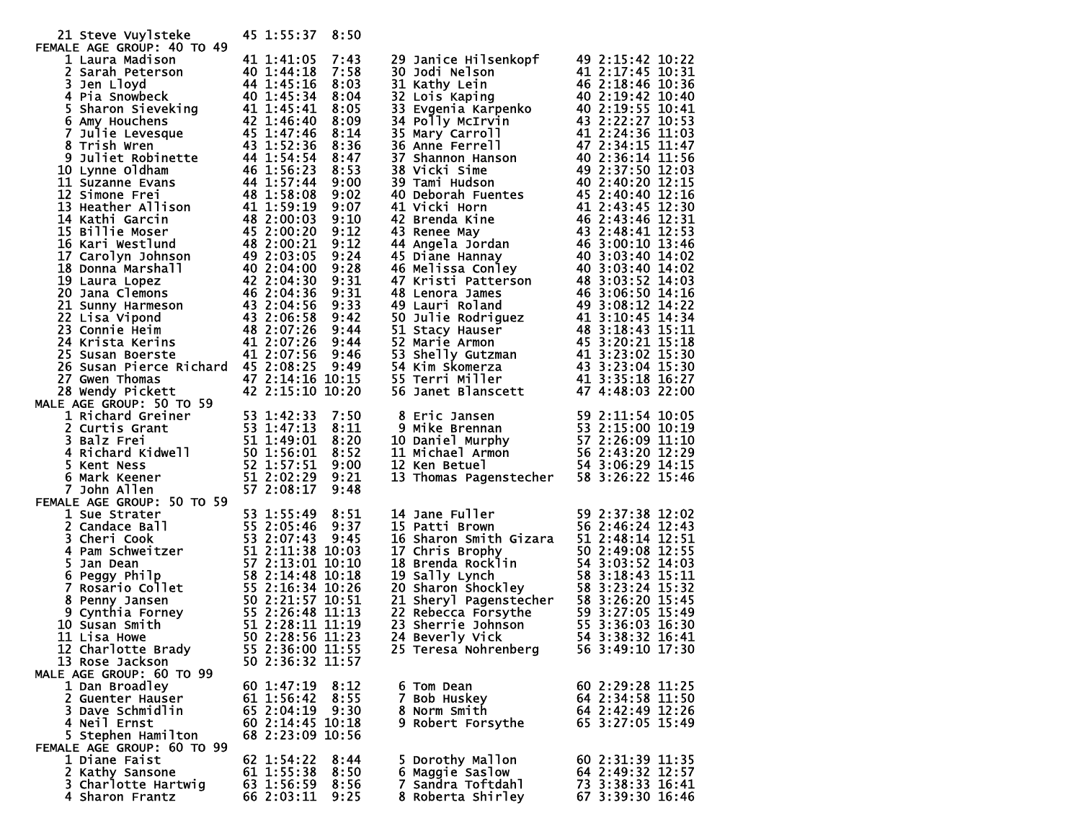| 21 Steve Vuylsteke                                                                                                                                                                                                                                                                      | 45 1:55:37                     | 8:50         |                                                                                                                                                                                                                                                                          |                                      |
|-----------------------------------------------------------------------------------------------------------------------------------------------------------------------------------------------------------------------------------------------------------------------------------------|--------------------------------|--------------|--------------------------------------------------------------------------------------------------------------------------------------------------------------------------------------------------------------------------------------------------------------------------|--------------------------------------|
| FEMALE AGE GROUP: 40 TO 49<br>MALE AGE GROUP: 40 TO 49<br>1 Laura Madison<br>2 Sarah Peterson<br>4 1 1:41:05<br>3 Jen Lloyd<br>4 Pia Snowbeck<br>4 1:45:16<br>4 Pia Snowbeck<br>40 1:45:34<br>5 Sharon Sieveking<br>6 Amy Houchens<br>6 Trish Wren<br>6 Trish Wren<br>6 Trish Wren<br>4 |                                |              |                                                                                                                                                                                                                                                                          |                                      |
| 1 Laura Madison                                                                                                                                                                                                                                                                         | 41 1:41:05                     | 7:43         | 29 Janice Hilsenkopf<br>29 Janice Hilsenkopf 49 2:15:42 10:22<br>30 Jodi Nelson<br>41 2:17:45 10:32<br>31 Kathy Lein<br>44 2:18:46 10:36<br>32 Lois Kaping 46 2:19:42 10:40<br>33 Evgenia Karpenko 40 2:19:55 10:41<br>34 Polly MCTrvin 43 2:29:55 10:41<br>43 2:29:55   | 49 2:15:42 10:22                     |
|                                                                                                                                                                                                                                                                                         |                                | 7:58         |                                                                                                                                                                                                                                                                          |                                      |
|                                                                                                                                                                                                                                                                                         |                                | 8:03         |                                                                                                                                                                                                                                                                          |                                      |
|                                                                                                                                                                                                                                                                                         |                                | 8:04         |                                                                                                                                                                                                                                                                          |                                      |
|                                                                                                                                                                                                                                                                                         |                                | 8:05         |                                                                                                                                                                                                                                                                          |                                      |
|                                                                                                                                                                                                                                                                                         |                                | 8:09         |                                                                                                                                                                                                                                                                          |                                      |
|                                                                                                                                                                                                                                                                                         |                                | 8:14         |                                                                                                                                                                                                                                                                          |                                      |
|                                                                                                                                                                                                                                                                                         |                                | 8:36         |                                                                                                                                                                                                                                                                          |                                      |
|                                                                                                                                                                                                                                                                                         |                                | 8:47         |                                                                                                                                                                                                                                                                          |                                      |
|                                                                                                                                                                                                                                                                                         |                                | 8:53         |                                                                                                                                                                                                                                                                          |                                      |
|                                                                                                                                                                                                                                                                                         |                                | 9:00         |                                                                                                                                                                                                                                                                          |                                      |
|                                                                                                                                                                                                                                                                                         |                                | 9:02         |                                                                                                                                                                                                                                                                          |                                      |
|                                                                                                                                                                                                                                                                                         |                                | 9:07         |                                                                                                                                                                                                                                                                          |                                      |
|                                                                                                                                                                                                                                                                                         |                                | 9:10         |                                                                                                                                                                                                                                                                          |                                      |
|                                                                                                                                                                                                                                                                                         |                                | 9:12         |                                                                                                                                                                                                                                                                          |                                      |
|                                                                                                                                                                                                                                                                                         |                                | 9:12         |                                                                                                                                                                                                                                                                          |                                      |
|                                                                                                                                                                                                                                                                                         |                                | 9:24         |                                                                                                                                                                                                                                                                          |                                      |
|                                                                                                                                                                                                                                                                                         |                                | 9:28         |                                                                                                                                                                                                                                                                          |                                      |
|                                                                                                                                                                                                                                                                                         |                                | 9:31         |                                                                                                                                                                                                                                                                          |                                      |
|                                                                                                                                                                                                                                                                                         |                                | 9:31         |                                                                                                                                                                                                                                                                          |                                      |
|                                                                                                                                                                                                                                                                                         |                                | 9:33         |                                                                                                                                                                                                                                                                          |                                      |
|                                                                                                                                                                                                                                                                                         |                                | 9:42         |                                                                                                                                                                                                                                                                          |                                      |
|                                                                                                                                                                                                                                                                                         |                                | 9:44         |                                                                                                                                                                                                                                                                          |                                      |
|                                                                                                                                                                                                                                                                                         |                                | 9:44         |                                                                                                                                                                                                                                                                          |                                      |
|                                                                                                                                                                                                                                                                                         |                                | 9:46         |                                                                                                                                                                                                                                                                          |                                      |
| 26 Susan Pierce Richard 45 2:08:25 9:49                                                                                                                                                                                                                                                 |                                |              |                                                                                                                                                                                                                                                                          |                                      |
|                                                                                                                                                                                                                                                                                         |                                |              |                                                                                                                                                                                                                                                                          |                                      |
|                                                                                                                                                                                                                                                                                         |                                |              |                                                                                                                                                                                                                                                                          |                                      |
| 2.00:25 9:49<br>28 Wendy Pickett 47 2:14:16 10:15<br>MALE AGE GROUP: 50 TO 59<br>1 Richard Greiner                                                                                                                                                                                      |                                |              |                                                                                                                                                                                                                                                                          |                                      |
|                                                                                                                                                                                                                                                                                         |                                |              | 8 Eric Jansen<br>9 Mike Brennan<br>10 Daniel Murphy<br>10 Daniel Murphy<br>11 Michael Armon<br>12 Ken Betuel<br>13 Thomas Pagenstecher<br>13 Thomas Pagenstecher<br>13 Thomas Pagenstecher<br>13 Sandard Sandar 198 3:06:29<br>14:15<br>13 Thomas Pa                     |                                      |
|                                                                                                                                                                                                                                                                                         |                                | 8:11         |                                                                                                                                                                                                                                                                          |                                      |
|                                                                                                                                                                                                                                                                                         |                                | 8:20         |                                                                                                                                                                                                                                                                          |                                      |
|                                                                                                                                                                                                                                                                                         |                                | 8:52         |                                                                                                                                                                                                                                                                          |                                      |
|                                                                                                                                                                                                                                                                                         |                                | 9:00         |                                                                                                                                                                                                                                                                          |                                      |
|                                                                                                                                                                                                                                                                                         |                                | 9:21         |                                                                                                                                                                                                                                                                          |                                      |
| 1 Richard Greiner<br>2 Curtis Grant<br>2 Curtis Grant<br>3 Balz Frei<br>3 Balz Frei<br>4 Richard Kidwell<br>50 1:56:01<br>50 1:56:01<br>50 1:56:01<br>50 1:56:01<br>50 1:56:01<br>50 1:57:51<br>6 Mark Keener<br>51 2:02:29<br>7 John Allen<br>LE AGE GROUP                             |                                | 9:48         |                                                                                                                                                                                                                                                                          |                                      |
| FEMALE AGE GROUP: 50 TO 59<br>ALE AGE GROUP: 50 TO 59<br>1 Sue Strater 53 1:55:49 8:51<br>2 Candace Ball<br>3 Cheri Cook 53 2:05:46 9:37<br>3 Cheri Cook 53 2:07:43 9:45<br>5 2:07:43 9:45<br>5 2:17:138 10:03<br>5 Jan Dean 57 2:13:01 10:10<br>6 Peggy Philp 58 2:14:48 10            |                                |              |                                                                                                                                                                                                                                                                          |                                      |
|                                                                                                                                                                                                                                                                                         |                                |              | 14 Jane Fuller                                                                                                                                                                                                                                                           | 59 2:37:38 12:02                     |
|                                                                                                                                                                                                                                                                                         |                                |              | 15 Patti Brown<br>15 Pattl Brown<br>16 Sharon Smith Gizara<br>17 Chris Brophy<br>17 Chris Brophy<br>18 Brenda Rocklin<br>18 Brenda Rocklin<br>19 Sally Lynch<br>19 Sally Lynch<br>19 Sally Lynch<br>19 Sharon Shockley<br>18 3:23:24 15:32<br>21 Sheryl Pagenstecher<br> | 56 2:46:24 12:43                     |
|                                                                                                                                                                                                                                                                                         |                                |              |                                                                                                                                                                                                                                                                          |                                      |
|                                                                                                                                                                                                                                                                                         |                                |              |                                                                                                                                                                                                                                                                          |                                      |
|                                                                                                                                                                                                                                                                                         |                                |              |                                                                                                                                                                                                                                                                          |                                      |
|                                                                                                                                                                                                                                                                                         |                                |              |                                                                                                                                                                                                                                                                          |                                      |
|                                                                                                                                                                                                                                                                                         |                                |              |                                                                                                                                                                                                                                                                          |                                      |
|                                                                                                                                                                                                                                                                                         |                                |              |                                                                                                                                                                                                                                                                          |                                      |
|                                                                                                                                                                                                                                                                                         |                                |              |                                                                                                                                                                                                                                                                          |                                      |
| 10 Susan Smith                                                                                                                                                                                                                                                                          |                                |              |                                                                                                                                                                                                                                                                          |                                      |
| 11 Lisa Howe                                                                                                                                                                                                                                                                            | 50 2:28:56 11:23               |              | 24 Beverly Vick                                                                                                                                                                                                                                                          | 54 3:38:32 16:41                     |
| 12 Charlotte Brady                                                                                                                                                                                                                                                                      | 55 2:36:00 11:55               |              | 25 Teresa Nohrenberg                                                                                                                                                                                                                                                     | 56 3:49:10 17:30                     |
| 13 Rose Jackson                                                                                                                                                                                                                                                                         | 50 2:36:32 11:57               |              |                                                                                                                                                                                                                                                                          |                                      |
| MALE AGE GROUP: 60 TO 99                                                                                                                                                                                                                                                                |                                |              |                                                                                                                                                                                                                                                                          |                                      |
| 1 Dan Broadley                                                                                                                                                                                                                                                                          | 60 1:47:19                     | 8:12         | 6 Tom Dean                                                                                                                                                                                                                                                               | 60 2:29:28 11:25                     |
| 2 Guenter Hauser                                                                                                                                                                                                                                                                        | 61 1:56:42                     | 8:55         | 7 Bob Huskey                                                                                                                                                                                                                                                             | 64 2:34:58 11:50                     |
| 3 Dave Schmidlin                                                                                                                                                                                                                                                                        | 65 2:04:19<br>60 2:14:45 10:18 | 9:30         | 8 Norm Smith                                                                                                                                                                                                                                                             | 64 2:42:49 12:26                     |
| 4 Neil Ernst                                                                                                                                                                                                                                                                            |                                |              | 9 Robert Forsythe                                                                                                                                                                                                                                                        | 65 3:27:05 15:49                     |
| 5 Stephen Hamilton                                                                                                                                                                                                                                                                      | 68 2:23:09 10:56               |              |                                                                                                                                                                                                                                                                          |                                      |
| FEMALE AGE GROUP: 60 TO 99                                                                                                                                                                                                                                                              |                                |              |                                                                                                                                                                                                                                                                          |                                      |
| 1 Diane Faist                                                                                                                                                                                                                                                                           | 62 1:54:22                     | 8:44         | 5 Dorothy Mallon                                                                                                                                                                                                                                                         | 60 2:31:39 11:35<br>64 2:49:32 12:57 |
| 2 Kathy Sansone                                                                                                                                                                                                                                                                         | 61 1:55:38<br>63 1:56:59       | 8:50<br>8:56 | 6 Maggie Saslow<br>7 Sandra Toftdahl                                                                                                                                                                                                                                     | 73 3:38:33 16:41                     |
| 3 Charlotte Hartwig<br>4 Sharon Frantz                                                                                                                                                                                                                                                  | 66 2:03:11                     | 9:25         | 8 Roberta Shirley                                                                                                                                                                                                                                                        | 67 3:39:30 16:46                     |
|                                                                                                                                                                                                                                                                                         |                                |              |                                                                                                                                                                                                                                                                          |                                      |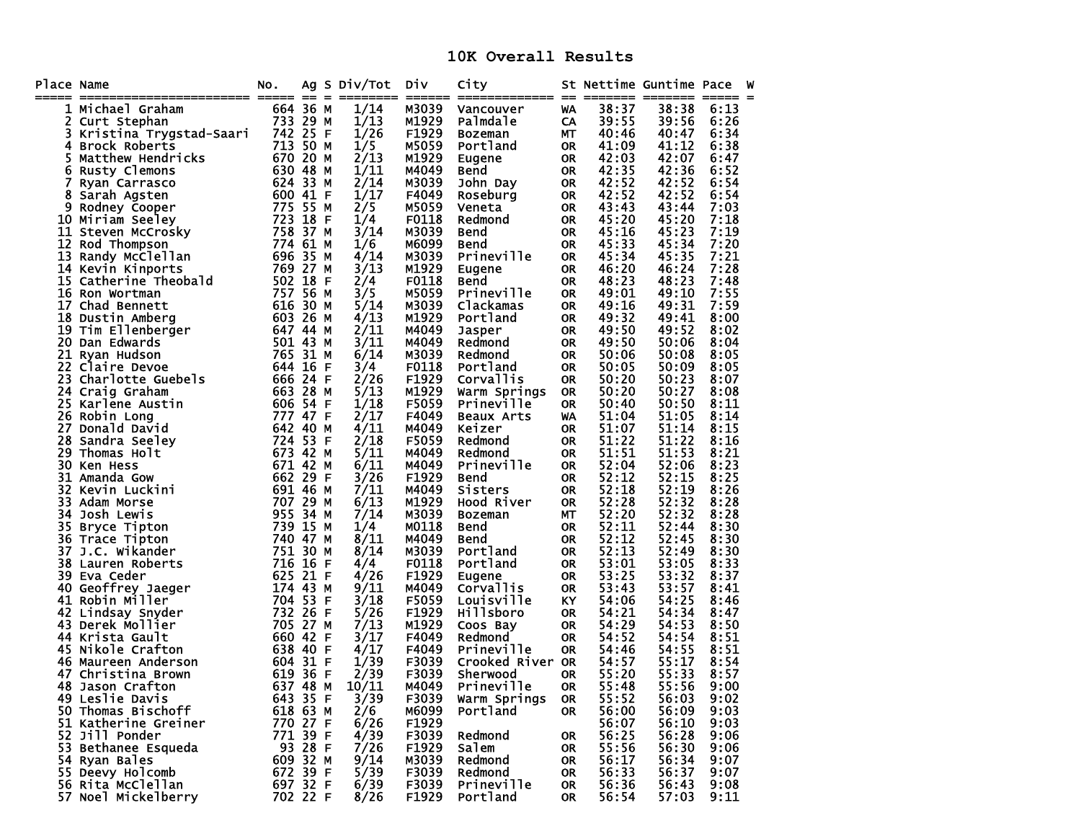**10K Overall Results** 

| Place Name |                                                                                                                                                                                                                                                                    | No.                  |         | Ag S Div/Tot                | DIV            | City                  |                        |                | St Nettime Guntime Pace |              | W |
|------------|--------------------------------------------------------------------------------------------------------------------------------------------------------------------------------------------------------------------------------------------------------------------|----------------------|---------|-----------------------------|----------------|-----------------------|------------------------|----------------|-------------------------|--------------|---|
|            | 1 Michael Graham                                                                                                                                                                                                                                                   | 664 36 M             |         | 1/14                        | M3039          | Vancouver             | WA                     | 38:37          | 38:38                   | 6:13         |   |
|            | 2 Curt Stephan                                                                                                                                                                                                                                                     | 733 29 M             |         | 1/13                        | M1929          | Palmdale              | CA                     | 39:55          | 39:56                   | 6:26         |   |
| 3          | Kristina Trygstad-Saari                                                                                                                                                                                                                                            | 742 25 F             |         | 1/26                        | F1929          | Bozeman               | МT                     | 40:46          | 40:47                   | 6:34         |   |
| 4          | <b>Brock Roberts</b>                                                                                                                                                                                                                                               | 713 50 M             |         | $\overline{1}/\overline{5}$ | M5059          | Portland              | <b>OR</b>              | 41:09          | 41:12                   | 6:38         |   |
| 5          | Matthew Hendricks                                                                                                                                                                                                                                                  | 670 20 M             |         | $\frac{1}{2}$ /13           | M1929          | Eugene                | <b>OR</b>              | 42:03          | 42:07                   | 6:47         |   |
| 6          | Rusty Clemons                                                                                                                                                                                                                                                      | 630 48 M             |         | 1/11                        | M4049          | Bend                  | <b>OR</b>              | 42:35          | 42:36                   | 6:52         |   |
| 7          | Ryan Carrasco                                                                                                                                                                                                                                                      | 624 33 M             |         | 2/14                        | M3039          | John Day              | <b>OR</b>              | 42:52          | 42:52                   | 6:54         |   |
| 8          | Sarah Agsten                                                                                                                                                                                                                                                       | 600 41 F             |         | 1/17                        | F4049          | Roseburg              | <b>OR</b>              | 42:52          | 42:52                   | 6:54         |   |
|            |                                                                                                                                                                                                                                                                    | 775 55 M             |         | 2/5                         | M5059          | Veneta                | <b>OR</b>              | 43:43          | 43:44                   | 7:03         |   |
|            |                                                                                                                                                                                                                                                                    | 723 18 F             |         | 1/4                         | F0118          | Redmond               | <b>OR</b>              | 45:20          | 45:20                   | 7:18         |   |
|            |                                                                                                                                                                                                                                                                    | 758 37 M             |         | 3/14                        | M3039          | <b>Bend</b>           | <b>OR</b>              | 45:16          | 45:23                   | 7:19         |   |
|            |                                                                                                                                                                                                                                                                    | 774 61 M             |         | 1/6                         | M6099          | Bend                  | <b>OR</b>              | 45:33          | 45:34                   | 7:20         |   |
|            |                                                                                                                                                                                                                                                                    | 696 35 M             |         | 4/14                        | M3039          | Prineville            | <b>OR</b>              | 45:34          | 45:35                   | 7:21         |   |
|            |                                                                                                                                                                                                                                                                    | 769 27 M             |         | 3/13                        | M1929          | Eugene                | <b>OR</b>              | 46:20          | 46:24                   | 7:28         |   |
|            |                                                                                                                                                                                                                                                                    | 502 18 F             |         | 2/4                         | F0118          | Bend                  | <b>OR</b>              | 48:23          | 48:23                   | 7:48         |   |
|            |                                                                                                                                                                                                                                                                    | 757 56 M             |         | 3/5                         | M5059          | Prineville            | <b>OR</b>              | 49:01          | 49:10                   | 7:55         |   |
|            |                                                                                                                                                                                                                                                                    | 616 30 M             |         | 5/14                        | M3039          | Clackamas             | <b>OR</b>              | 49:16          | 49:31                   | 7:59         |   |
|            |                                                                                                                                                                                                                                                                    | 603 26 M             |         | 4/13                        | M1929          | Portland              | <b>OR</b>              | 49:32          | 49:41                   | 8:00         |   |
|            |                                                                                                                                                                                                                                                                    | 647 44 M             |         | 2/11                        | M4049          | Jasper                | <b>OR</b>              | 49:50          | 49:52                   | 8:02         |   |
|            |                                                                                                                                                                                                                                                                    | 501 43 M             |         | 3/11                        | M4049          | Redmond               | <b>OR</b>              | 49:50          | 50:06                   | 8:04         |   |
|            |                                                                                                                                                                                                                                                                    | 765 31 M             |         | 6/14                        | M3039          | Redmond               | <b>OR</b>              | 50:06          | 50:08                   | 8:05         |   |
|            | 8 Sarah Agsten<br>9 Rodney Cooper<br>10 Miriam Seeley<br>11 Steven McCrosky<br>12 Rod Thompson<br>13 Randy McClellan<br>14 Kevin Kinports<br>15 Catherine Theobald<br>16 Ron Wortman<br>17 Chad Bennett<br>18 Dustin Amberg<br>19 Tim Ellenberger<br>20 Dan Edward | 644 16 F             |         | 3/4                         | F0118          | Portland              | <b>OR</b>              | 50:05          | 50:09                   | 8:05         |   |
|            |                                                                                                                                                                                                                                                                    | 666 24 F             |         | 2/26                        | F1929          | Corvallis             | <b>OR</b>              | 50:20          | 50:23                   | 8:07         |   |
|            |                                                                                                                                                                                                                                                                    | 663 28 M             |         | 5/13                        | M1929          | Warm Springs          | <b>OR</b>              | 50:20          | 50:27                   | 8:08         |   |
|            | <b>23 Charlotte Guebels<br/>24 Craig Graham<br/>25 Karlene Austin<br/>26 Robin Long<br/>27 Donald David<br/>28 Sandra Seeley<br/>29 Thomas Holt<br/>30 Ken Hess</b>                                                                                                | 606 54 F             |         | 1/18                        | F5059          | Prineville            | <b>OR</b>              | 50:40          | 50:50                   | 8:11         |   |
|            |                                                                                                                                                                                                                                                                    | 777 47 F             |         | 2/17                        | F4049          | <b>Beaux Arts</b>     | WA                     | 51:04          | 51:05                   | 8:14         |   |
|            |                                                                                                                                                                                                                                                                    | 642 40 M<br>724 53 F |         | 4/11                        | M4049<br>F5059 | Keizer                | <b>OR</b>              | 51:07          | 51:14                   | 8:15         |   |
|            |                                                                                                                                                                                                                                                                    | 673 42 M             |         | 2/18<br>5/11                |                | Redmond               | <b>OR</b>              | 51:22<br>51:51 | 51:22<br>51:53          | 8:16         |   |
| 30         |                                                                                                                                                                                                                                                                    | 671 42 M             |         | 6/11                        | M4049<br>M4049 | Redmond<br>Prineville | <b>OR</b><br><b>OR</b> | 52:04          | 52:06                   | 8:21<br>8:23 |   |
| 31         | Ken Hess                                                                                                                                                                                                                                                           | 662 29 F             |         | 3/26                        | F1929          |                       |                        | 52:12          | 52:15                   | 8:25         |   |
| 32         | Amanda Gow<br>Kevin Luckini                                                                                                                                                                                                                                        | 691 46 м             |         | 7/11                        | M4049          | Bend<br>Sisters       | <b>OR</b><br><b>OR</b> | 52:18          | 52:19                   | 8:26         |   |
| 33.        | Adam Morse                                                                                                                                                                                                                                                         | 707 29 M             |         | 6/13                        | M1929          | Hood River            | <b>OR</b>              | 52:28          | 52:32                   | 8:28         |   |
| 34         | Josh Lewis                                                                                                                                                                                                                                                         | 955 34 M             |         | 7/14                        | M3039          | <b>Bozeman</b>        | МT                     | 52:20          | 52:32                   | 8:28         |   |
| 35         | Bryce Tipton                                                                                                                                                                                                                                                       | 739 15 M             |         | 1/4                         | M0118          | <b>Bend</b>           | <b>OR</b>              | 52:11          | 52:44                   | 8:30         |   |
| 36         | Trace Tipton                                                                                                                                                                                                                                                       | 740 47 M             |         | 8/11                        | M4049          | Bend                  | <b>OR</b>              | 52:12          | 52:45                   | 8:30         |   |
| 37         | J.C. Wikander                                                                                                                                                                                                                                                      | 751 30 M             |         | 8/14                        | M3039          | Portland              | <b>OR</b>              | 52:13          | 52:49                   | 8:30         |   |
|            | 38 Lauren Roberts                                                                                                                                                                                                                                                  | 716 16 F             |         | 4/4                         | F0118          | Portland              | <b>OR</b>              | 53:01          | 53:05                   | 8:33         |   |
| 39         | Eva Ceder                                                                                                                                                                                                                                                          | 625 21 F             |         | 4/26                        | F1929          | <b>Eugene</b>         | <b>OR</b>              | 53:25          | 53:32                   | 8:37         |   |
| 40         |                                                                                                                                                                                                                                                                    | 174 43 M             |         | 9/11                        | M4049          | Corvallis             | <b>OR</b>              | 53:43          | 53:57                   | 8:41         |   |
|            | 41 Robin Miller                                                                                                                                                                                                                                                    | 704 53 F             |         | 3/18                        | F5059          | Louisville            | KY                     | 54:06          | 54:25                   | 8:46         |   |
|            | Geoffrey Jaeger<br>Robin Miller<br>Lindsay Snyder<br>42 Lindsay Snyder                                                                                                                                                                                             | 732 26 F             |         | 5/26                        | F1929          | Hillsboro             | <b>OR</b>              | 54:21          | 54:34                   | 8:47         |   |
|            | 43 Derek Mollier                                                                                                                                                                                                                                                   | 705 27 M             |         | 7/13                        | M1929          | Coos Bay              | <b>OR</b>              | 54:29          | 54:53                   | 8:50         |   |
|            | 44 Krista Gault                                                                                                                                                                                                                                                    | 660 42 F             |         | 3/17                        | F4049          | Redmond               | <b>OR</b>              | 54:52          | 54:54                   | 8:51         |   |
|            | 45 Nikole Crafton                                                                                                                                                                                                                                                  | 638 40 F             |         | 4/17                        | F4049          | <b>Prineville</b>     | <b>OR</b>              | 54:46          | 54:55                   | 8:51         |   |
|            | 46 Maureen Anderson                                                                                                                                                                                                                                                | 604 31 F             |         | 1/39                        | F3039          | Crooked River OR      |                        | 54:57          | 55:17                   | 8:54         |   |
|            | 47 Christina Brown                                                                                                                                                                                                                                                 | 619 36 F             |         | 2/39                        | F3039          | Sherwood              | <b>OR</b>              | 55:20          | 55:33                   | 8:57         |   |
|            | 637 48 M<br>48 Jason Crafton                                                                                                                                                                                                                                       |                      |         | 10/11                       | M4049          | <b>Prineville</b>     | <b>OR</b>              | 55:48          | 55:56                   | 9:00         |   |
|            | 49 Leslie Davis                                                                                                                                                                                                                                                    | 643 35 F             |         | 3/39                        | F3039          | Warm Springs          | <b>OR</b>              | 55:52          | 56:03                   | 9:02         |   |
|            | 50 Thomas Bischoff                                                                                                                                                                                                                                                 | 618 63 M             |         | 2/6                         | M6099          | Portland              | 0R                     | 56:00          | 56:09                   | 9:03         |   |
|            | 51 Katherine Greiner                                                                                                                                                                                                                                               | 770 27 F             |         | 6/26                        | F1929          |                       |                        | 56:07          | 56:10                   | 9:03         |   |
|            | 52 Jill Ponder                                                                                                                                                                                                                                                     | 771 39 F             |         | 4/39                        | F3039          | Redmond               | <b>OR</b>              | 56:25          | 56:28                   | 9:06         |   |
|            | 53 Bethanee Esqueda                                                                                                                                                                                                                                                |                      | 93 28 F | 7/26                        | F1929          | Salem                 | <b>OR</b>              | 55:56          | 56:30                   | 9:06         |   |
|            | 54 Ryan Bales                                                                                                                                                                                                                                                      | 609 32 M             |         | 9/14                        | M3039          | Redmond               | 0R                     | 56:17          | 56:34                   | 9:07         |   |
|            | 55 Deevy Holcomb                                                                                                                                                                                                                                                   | 672 39 F             |         | 5/39                        | F3039          | Redmond               | <b>OR</b>              | 56:33          | 56:37                   | 9:07         |   |
|            | 56 Rita McClellan                                                                                                                                                                                                                                                  | 697 32 F             |         | 6/39                        | F3039          | <b>Prineville</b>     | 0R                     | 56:36          | 56:43                   | 9:08         |   |
|            | 57 Noel Mickelberry                                                                                                                                                                                                                                                | 702 22 F             |         | 8/26                        | F1929          | Portland              | <b>OR</b>              | 56:54          | 57:03                   | 9:11         |   |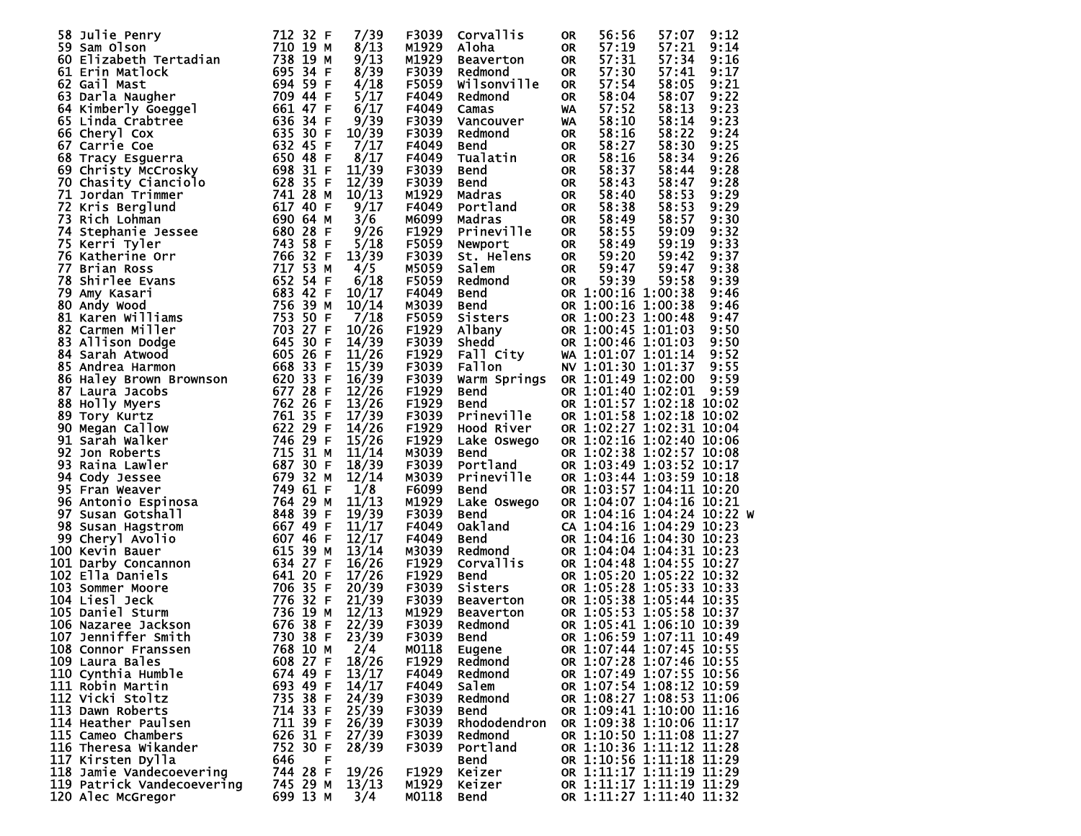| 58 Julie Penry<br>59 Sam Olson 712 32 F<br>60 Elizabeth Tertadian 738 19 M<br>61 Erin Matlock 695 34 F<br>62 Gail Mast 695 34 F<br>64 Kimberly Goeggel 709 447 FF<br>64 Kimberly Goeggel 661 47 FF<br>65 Linda Crabtree 636 34 FF<br>66 Cheryl      | 7/39                            | F3039 | Corvallis                                                                                   | <b>OR</b> | 56:56                      | 57:07 | 9:12 |
|-----------------------------------------------------------------------------------------------------------------------------------------------------------------------------------------------------------------------------------------------------|---------------------------------|-------|---------------------------------------------------------------------------------------------|-----------|----------------------------|-------|------|
|                                                                                                                                                                                                                                                     | 8/13                            | M1929 | Aloha                                                                                       | <b>OR</b> | 57:19                      | 57:21 | 9:14 |
|                                                                                                                                                                                                                                                     | 9/13                            | M1929 |                                                                                             | OR        | 57:31                      | 57:34 | 9:16 |
|                                                                                                                                                                                                                                                     | 8/39                            | F3039 | Beaverton<br>Redmond<br>Redmond                                                             | <b>OR</b> | 57:30                      | 57:41 | 9:17 |
|                                                                                                                                                                                                                                                     | 4/18                            | F5059 | Wilsonville                                                                                 | <b>OR</b> | 57:54                      | 58:05 | 9:21 |
|                                                                                                                                                                                                                                                     | 5/17                            | F4049 | Redmond                                                                                     | <b>OR</b> | 58:04                      | 58:07 | 9:22 |
|                                                                                                                                                                                                                                                     | 6/17                            | F4049 | Camas                                                                                       | <b>WA</b> | 57:52                      | 58:13 | 9:23 |
|                                                                                                                                                                                                                                                     | 9/39                            | F3039 | Vancouver                                                                                   | WA        | 58:10                      | 58:14 | 9:23 |
|                                                                                                                                                                                                                                                     | 10/39                           | F3039 | Redmond                                                                                     | <b>OR</b> | 58:16                      | 58:22 | 9:24 |
|                                                                                                                                                                                                                                                     | 7/17                            | F4049 | <b>Bend</b>                                                                                 | OR        | 58:27                      | 58:30 | 9:25 |
|                                                                                                                                                                                                                                                     | 8/17                            | F4049 | Tualatin                                                                                    | <b>OR</b> | 58:16                      | 58:34 | 9:26 |
|                                                                                                                                                                                                                                                     | 11/39                           | F3039 | Bend                                                                                        | <b>OR</b> | 58:37                      | 58:44 | 9:28 |
|                                                                                                                                                                                                                                                     | 12/39                           | F3039 | <b>Bend</b>                                                                                 | <b>OR</b> | 58:43                      | 58:47 | 9:28 |
|                                                                                                                                                                                                                                                     | 10/13                           | M1929 | Madras                                                                                      | <b>OR</b> | 58:40                      | 58:53 | 9:29 |
|                                                                                                                                                                                                                                                     | 9/17                            | F4049 | Portland                                                                                    | <b>OR</b> | 58:38                      | 58:53 | 9:29 |
|                                                                                                                                                                                                                                                     | 3/6                             | M6099 | Madras                                                                                      | <b>OR</b> | 58:49                      | 58:57 | 9:30 |
|                                                                                                                                                                                                                                                     | 9/26                            | F1929 | Prineville                                                                                  | OR        | 58:55                      | 59:09 | 9:32 |
|                                                                                                                                                                                                                                                     | 5/18                            | F5059 | Newport                                                                                     | OR        | 58:49                      | 59:19 | 9:33 |
|                                                                                                                                                                                                                                                     | 13/39                           | F3039 | St. Helens                                                                                  | OR        | 59:20                      | 59:42 | 9:37 |
|                                                                                                                                                                                                                                                     | 4/5                             | M5059 | Salem                                                                                       | <b>OR</b> | 59:47                      | 59:47 | 9:38 |
|                                                                                                                                                                                                                                                     | 6/18                            | F5059 |                                                                                             | <b>OR</b> | 59:39                      | 59:58 | 9:39 |
|                                                                                                                                                                                                                                                     | 10/17                           | F4049 |                                                                                             |           | OR 1:00:16 1:00:38         |       | 9:46 |
|                                                                                                                                                                                                                                                     | 10/14                           | M3039 |                                                                                             |           | OR 1:00:16 1:00:38         |       | 9:46 |
|                                                                                                                                                                                                                                                     | 7/18                            | F5059 |                                                                                             |           | OR 1:00:23 1:00:48         |       | 9:47 |
|                                                                                                                                                                                                                                                     | 10/26                           | F1929 | <b>Sadmond<br/>Bend<br/>Bend<br/>Sisters<br/>Albany<br/>Shedd<br/>Fall City<br/>Fall On</b> |           | OR 1:00:45 1:01:03         |       | 9:50 |
|                                                                                                                                                                                                                                                     | 14/39                           | F3039 |                                                                                             |           | OR 1:00:46 1:01:03         |       | 9:50 |
|                                                                                                                                                                                                                                                     | 11/26                           | F1929 |                                                                                             |           | WA 1:01:07 1:01:14         |       | 9:52 |
|                                                                                                                                                                                                                                                     | 15/39                           | F3039 | <b>Fallon</b>                                                                               |           | NV 1:01:30 1:01:37         |       | 9:55 |
|                                                                                                                                                                                                                                                     | 16/39                           | F3039 | Warm Springs OR 1:01:49 1:02:00                                                             |           |                            |       | 9:59 |
|                                                                                                                                                                                                                                                     | 12/26                           | F1929 | Bend                                                                                        |           | OR 1:01:40 1:02:01         |       | 9:59 |
|                                                                                                                                                                                                                                                     | 13/26                           | F1929 | <b>Bend</b>                                                                                 |           | OR 1:01:57 1:02:18 10:02   |       |      |
|                                                                                                                                                                                                                                                     | 17/39                           | F3039 | Prineville                                                                                  |           | OR 1:01:58 1:02:18 10:02   |       |      |
|                                                                                                                                                                                                                                                     | 14/26                           | F1929 | Hood River                                                                                  |           | OR 1:02:27 1:02:31 10:04   |       |      |
|                                                                                                                                                                                                                                                     | 15/26                           | F1929 | Lake Oswego                                                                                 |           | OR 1:02:16 1:02:40 10:06   |       |      |
|                                                                                                                                                                                                                                                     | 11/14                           | M3039 | <b>Bend</b>                                                                                 |           | OR 1:02:38 1:02:57 10:08   |       |      |
|                                                                                                                                                                                                                                                     | 18/39                           | F3039 | Portland                                                                                    |           | OR 1:03:49 1:03:52 10:17   |       |      |
|                                                                                                                                                                                                                                                     | 12/14                           | M3039 | Prineville                                                                                  |           | OR 1:03:44 1:03:59 10:18   |       |      |
| 72 Kris Berglund<br>174 Stephanie Jessee<br>175 Rich Lohman<br>1617 4 Stephanie Jessee<br>175 Rentri Tyler<br>176 Sachier Por 1746 32 F<br>177 Brian Ross<br>177 Brian Ross<br>177 Brian Ross<br>177 Brian Ross<br>177 Brian Ross<br>177 Brian Ross | 1/8                             | F6099 | <b>Bend</b>                                                                                 |           | OR 1:03:57 1:04:11 10:20   |       |      |
|                                                                                                                                                                                                                                                     | 11/13                           | M1929 | Lake Oswego                                                                                 |           | OR 1:04:07 1:04:16 10:21   |       |      |
|                                                                                                                                                                                                                                                     | 19/39                           | F3039 | <b>Bend</b>                                                                                 |           | OR 1:04:16 1:04:24 10:22 W |       |      |
|                                                                                                                                                                                                                                                     | 11/17                           | F4049 |                                                                                             |           | CA 1:04:16 1:04:29 10:23   |       |      |
|                                                                                                                                                                                                                                                     | 12/17                           | F4049 | Oakland<br>Bend<br>Redmo <u>nd</u>                                                          |           | OR 1:04:16 1:04:30 10:23   |       |      |
|                                                                                                                                                                                                                                                     | 13/14                           | M3039 |                                                                                             |           | OR 1:04:04 1:04:31 10:23   |       |      |
|                                                                                                                                                                                                                                                     | 16/26                           | F1929 | Corvallis                                                                                   |           | OR 1:04:48 1:04:55 10:27   |       |      |
|                                                                                                                                                                                                                                                     | 17/26                           | F1929 | <b>Bend</b>                                                                                 |           | OR 1:05:20 1:05:22 10:32   |       |      |
|                                                                                                                                                                                                                                                     | 20/39                           | F3039 | Sisters                                                                                     |           | OR 1:05:28 1:05:33 10:33   |       |      |
|                                                                                                                                                                                                                                                     | 21/39                           | F3039 | Beaverton                                                                                   |           | OR 1:05:38 1:05:44 10:35   |       |      |
|                                                                                                                                                                                                                                                     | 12/13                           | M1929 | Beaverton                                                                                   |           | OR 1:05:53 1:05:58 10:37   |       |      |
|                                                                                                                                                                                                                                                     | 22/39                           | F3039 | Redmond                                                                                     |           | OR 1:05:41 1:06:10 10:39   |       |      |
| 107 Jenniffer Smith 730 38 F                                                                                                                                                                                                                        |                                 | F3039 | Bend                                                                                        |           | OR 1:06:59 1:07:11 10:49   |       |      |
| 108 Connor Franssen                                                                                                                                                                                                                                 | $\frac{23/39}{2/4}$<br>768 10 M | M0118 | Eugene                                                                                      |           | OR 1:07:44 1:07:45 10:55   |       |      |
| 109 Laura Bales                                                                                                                                                                                                                                     | 608 27 F<br>18/26               | F1929 | Redmond                                                                                     |           | OR 1:07:28 1:07:46 10:55   |       |      |
| 110 Cynthia Humble                                                                                                                                                                                                                                  | 674 49 F<br>13/17               | F4049 | Redmond                                                                                     |           | OR 1:07:49 1:07:55 10:56   |       |      |
| 111 Robin Martin                                                                                                                                                                                                                                    | 693 49 F<br>14/17               | F4049 | Salem                                                                                       |           | OR 1:07:54 1:08:12 10:59   |       |      |
| 112 Vicki Stoltz                                                                                                                                                                                                                                    | 735 38 F<br>24/39               | F3039 | Redmond                                                                                     |           | OR 1:08:27 1:08:53 11:06   |       |      |
| 113 Dawn Roberts                                                                                                                                                                                                                                    | 714 33 F<br>25/39               | F3039 | <b>Bend</b>                                                                                 |           | OR 1:09:41 1:10:00 11:16   |       |      |
| 114 Heather Paulsen                                                                                                                                                                                                                                 | 711 39 F<br>26/39               | F3039 | Rhododendron                                                                                |           | OR 1:09:38 1:10:06 11:17   |       |      |
| 115 Cameo Chambers                                                                                                                                                                                                                                  | 626 31 F<br>27/39               | F3039 | Redmond                                                                                     |           | OR 1:10:50 1:11:08 11:27   |       |      |
| 116 Theresa Wikander                                                                                                                                                                                                                                | 752 30 F<br>28/39               | F3039 | Portland                                                                                    |           | OR 1:10:36 1:11:12 11:28   |       |      |
| 117 Kirsten Dylla                                                                                                                                                                                                                                   | 646<br>F                        |       | <b>Bend</b>                                                                                 |           | OR 1:10:56 1:11:18 11:29   |       |      |
| 118 Jamie Vandecoevering                                                                                                                                                                                                                            | 744 28 F<br>19/26               | F1929 | Keizer                                                                                      |           | OR 1:11:17 1:11:19 11:29   |       |      |
| 119 Patrick Vandecoevering                                                                                                                                                                                                                          | 745 29 M<br>13/13               | M1929 | Keizer                                                                                      |           | OR 1:11:17 1:11:19 11:29   |       |      |
| 120 Alec McGregor                                                                                                                                                                                                                                   | 699 13 M<br>3/4                 | M0118 | <b>Bend</b>                                                                                 |           | OR 1:11:27 1:11:40 11:32   |       |      |
|                                                                                                                                                                                                                                                     |                                 |       |                                                                                             |           |                            |       |      |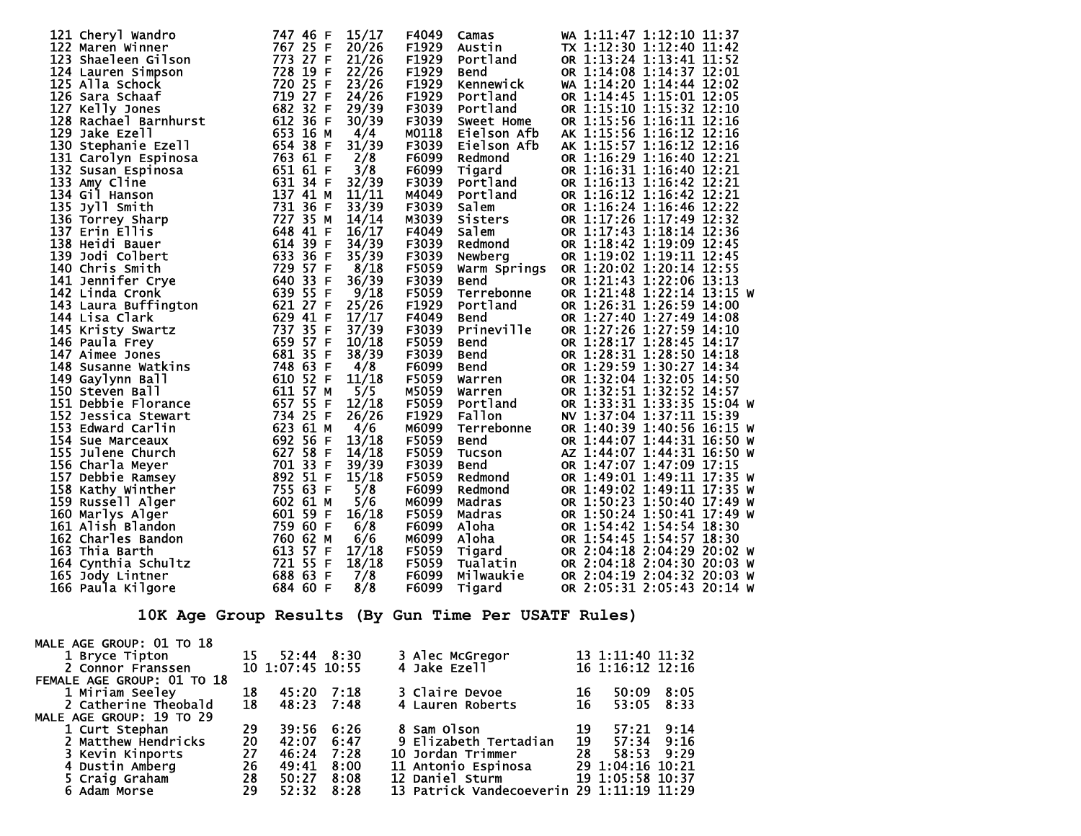| 15/17<br>F4049<br>WA 1:11:47 1:12:10 11:37<br>Camas<br>TX 1:12:30 1:12:40 11:42<br>20/26<br>F1929<br>Austin<br>21/26<br>F1929<br>OR 1:13:24 1:13:41 11:52<br>Portland<br>22/26<br>F1929<br>OR 1:14:08 1:14:37 12:01<br><b>Bend</b><br>Change of The Capture of Capture of Capture of Capture of Capture of Capture of Capture of Capture Capture (Capture Capture Capture Capture Capture Capture Capture Capture Capture Capture Capture Capture Capture Capture Ca<br>23/26<br>F1929<br>WA 1:14:20 1:14:44 12:02<br>Kennewi ck<br>F1929<br>24/26<br>OR 1:14:45 1:15:01 12:05<br>Portland<br>29/39<br>F3039<br>OR 1:15:10 1:15:32 12:10<br>Portland<br>F3039<br>OR 1:15:56 1:16:11 12:16<br>30/39<br>Sweet Home<br>M0118<br>4/4<br>Eielson Afb<br>AK 1:15:56 1:16:12 12:16<br>31/39<br>F3039<br>AK 1:15:57 1:16:12 12:16<br>Eielson Afb<br>F6099<br>2/8<br>OR 1:16:29 1:16:40 12:21<br>Redmond<br>3/8<br>F6099<br>OR 1:16:31 1:16:40 12:21<br>Tigard<br>32/39<br>F3039<br>Portland<br>OR 1:16:13 1:16:42 12:21<br>M4049<br>Portland<br>11/11<br>OR 1:16:12 1:16:42 12:21 |  |
|---------------------------------------------------------------------------------------------------------------------------------------------------------------------------------------------------------------------------------------------------------------------------------------------------------------------------------------------------------------------------------------------------------------------------------------------------------------------------------------------------------------------------------------------------------------------------------------------------------------------------------------------------------------------------------------------------------------------------------------------------------------------------------------------------------------------------------------------------------------------------------------------------------------------------------------------------------------------------------------------------------------------------------------------------------------------------|--|
|                                                                                                                                                                                                                                                                                                                                                                                                                                                                                                                                                                                                                                                                                                                                                                                                                                                                                                                                                                                                                                                                           |  |
|                                                                                                                                                                                                                                                                                                                                                                                                                                                                                                                                                                                                                                                                                                                                                                                                                                                                                                                                                                                                                                                                           |  |
|                                                                                                                                                                                                                                                                                                                                                                                                                                                                                                                                                                                                                                                                                                                                                                                                                                                                                                                                                                                                                                                                           |  |
|                                                                                                                                                                                                                                                                                                                                                                                                                                                                                                                                                                                                                                                                                                                                                                                                                                                                                                                                                                                                                                                                           |  |
|                                                                                                                                                                                                                                                                                                                                                                                                                                                                                                                                                                                                                                                                                                                                                                                                                                                                                                                                                                                                                                                                           |  |
|                                                                                                                                                                                                                                                                                                                                                                                                                                                                                                                                                                                                                                                                                                                                                                                                                                                                                                                                                                                                                                                                           |  |
|                                                                                                                                                                                                                                                                                                                                                                                                                                                                                                                                                                                                                                                                                                                                                                                                                                                                                                                                                                                                                                                                           |  |
|                                                                                                                                                                                                                                                                                                                                                                                                                                                                                                                                                                                                                                                                                                                                                                                                                                                                                                                                                                                                                                                                           |  |
|                                                                                                                                                                                                                                                                                                                                                                                                                                                                                                                                                                                                                                                                                                                                                                                                                                                                                                                                                                                                                                                                           |  |
|                                                                                                                                                                                                                                                                                                                                                                                                                                                                                                                                                                                                                                                                                                                                                                                                                                                                                                                                                                                                                                                                           |  |
|                                                                                                                                                                                                                                                                                                                                                                                                                                                                                                                                                                                                                                                                                                                                                                                                                                                                                                                                                                                                                                                                           |  |
|                                                                                                                                                                                                                                                                                                                                                                                                                                                                                                                                                                                                                                                                                                                                                                                                                                                                                                                                                                                                                                                                           |  |
|                                                                                                                                                                                                                                                                                                                                                                                                                                                                                                                                                                                                                                                                                                                                                                                                                                                                                                                                                                                                                                                                           |  |
|                                                                                                                                                                                                                                                                                                                                                                                                                                                                                                                                                                                                                                                                                                                                                                                                                                                                                                                                                                                                                                                                           |  |
|                                                                                                                                                                                                                                                                                                                                                                                                                                                                                                                                                                                                                                                                                                                                                                                                                                                                                                                                                                                                                                                                           |  |
| 33/39<br>F3039<br>OR 1:16:24 1:16:46 12:22<br>Salem                                                                                                                                                                                                                                                                                                                                                                                                                                                                                                                                                                                                                                                                                                                                                                                                                                                                                                                                                                                                                       |  |
| M3039<br>OR 1:17:26 1:17:49 12:32<br>14/14                                                                                                                                                                                                                                                                                                                                                                                                                                                                                                                                                                                                                                                                                                                                                                                                                                                                                                                                                                                                                                |  |
| Sisters<br>Salem<br>Redmond<br>648 41 F<br>16/17<br>F4049<br>OR 1:17:43 1:18:14 12:36<br>137 Erin Ellis                                                                                                                                                                                                                                                                                                                                                                                                                                                                                                                                                                                                                                                                                                                                                                                                                                                                                                                                                                   |  |
| 614 39 F<br>34/39<br>F3039<br>OR 1:18:42 1:19:09 12:45<br>138 Heidi Bauer                                                                                                                                                                                                                                                                                                                                                                                                                                                                                                                                                                                                                                                                                                                                                                                                                                                                                                                                                                                                 |  |
| 633 36<br>F<br>35/39<br>F3039<br>OR 1:19:02 1:19:11 12:45<br>139 Jodi Colbert<br>Newberg                                                                                                                                                                                                                                                                                                                                                                                                                                                                                                                                                                                                                                                                                                                                                                                                                                                                                                                                                                                  |  |
| 729 57 F<br>8/18<br>F5059<br>Warm Springs OR 1:20:02 1:20:14 12:55<br>140 Chris Smith                                                                                                                                                                                                                                                                                                                                                                                                                                                                                                                                                                                                                                                                                                                                                                                                                                                                                                                                                                                     |  |
| 36/39<br>OR 1:21:43 1:22:06 13:13<br>F3039<br><b>Bend</b>                                                                                                                                                                                                                                                                                                                                                                                                                                                                                                                                                                                                                                                                                                                                                                                                                                                                                                                                                                                                                 |  |
| 9/18<br>F5059<br>Terrebonne<br>OR 1:21:48 1:22:14 13:15 W                                                                                                                                                                                                                                                                                                                                                                                                                                                                                                                                                                                                                                                                                                                                                                                                                                                                                                                                                                                                                 |  |
|                                                                                                                                                                                                                                                                                                                                                                                                                                                                                                                                                                                                                                                                                                                                                                                                                                                                                                                                                                                                                                                                           |  |
| 140 Chris Smith<br>141 Jennifer Crye<br>142 Linda Cronk<br>143 Laura Buffington<br>143 Laura Buffington<br>144 Lisa Clark<br>145 Kristy Swartz<br>146 Paula Frey<br>147 Aimee Jones<br>148 Susanne Watkins<br>148 Susanne Watkins<br>148 G31 35 F<br>25/26<br>F1929<br>OR 1:26:31 1:26:59 14:00<br>Portland                                                                                                                                                                                                                                                                                                                                                                                                                                                                                                                                                                                                                                                                                                                                                               |  |
| 17/17<br>F4049<br>OR 1:27:40 1:27:49 14:08<br><b>Bend</b>                                                                                                                                                                                                                                                                                                                                                                                                                                                                                                                                                                                                                                                                                                                                                                                                                                                                                                                                                                                                                 |  |
| Prineville<br>F3039<br>37/39<br>OR 1:27:26 1:27:59 14:10                                                                                                                                                                                                                                                                                                                                                                                                                                                                                                                                                                                                                                                                                                                                                                                                                                                                                                                                                                                                                  |  |
| OR 1:28:17 1:28:45 14:17<br>10/18<br>F5059<br><b>Bend</b>                                                                                                                                                                                                                                                                                                                                                                                                                                                                                                                                                                                                                                                                                                                                                                                                                                                                                                                                                                                                                 |  |
| F3039<br>38/39<br>OR 1:28:31 1:28:50 14:18<br><b>Bend</b>                                                                                                                                                                                                                                                                                                                                                                                                                                                                                                                                                                                                                                                                                                                                                                                                                                                                                                                                                                                                                 |  |
| 748 63 F<br>F6099<br>OR 1:29:59 1:30:27 14:34<br>4/8<br><b>Bend</b>                                                                                                                                                                                                                                                                                                                                                                                                                                                                                                                                                                                                                                                                                                                                                                                                                                                                                                                                                                                                       |  |
| 610 52 F<br>OR 1:32:04 1:32:05 14:50<br>11/18<br>F5059<br>Warren                                                                                                                                                                                                                                                                                                                                                                                                                                                                                                                                                                                                                                                                                                                                                                                                                                                                                                                                                                                                          |  |
| 611 57 M<br>5/5<br>M5059<br>OR 1:32:51 1:32:52 14:57                                                                                                                                                                                                                                                                                                                                                                                                                                                                                                                                                                                                                                                                                                                                                                                                                                                                                                                                                                                                                      |  |
| warren<br>Portland<br>F-11<br>657 55 F<br>OR 1:33:31 1:33:35 15:04 W<br>12/18<br>F5059                                                                                                                                                                                                                                                                                                                                                                                                                                                                                                                                                                                                                                                                                                                                                                                                                                                                                                                                                                                    |  |
| 734 25 F<br>26/26<br>F <sub>1929</sub><br><b>Fallon</b><br>NV 1:37:04 1:37:11 15:39                                                                                                                                                                                                                                                                                                                                                                                                                                                                                                                                                                                                                                                                                                                                                                                                                                                                                                                                                                                       |  |
| 148 Susanne Watkins<br>149 Gaylynn Ball<br>150 Steven Ball<br>151 Debbie Florance<br>152 Jessica Stewart<br>153 Edward Carlin<br>623 61 M                                                                                                                                                                                                                                                                                                                                                                                                                                                                                                                                                                                                                                                                                                                                                                                                                                                                                                                                 |  |
| 153 Edward Carlin<br>M6099<br>OR 1:40:39 1:40:56 16:15 W<br>4/6<br>Terrebonne                                                                                                                                                                                                                                                                                                                                                                                                                                                                                                                                                                                                                                                                                                                                                                                                                                                                                                                                                                                             |  |
| 692 56 F<br>154 Sue Marceaux<br>13/18<br>F5059<br>OR 1:44:07 1:44:31 16:50 W<br><b>Bend</b>                                                                                                                                                                                                                                                                                                                                                                                                                                                                                                                                                                                                                                                                                                                                                                                                                                                                                                                                                                               |  |
| 627 58 F<br>14/18<br>F5059<br>155 Julene Church<br>AZ 1:44:07 1:44:31 16:50 W<br><b>Tucson</b>                                                                                                                                                                                                                                                                                                                                                                                                                                                                                                                                                                                                                                                                                                                                                                                                                                                                                                                                                                            |  |
| 701 33 F<br>F3039<br>OR 1:47:07 1:47:09 17:15<br>156 Charla Meyer<br>39/39<br><b>Bend</b>                                                                                                                                                                                                                                                                                                                                                                                                                                                                                                                                                                                                                                                                                                                                                                                                                                                                                                                                                                                 |  |
| 892 51 F<br>15/18<br>F5059<br>OR 1:49:01 1:49:11 17:35 W<br>157 Debbie Ramsey<br>Redmond                                                                                                                                                                                                                                                                                                                                                                                                                                                                                                                                                                                                                                                                                                                                                                                                                                                                                                                                                                                  |  |
| 755 63 F<br>5/8<br>F6099<br>OR 1:49:02 1:49:11 17:35 W<br>158 Kathy Winther<br>Redmond                                                                                                                                                                                                                                                                                                                                                                                                                                                                                                                                                                                                                                                                                                                                                                                                                                                                                                                                                                                    |  |
| 159 Russell Alger<br>602 61 M<br>5/6<br>M6099<br>OR 1:50:23 1:50:40 17:49 W<br>Madras                                                                                                                                                                                                                                                                                                                                                                                                                                                                                                                                                                                                                                                                                                                                                                                                                                                                                                                                                                                     |  |
| 601 59 F<br>16/18<br>F5059<br>160 Marlys Alger<br>OR 1:50:24 1:50:41 17:49 W<br>Madras                                                                                                                                                                                                                                                                                                                                                                                                                                                                                                                                                                                                                                                                                                                                                                                                                                                                                                                                                                                    |  |
| 759 60 F<br>F6099<br>161 Alish Blandon<br>6/8<br>OR 1:54:42 1:54:54 18:30<br>Aloha                                                                                                                                                                                                                                                                                                                                                                                                                                                                                                                                                                                                                                                                                                                                                                                                                                                                                                                                                                                        |  |
| 760 62 M<br>Aloha<br>OR 1:54:45 1:54:57 18:30                                                                                                                                                                                                                                                                                                                                                                                                                                                                                                                                                                                                                                                                                                                                                                                                                                                                                                                                                                                                                             |  |
| 6/6<br>M6099<br>162 Charles Bandon                                                                                                                                                                                                                                                                                                                                                                                                                                                                                                                                                                                                                                                                                                                                                                                                                                                                                                                                                                                                                                        |  |
| 613 57 F<br>17/18<br>F5059<br>OR 2:04:18 2:04:29 20:02 W<br>163 Thia Barth<br>Tigard                                                                                                                                                                                                                                                                                                                                                                                                                                                                                                                                                                                                                                                                                                                                                                                                                                                                                                                                                                                      |  |
| 721 55 F<br>18/18<br>F5059<br>OR 2:04:18 2:04:30 20:03 W<br>164 Cynthia Schultz<br>Tualatin                                                                                                                                                                                                                                                                                                                                                                                                                                                                                                                                                                                                                                                                                                                                                                                                                                                                                                                                                                               |  |
| 688 63 F<br>7/8<br>F6099<br>OR 2:04:19 2:04:32 20:03 W<br>165 Jody Lintner<br>Milwaukie                                                                                                                                                                                                                                                                                                                                                                                                                                                                                                                                                                                                                                                                                                                                                                                                                                                                                                                                                                                   |  |
| 684 60 F<br>F6099<br>OR 2:05:31 2:05:43 20:14 W<br>166 Paula Kilgore<br>8/8<br>Tigard                                                                                                                                                                                                                                                                                                                                                                                                                                                                                                                                                                                                                                                                                                                                                                                                                                                                                                                                                                                     |  |

 **10K Age Group Results (By Gun Time Per USATF Rules)** 

| MALE AGE GROUP: 01 TO 18   |    |                  |                |                                           |    |                  |      |
|----------------------------|----|------------------|----------------|-------------------------------------------|----|------------------|------|
| 1 Bryce Tipton             | 15 |                  | $52:44$ $8:30$ | 3 Alec McGregor                           |    | 13 1:11:40 11:32 |      |
| 2 Connor Franssen          |    | 10 1:07:45 10:55 |                | 4 Jake Ezell                              |    | 16 1:16:12 12:16 |      |
| FEMALE AGE GROUP: 01 TO 18 |    |                  |                |                                           |    |                  |      |
| 1 Miriam Seeley            | 18 | 45:20            | 7:18           | 3 Claire Devoe                            | 16 | 50:09            | 8:05 |
| 2 Catherine Theobald       | 18 | 48:23            | 7:48           | 4 Lauren Roberts                          | 16 | 53:05            | 8:33 |
| MALE AGE GROUP: 19 TO 29   |    |                  |                |                                           |    |                  |      |
| 1 Curt Stephan             | 29 | 39:56            | 6:26           | 8 Sam Olson                               | 19 | 57:21            | 9:14 |
| 2 Matthew Hendricks        | 20 | 42:07            | 6:47           | 9 Elizabeth Tertadian                     | 19 | $57:34$ $9:16$   |      |
| 3 Kevin Kinports           | 27 | 46:24            | 7:28           | 10 Jordan Trimmer                         | 28 | 58:53            | 9:29 |
| 4 Dustin Amberg            | 26 | 49:41            | 8:00           | 11 Antonio Espinosa                       |    | 29 1:04:16 10:21 |      |
| 5 Craig Graham             | 28 | 50:27            | 8:08           | 12 Daniel Sturm                           |    | 19 1:05:58 10:37 |      |
| 6 Adam Morse               | 29 | 52:32            | 8:28           | 13 Patrick Vandecoeverin 29 1:11:19 11:29 |    |                  |      |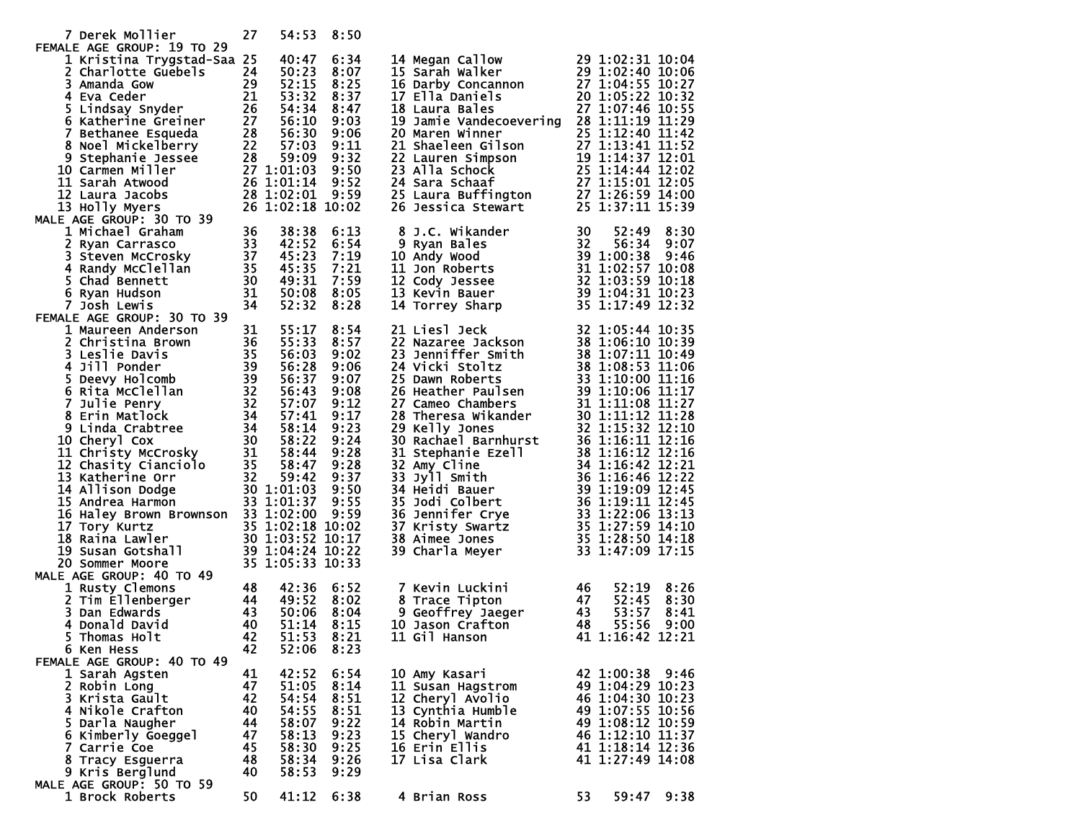| 7 Derek Mollier                                                                                                                                                                                                                                                            | 27       | 54:53          | 8:50         |                                                                                                                                                                                                                                                                  |      |                                      |      |
|----------------------------------------------------------------------------------------------------------------------------------------------------------------------------------------------------------------------------------------------------------------------------|----------|----------------|--------------|------------------------------------------------------------------------------------------------------------------------------------------------------------------------------------------------------------------------------------------------------------------|------|--------------------------------------|------|
| FEMALE AGE GROUP: 19 TO 29                                                                                                                                                                                                                                                 |          |                |              |                                                                                                                                                                                                                                                                  |      |                                      |      |
| 1 Kristina Trygstad-Saa 25<br>1 Kristina Trygstad-Saa 25 40:47 6:34<br>2 Charlotte Guebels 24 50:23 8:07<br>3 Amanda Gow 29 52:15 8:25<br>4 Eva Ceder<br>21 53:32 8:25<br>5 Lindsay Snyder 26 54:34 8:47<br>6 Katherine Greiner 27 56:10 9:03<br>7 Bethanee Esqueda 28 56: |          | 40:47          | 6:34         | 14 Megan Callow 29 1:02:31 10:04<br>15 Sarah Walker 29 1:02:40 10:06<br>16 Darby Concannon 27 1:04:55 10:27<br>17 Ella Daniels 20 1:05:22 10:32<br>18 Laura Bales 27 1:07:46 10:55<br>19 Jamie Vandecessering 23 1:07:46 10:55                                   |      |                                      |      |
|                                                                                                                                                                                                                                                                            |          |                |              |                                                                                                                                                                                                                                                                  |      |                                      |      |
|                                                                                                                                                                                                                                                                            |          |                |              |                                                                                                                                                                                                                                                                  |      |                                      |      |
|                                                                                                                                                                                                                                                                            |          |                |              | 1/ Ella Dannels<br>18 Laura Bales<br>19 Jamie Vandecoevering 28 1:12:19 11:29<br>20 Maren Winner<br>21 Shaeleen Gilson<br>27 1:12:40 11:42<br>21 Shaeleen Gilson<br>27 1:13:41 11:52<br>22 Lauren Simpson<br>19 1:14:37 12:01<br>23 Alla Schock<br>2             |      |                                      |      |
|                                                                                                                                                                                                                                                                            |          |                |              |                                                                                                                                                                                                                                                                  |      |                                      |      |
|                                                                                                                                                                                                                                                                            |          |                |              |                                                                                                                                                                                                                                                                  |      |                                      |      |
|                                                                                                                                                                                                                                                                            |          |                |              |                                                                                                                                                                                                                                                                  |      |                                      |      |
|                                                                                                                                                                                                                                                                            |          |                |              |                                                                                                                                                                                                                                                                  |      |                                      |      |
| 10 Carmen Miller                                                                                                                                                                                                                                                           |          |                |              |                                                                                                                                                                                                                                                                  |      |                                      |      |
| 11 Sarah Atwood                                                                                                                                                                                                                                                            |          |                |              |                                                                                                                                                                                                                                                                  |      |                                      |      |
| 12 Laura Jacobs                                                                                                                                                                                                                                                            |          |                |              |                                                                                                                                                                                                                                                                  |      |                                      |      |
| 13 Holly Myers                                                                                                                                                                                                                                                             |          |                |              |                                                                                                                                                                                                                                                                  |      |                                      |      |
| MALE AGE GROUP: 30 TO 39                                                                                                                                                                                                                                                   |          |                |              |                                                                                                                                                                                                                                                                  |      |                                      |      |
|                                                                                                                                                                                                                                                                            |          |                | 6:13         |                                                                                                                                                                                                                                                                  |      |                                      |      |
|                                                                                                                                                                                                                                                                            |          |                | 6:54         |                                                                                                                                                                                                                                                                  |      |                                      |      |
|                                                                                                                                                                                                                                                                            |          |                | 7:19         |                                                                                                                                                                                                                                                                  |      |                                      |      |
|                                                                                                                                                                                                                                                                            |          |                | 7:21         |                                                                                                                                                                                                                                                                  |      |                                      |      |
|                                                                                                                                                                                                                                                                            |          |                | 7:59         |                                                                                                                                                                                                                                                                  |      |                                      |      |
|                                                                                                                                                                                                                                                                            |          |                | 50:08 8:05   |                                                                                                                                                                                                                                                                  |      |                                      |      |
| 2 Ryan Carrasco<br>3 Steven McCrosky<br>3 42:52<br>3 Steven McCrosky<br>4 Randy McClellan<br>5 Chad Bennett<br>5 Age 30 49:31<br>6 Ryan Hudson<br>7 Josh Lewis<br>1 50:08<br>7 Josh Lewis<br>1 50:08<br>1 50:08<br>1 1 50:08                                               |          |                | 8:28         | 8 J.C. wikander<br>9 Ryan Bales<br>10 Andy Wood<br>11 Jon Roberts<br>12 Cody Jessee<br>13 Kevin Bauer<br>14 Torrey Sharp<br>14 Torrey Sharp<br>14 10:23<br>14 10:23<br>14 10:23<br>14 10:23<br>14 10:23<br>14 10:23<br>14 10:23<br>14 10:23<br>14 10:23<br>14 10 |      |                                      |      |
| FEMALE AGE GROUP: 30 TO 39                                                                                                                                                                                                                                                 |          |                |              |                                                                                                                                                                                                                                                                  |      |                                      |      |
|                                                                                                                                                                                                                                                                            |          |                |              |                                                                                                                                                                                                                                                                  |      |                                      |      |
|                                                                                                                                                                                                                                                                            |          |                |              |                                                                                                                                                                                                                                                                  |      |                                      |      |
|                                                                                                                                                                                                                                                                            |          |                |              |                                                                                                                                                                                                                                                                  |      |                                      |      |
|                                                                                                                                                                                                                                                                            |          |                |              |                                                                                                                                                                                                                                                                  |      |                                      |      |
|                                                                                                                                                                                                                                                                            |          |                |              |                                                                                                                                                                                                                                                                  |      |                                      |      |
|                                                                                                                                                                                                                                                                            |          |                |              |                                                                                                                                                                                                                                                                  |      |                                      |      |
| MALE AGE GROUP: 30 TO 39<br>1 Maureen Anderson<br>2 Christina Brown<br>36 55:33 8:57<br>3 Leslie Davis<br>4 Jill Ponder<br>5 Deevy Holcomb<br>5 Deevy Holcomb<br>5 Deevy Holcomb<br>6 Rita McClellan<br>7 Julie Penry<br>8 Erin Matlock<br>7 Julie Pen                     |          |                |              | 14 Fortey Sharp<br>23 1:05:44 10:35<br>22 Nazaree Jackson<br>23 1:05:44 10:35<br>22 Nazaree Jackson<br>38 1:06:10 10:39<br>23 Jenniffer Smith<br>38 1:07:11 10:49<br>24 Vicki Stoltz<br>28 Thereas wikander<br>39 1:10:00 11:16<br>26 Heather Paulse             |      |                                      |      |
|                                                                                                                                                                                                                                                                            |          |                |              |                                                                                                                                                                                                                                                                  |      |                                      |      |
|                                                                                                                                                                                                                                                                            |          |                |              |                                                                                                                                                                                                                                                                  |      |                                      |      |
|                                                                                                                                                                                                                                                                            |          |                |              |                                                                                                                                                                                                                                                                  |      |                                      |      |
|                                                                                                                                                                                                                                                                            |          |                |              |                                                                                                                                                                                                                                                                  |      |                                      |      |
|                                                                                                                                                                                                                                                                            |          |                |              |                                                                                                                                                                                                                                                                  |      |                                      |      |
|                                                                                                                                                                                                                                                                            |          |                |              |                                                                                                                                                                                                                                                                  |      |                                      |      |
|                                                                                                                                                                                                                                                                            |          |                |              |                                                                                                                                                                                                                                                                  |      |                                      |      |
| 16 Haley Brown Brownson 33 1:02:00 9:59                                                                                                                                                                                                                                    |          |                |              |                                                                                                                                                                                                                                                                  |      |                                      |      |
|                                                                                                                                                                                                                                                                            |          |                |              |                                                                                                                                                                                                                                                                  |      |                                      |      |
|                                                                                                                                                                                                                                                                            |          |                |              |                                                                                                                                                                                                                                                                  |      |                                      |      |
| 17 Tory Kurtz<br>18 Raina Lawler<br>19 Susan Gotshall<br>19 Susan Gotshall<br>20 Sommer Moore<br>20 Sommer Moore<br>20 Sommer Moore<br>20 Sommer Moore<br>21 39 1:04:24 10:22<br>22 35 1:05:33 10:33                                                                       |          |                |              |                                                                                                                                                                                                                                                                  |      |                                      |      |
|                                                                                                                                                                                                                                                                            |          |                |              |                                                                                                                                                                                                                                                                  |      |                                      |      |
| MALE AGE GROUP: 40 TO 49                                                                                                                                                                                                                                                   |          |                |              |                                                                                                                                                                                                                                                                  |      |                                      |      |
| 2 Tim Ellenberger<br>2 Tim Ellenberger<br>3 Dan Edwards<br>4 Donald David<br>4 Donald David<br>5 Thomas Holt<br>5 Ken Mers                                                                                                                                                 |          |                | 6:52         | 7 Kevin Luckini                                                                                                                                                                                                                                                  | - 46 | 52:19                                | 8:26 |
|                                                                                                                                                                                                                                                                            |          |                | 8:02         | 8 Trace Tipton<br>9 Geoffrey Jaeger 43<br>10 Jason Crafton 48<br>11 Gil Mail 48<br>8 Trace Tipton                                                                                                                                                                |      | 52:45                                | 8:30 |
|                                                                                                                                                                                                                                                                            |          |                | 8:04         |                                                                                                                                                                                                                                                                  |      | 53:57                                | 8:41 |
|                                                                                                                                                                                                                                                                            |          |                | 8:15         |                                                                                                                                                                                                                                                                  |      | 55:56                                | 9:00 |
|                                                                                                                                                                                                                                                                            |          |                | 51:53 8:21   | 11 Gil Hanson 41 1:16:42 12:21                                                                                                                                                                                                                                   |      |                                      |      |
| 6 Ken Hess                                                                                                                                                                                                                                                                 | 42       | 52:06          | 8:23         |                                                                                                                                                                                                                                                                  |      |                                      |      |
| FEMALE AGE GROUP: 40 TO 49                                                                                                                                                                                                                                                 |          |                |              |                                                                                                                                                                                                                                                                  |      |                                      |      |
| 1 Sarah Agsten                                                                                                                                                                                                                                                             | 41       | 42:52          | 6:54         | 10 Amy Kasari                                                                                                                                                                                                                                                    |      | 42 1:00:38 9:46                      |      |
| 2 Robin Long                                                                                                                                                                                                                                                               | 47       | 51:05          | 8:14         | 11 Susan Hagstrom                                                                                                                                                                                                                                                |      | 49 1:04:29 10:23                     |      |
| 3 Krista Gault                                                                                                                                                                                                                                                             | 42       | 54:54          | 8:51         | 12 Cheryl Avolio                                                                                                                                                                                                                                                 |      | 46 1:04:30 10:23                     |      |
| 4 Nikole Crafton                                                                                                                                                                                                                                                           | 40<br>44 | 54:55<br>58:07 | 8:51         | 13 Cynthia Humble                                                                                                                                                                                                                                                |      | 49 1:07:55 10:56                     |      |
| 5 Darla Naugher<br>6 Kimberly Goeggel                                                                                                                                                                                                                                      | 47       | 58:13          | 9:22<br>9:23 | 14 Robin Martin<br>15 Cheryl Wandro                                                                                                                                                                                                                              |      | 49 1:08:12 10:59<br>46 1:12:10 11:37 |      |
| 7 Carrie Coe                                                                                                                                                                                                                                                               | 45       | 58:30          | 9:25         | 16 Erin Ellis                                                                                                                                                                                                                                                    |      | 41 1:18:14 12:36                     |      |
| 8 Tracy Esguerra                                                                                                                                                                                                                                                           | 48       | 58:34          | 9:26         | 17 Lisa Clark                                                                                                                                                                                                                                                    |      | 41 1:27:49 14:08                     |      |
| 9 Kris Berglund                                                                                                                                                                                                                                                            | 40       | 58:53          | 9:29         |                                                                                                                                                                                                                                                                  |      |                                      |      |
| MALE AGE GROUP: 50 TO 59                                                                                                                                                                                                                                                   |          |                |              |                                                                                                                                                                                                                                                                  |      |                                      |      |
| 1 Brock Roberts                                                                                                                                                                                                                                                            | 50       | 41:12          | 6:38         | 4 Brian Ross                                                                                                                                                                                                                                                     | 53   | 59:47                                | 9:38 |
|                                                                                                                                                                                                                                                                            |          |                |              |                                                                                                                                                                                                                                                                  |      |                                      |      |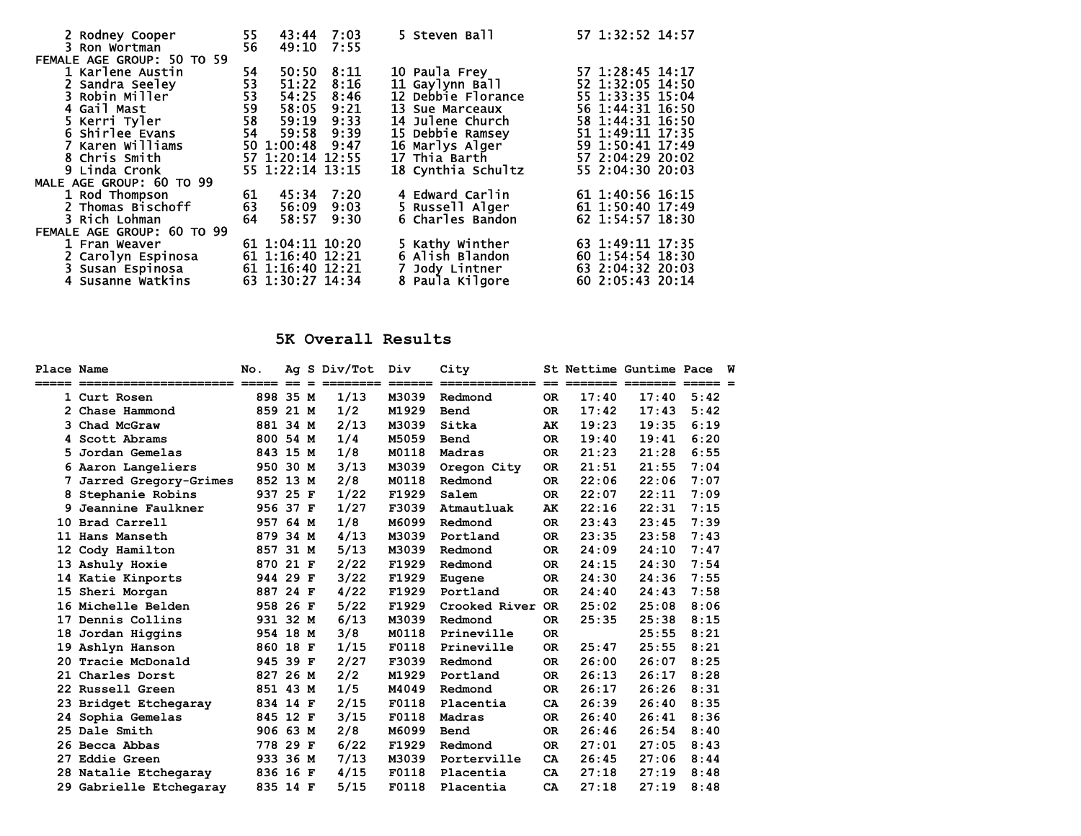| 2 Rodney Cooper<br>3 Ron Wortman | 55<br>56       | 43:44 7:03<br>49:10 7:55 |      | 5 Steven Ball      | 57 1:32:52 14:57 |
|----------------------------------|----------------|--------------------------|------|--------------------|------------------|
| FEMALE AGE GROUP: 50 TO 59       |                |                          |      |                    |                  |
| 1 Karlene Austin                 | 54             | 50:50                    | 8:11 | 10 Paula Frey      | 57 1:28:45 14:17 |
| 2 Sandra Seeley                  | 53             | 51:22                    | 8:16 | 11 Gaylynn Ball    | 52 1:32:05 14:50 |
| 3 Robin Miller                   |                | 54:25                    | 8:46 | 12 Debbie Florance | 55 1:33:35 15:04 |
| 4 Gail Mast                      | 53<br>59<br>58 | 58:05                    | 9:21 | 13 Sue Marceaux    | 56 1:44:31 16:50 |
| 5 Kerri Tyler                    |                | 59:19                    | 9:33 | 14 Julene Church   | 58 1:44:31 16:50 |
| 6 Shirlee Evans                  | 54             | 59:58                    | 9:39 | 15 Debbie Ramsey   | 51 1:49:11 17:35 |
| 7 Karen Williams                 |                | 50 1:00:48 9:47          |      | 16 Marlys Alger    | 59 1:50:41 17:49 |
| 8 Chris Smith                    |                | 57 1:20:14 12:55         |      | 17 Thia Barth      | 57 2:04:29 20:02 |
| 9 Linda Cronk                    |                | 55 1:22:14 13:15         |      | 18 Cynthia Schultz | 55 2:04:30 20:03 |
| MALE AGE GROUP: 60 TO 99         |                |                          |      |                    |                  |
| 1 Rod Thompson                   | 61             | 45:34 7:20               |      | 4 Edward Carlin    | 61 1:40:56 16:15 |
| 2 Thomas Bischoff                | 63             | 56:09                    | 9:03 | 5 Russell Alger    | 61 1:50:40 17:49 |
| 3 Rich Lohman                    | 64             | 58:57                    | 9:30 | 6 Charles Bandon   | 62 1:54:57 18:30 |
| FEMALE AGE GROUP: 60 TO 99       |                |                          |      |                    |                  |
| 1 Fran Weaver                    |                | 61 1:04:11 10:20         |      | 5 Kathy Winther    | 63 1:49:11 17:35 |
| 2 Carolyn Espinosa               |                | 61 1:16:40 12:21         |      | 6 Alish Blandon    | 60 1:54:54 18:30 |
| 3 Susan Espinosa                 |                | 61 1:16:40 12:21         |      | Jody Lintner       | 63 2:04:32 20:03 |
| 4 Susanne Watkins                |                | 63 1:30:27 14:34         |      | 8 Paula Kilgore    | 60 2:05:43 20:14 |

## **5K Overall Results**

| Place Name |                         | No.                                                |      |     | Ag S Div/Tot | Div    | City                                                                                                                                                                                                                                                                                                                                                                                                                                |      |                         | St Nettime Guntime Pace |                     | w |
|------------|-------------------------|----------------------------------------------------|------|-----|--------------|--------|-------------------------------------------------------------------------------------------------------------------------------------------------------------------------------------------------------------------------------------------------------------------------------------------------------------------------------------------------------------------------------------------------------------------------------------|------|-------------------------|-------------------------|---------------------|---|
| =====      | ======================  | $\qquad \qquad \equiv \equiv \equiv \equiv \equiv$ | $=$  | $=$ |              | ====== | $\begin{array}{cccccccccc} \texttt{m} & \texttt{m} & \texttt{m} & \texttt{m} & \texttt{m} & \texttt{m} & \texttt{m} & \texttt{m} & \texttt{m} & \texttt{m} & \texttt{m} & \texttt{m} & \texttt{m} & \texttt{m} & \texttt{m} & \texttt{m} & \texttt{m} & \texttt{m} & \texttt{m} & \texttt{m} & \texttt{m} & \texttt{m} & \texttt{m} & \texttt{m} & \texttt{m} & \texttt{m} & \texttt{m} & \texttt{m} & \texttt{m} & \texttt{m} & \$ | $==$ | $=$ $=$ $=$ $=$ $=$ $=$ | ________                | $=$ $=$ $=$ $=$ $=$ |   |
|            | 1 Curt Rosen            | 898 35 M                                           |      |     | 1/13         | M3039  | Redmond                                                                                                                                                                                                                                                                                                                                                                                                                             | OR.  | 17:40                   | 17:40                   | 5:42                |   |
|            | 2 Chase Hammond         | 859 21 M                                           |      |     | 1/2          | M1929  | Bend                                                                                                                                                                                                                                                                                                                                                                                                                                | OR.  | 17:42                   | 17:43                   | 5:42                |   |
| 3          | Chad McGraw             | 881 34 M                                           |      |     | 2/13         | M3039  | Sitka                                                                                                                                                                                                                                                                                                                                                                                                                               | AK   | 19:23                   | 19:35                   | 6:19                |   |
|            | 4 Scott Abrams          | 800 54 M                                           |      |     | 1/4          | M5059  | Bend                                                                                                                                                                                                                                                                                                                                                                                                                                | OR.  | 19:40                   | 19:41                   | 6:20                |   |
|            | Jordan Gemelas          | 843 15 M                                           |      |     | 1/8          | M0118  | Madras                                                                                                                                                                                                                                                                                                                                                                                                                              | OR.  | 21:23                   | 21:28                   | 6:55                |   |
|            | 6 Aaron Langeliers      | 950 30 M                                           |      |     | 3/13         | M3039  | Oregon City                                                                                                                                                                                                                                                                                                                                                                                                                         | OR.  | 21:51                   | 21:55                   | 7:04                |   |
|            | Jarred Gregory-Grimes   | 852 13 M                                           |      |     | 2/8          | M0118  | Redmond                                                                                                                                                                                                                                                                                                                                                                                                                             | OR.  | 22:06                   | 22:06                   | 7:07                |   |
| 8          | Stephanie Robins        | 937 25 F                                           |      |     | 1/22         | F1929  | Salem                                                                                                                                                                                                                                                                                                                                                                                                                               | 0R   | 22:07                   | 22:11                   | 7:09                |   |
|            | 9 Jeannine Faulkner     | 956 37 F                                           |      |     | 1/27         | F3039  | Atmautluak                                                                                                                                                                                                                                                                                                                                                                                                                          | AK   | 22:16                   | 22:31                   | 7:15                |   |
|            | 10 Brad Carrell         | 957 64 M                                           |      |     | 1/8          | M6099  | Redmond                                                                                                                                                                                                                                                                                                                                                                                                                             | OR.  | 23:43                   | 23:45                   | 7:39                |   |
|            | 11 Hans Manseth         | 879 34 M                                           |      |     | 4/13         | M3039  | Portland                                                                                                                                                                                                                                                                                                                                                                                                                            | 0R   | 23:35                   | 23:58                   | 7:43                |   |
|            | 12 Cody Hamilton        | 857 31 M                                           |      |     | 5/13         | M3039  | Redmond                                                                                                                                                                                                                                                                                                                                                                                                                             | OR.  | 24:09                   | 24:10                   | 7:47                |   |
|            | 13 Ashuly Hoxie         | 870                                                | 21 F |     | 2/22         | F1929  | Redmond                                                                                                                                                                                                                                                                                                                                                                                                                             | OR.  | 24:15                   | 24:30                   | 7:54                |   |
|            | 14 Katie Kinports       | 944 29 F                                           |      |     | 3/22         | F1929  | Eugene                                                                                                                                                                                                                                                                                                                                                                                                                              | OR.  | 24:30                   | 24:36                   | 7:55                |   |
|            | 15 Sheri Morgan         | 887 24 F                                           |      |     | 4/22         | F1929  | Portland                                                                                                                                                                                                                                                                                                                                                                                                                            | 0R   | 24:40                   | 24:43                   | 7:58                |   |
|            | 16 Michelle Belden      | 958 26 F                                           |      |     | 5/22         | F1929  | Crooked River                                                                                                                                                                                                                                                                                                                                                                                                                       | OR.  | 25:02                   | 25:08                   | 8:06                |   |
| 17         | Dennis Collins          | 931 32 M                                           |      |     | 6/13         | M3039  | Redmond                                                                                                                                                                                                                                                                                                                                                                                                                             | 0R   | 25:35                   | 25:38                   | 8:15                |   |
| 18         | Jordan Higgins          | 954 18 M                                           |      |     | 3/8          | M0118  | Prineville                                                                                                                                                                                                                                                                                                                                                                                                                          | 0R   |                         | 25:55                   | 8:21                |   |
| 19         | Ashlyn Hanson           | 860 18 F                                           |      |     | 1/15         | F0118  | Prineville                                                                                                                                                                                                                                                                                                                                                                                                                          | OR.  | 25:47                   | 25:55                   | 8:21                |   |
| 20         | Tracie McDonald         | 945 39 F                                           |      |     | 2/27         | F3039  | Redmond                                                                                                                                                                                                                                                                                                                                                                                                                             | 0R   | 26:00                   | 26:07                   | 8:25                |   |
|            | 21 Charles Dorst        | 827 26 M                                           |      |     | 2/2          | M1929  | Portland                                                                                                                                                                                                                                                                                                                                                                                                                            | OR.  | 26:13                   | 26:17                   | 8:28                |   |
|            | 22 Russell Green        | 851 43 M                                           |      |     | 1/5          | M4049  | Redmond                                                                                                                                                                                                                                                                                                                                                                                                                             | 0R   | 26:17                   | 26:26                   | 8:31                |   |
|            | 23 Bridget Etchegaray   | 834 14 F                                           |      |     | 2/15         | F0118  | Placentia                                                                                                                                                                                                                                                                                                                                                                                                                           | CA   | 26:39                   | 26:40                   | 8:35                |   |
| 24         | Sophia Gemelas          | 845 12 F                                           |      |     | 3/15         | F0118  | Madras                                                                                                                                                                                                                                                                                                                                                                                                                              | OR.  | 26:40                   | 26:41                   | 8:36                |   |
|            | 25 Dale Smith           | 906 63 M                                           |      |     | 2/8          | M6099  | Bend                                                                                                                                                                                                                                                                                                                                                                                                                                | OR.  | 26:46                   | 26:54                   | 8:40                |   |
| 26         | Becca Abbas             | 778 29 F                                           |      |     | 6/22         | F1929  | Redmond                                                                                                                                                                                                                                                                                                                                                                                                                             | OR.  | 27:01                   | 27:05                   | 8:43                |   |
| 27         | <b>Eddie Green</b>      | 933 36 M                                           |      |     | 7/13         | M3039  | Porterville                                                                                                                                                                                                                                                                                                                                                                                                                         | CA.  | 26:45                   | 27:06                   | 8:44                |   |
|            | 28 Natalie Etchegaray   | 836 16 F                                           |      |     | 4/15         | F0118  | Placentia                                                                                                                                                                                                                                                                                                                                                                                                                           | CA.  | 27:18                   | 27:19                   | 8:48                |   |
|            | 29 Gabrielle Etchegaray | 835 14 F                                           |      |     | 5/15         | F0118  | Placentia                                                                                                                                                                                                                                                                                                                                                                                                                           | CA   | 27:18                   | 27:19                   | 8:48                |   |
|            |                         |                                                    |      |     |              |        |                                                                                                                                                                                                                                                                                                                                                                                                                                     |      |                         |                         |                     |   |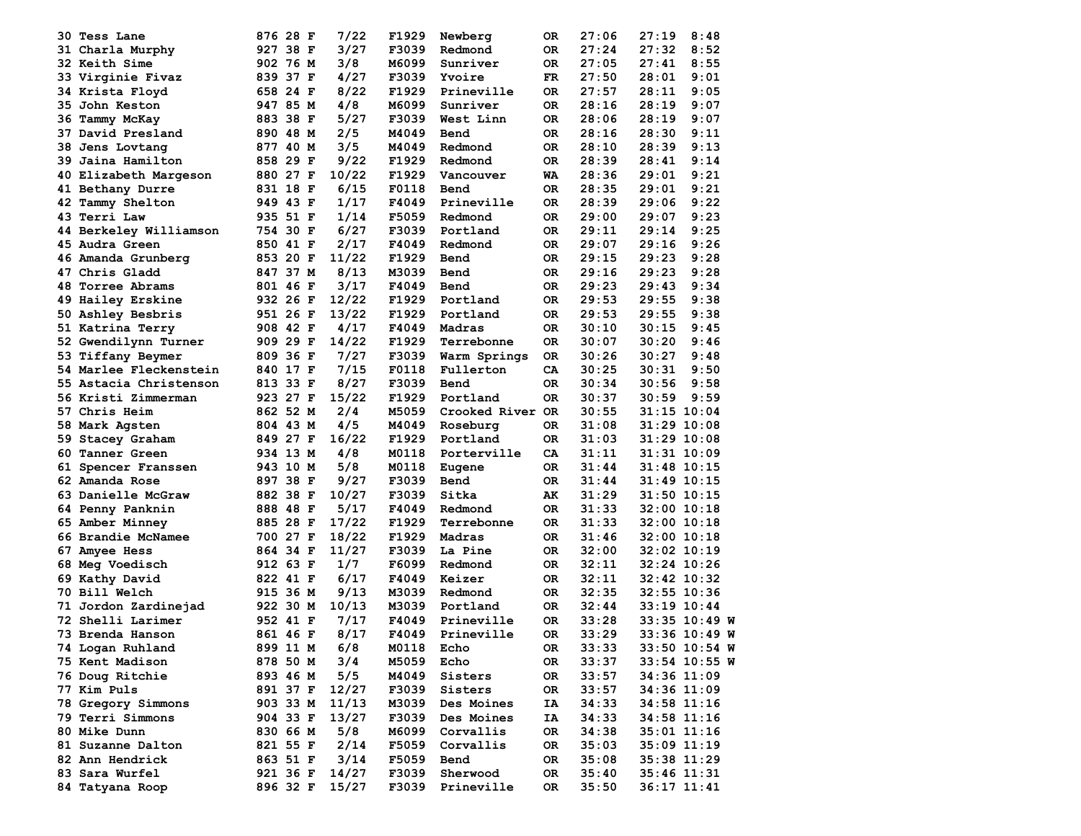|     | 30 Tess Lane           | 876 28 F | 7/22  | F1929 | Newberg          | 0R. | 27:06 | 27:19           | 8:48          |
|-----|------------------------|----------|-------|-------|------------------|-----|-------|-----------------|---------------|
|     | 31 Charla Murphy       | 927 38 F | 3/27  | F3039 | Redmond          | 0R. | 27:24 | 27:32           | 8:52          |
|     | 32 Keith Sime          | 902 76 M | 3/8   | M6099 | Sunriver         | 0R. | 27:05 | 27:41           | 8:55          |
|     | 33 Virginie Fivaz      | 839 37 F | 4/27  | F3039 | Yvoire           | FR. | 27:50 | 28:01           | 9:01          |
|     | 34 Krista Floyd        | 658 24 F | 8/22  | F1929 | Prineville       | 0R. | 27:57 | 28:11           | 9:05          |
|     | 35 John Keston         | 947 85 M | 4/8   | M6099 | Sunriver         | 0R. | 28:16 | 28:19           | 9:07          |
|     | 36 Tammy McKay         | 883 38 F | 5/27  | F3039 | West Linn        | 0R. | 28:06 | 28:19           | 9:07          |
| 37  | David Presland         | 890 48 M | 2/5   | M4049 | Bend             | 0R  | 28:16 | 28:30           | 9:11          |
| 38. | Jens Lovtang           | 877 40 M | 3/5   | M4049 | Redmond          | OR  | 28:10 | 28:39           | 9:13          |
|     | 39 Jaina Hamilton      | 858 29 F | 9/22  | F1929 | Redmond          | 0R. | 28:39 | 28:41           | 9:14          |
|     | 40 Elizabeth Margeson  | 880 27 F | 10/22 | F1929 | Vancouver        | WA  | 28:36 | 29:01           | 9:21          |
|     | 41 Bethany Durre       | 831 18 F | 6/15  | F0118 | Bend             | 0R. | 28:35 | 29:01           | 9:21          |
|     | 42 Tammy Shelton       | 949 43 F | 1/17  | F4049 | Prineville       | OR. | 28:39 | 29:06           | 9:22          |
|     | 43 Terri Law           | 935 51 F | 1/14  | F5059 | Redmond          | OR  | 29:00 | 29:07           | 9:23          |
|     | 44 Berkeley Williamson | 754 30 F | 6/27  | F3039 | Portland         | OR. | 29:11 | 29:14           | 9:25          |
|     | 45 Audra Green         | 850 41 F | 2/17  | F4049 | Redmond          | 0R. | 29:07 | 29:16           | 9:26          |
|     | 46 Amanda Grunberg     | 853 20 F | 11/22 | F1929 | Bend             | 0R. | 29:15 | 29:23           | 9:28          |
|     | 47 Chris Gladd         | 847 37 M | 8/13  | M3039 | Bend             | OR. | 29:16 | 29:23           | 9:28          |
| 48. | Torree Abrams          | 801 46 F | 3/17  | F4049 | Bend             | 0R. | 29:23 | 29:43           | 9:34          |
|     | 49 Hailey Erskine      | 932 26 F | 12/22 | F1929 | Portland         | 0R. | 29:53 | 29:55           | 9:38          |
|     |                        |          | 13/22 | F1929 | Portland         | OR  | 29:53 | 29:55           | 9:38          |
|     | 50 Ashley Besbris      | 951 26 F | 4/17  |       | Madras           |     |       |                 |               |
|     | 51 Katrina Terry       | 908 42 F |       | F4049 |                  | OR  | 30:10 | 30:15           | 9:45          |
|     | 52 Gwendilynn Turner   | 909 29 F | 14/22 | F1929 | Terrebonne       | 0R  | 30:07 | 30:20           | 9:46          |
|     | 53 Tiffany Beymer      | 809 36 F | 7/27  | F3039 | Warm Springs     | OR  | 30:26 | 30:27           | 9:48          |
|     | 54 Marlee Fleckenstein | 840 17 F | 7/15  | F0118 | Fullerton        | CA  | 30:25 | 30:31           | 9:50          |
|     | 55 Astacia Christenson | 813 33 F | 8/27  | F3039 | Bend             | 0R. | 30:34 | 30:56           | 9:58          |
|     | 56 Kristi Zimmerman    | 923 27 F | 15/22 | F1929 | Portland         | OR. | 30:37 | 30:59           | 9:59          |
|     | 57 Chris Heim          | 862 52 M | 2/4   | M5059 | Crooked River OR |     | 30:55 | $31:15$ $10:04$ |               |
|     | 58 Mark Agsten         | 804 43 M | 4/5   | M4049 | Roseburg         | 0R. | 31:08 | 31:29 10:08     |               |
|     | 59 Stacey Graham       | 849 27 F | 16/22 | F1929 | Portland         | 0R. | 31:03 | $31:29$ $10:08$ |               |
|     | 60 Tanner Green        | 934 13 M | 4/8   | M0118 | Porterville      | CA  | 31:11 | $31:31$ $10:09$ |               |
|     | 61 Spencer Franssen    | 943 10 M | 5/8   | M0118 | Eugene           | 0R. | 31:44 | $31:48$ 10:15   |               |
|     | 62 Amanda Rose         | 897 38 F | 9/27  | F3039 | Bend             | 0R. | 31:44 | 31:49 10:15     |               |
|     | 63 Danielle McGraw     | 882 38 F | 10/27 | F3039 | Sitka            | AK  | 31:29 | 31:50 10:15     |               |
|     | 64 Penny Panknin       | 888 48 F | 5/17  | F4049 | Redmond          | OR  | 31:33 | $32:00$ 10:18   |               |
|     | 65 Amber Minney        | 885 28 F | 17/22 | F1929 | Terrebonne       | 0R. | 31:33 | $32:00$ 10:18   |               |
|     | 66 Brandie McNamee     | 700 27 F | 18/22 | F1929 | Madras           | 0R  | 31:46 | $32:00$ 10:18   |               |
|     | <b>67 Amyee Hess</b>   | 864 34 F | 11/27 | F3039 | La Pine          | 0R. | 32:00 | 32:02 10:19     |               |
|     | <b>68 Meg Voedisch</b> | 912 63 F | 1/7   | F6099 | Redmond          | 0R. | 32:11 | 32:24 10:26     |               |
|     | 69 Kathy David         | 822 41 F | 6/17  | F4049 | Keizer           | OR. | 32:11 | 32:42 10:32     |               |
|     | <b>70 Bill Welch</b>   | 915 36 M | 9/13  | M3039 | Redmond          | OR  | 32:35 | 32:55 10:36     |               |
|     | 71 Jordon Zardinejad   | 922 30 M | 10/13 | M3039 | Portland         | OR  | 32:44 | $33:19$ $10:44$ |               |
| 72. | Shelli Larimer         | 952 41 F | 7/17  | F4049 | Prineville       | OR  | 33:28 |                 | 33:35 10:49 W |
|     | 73 Brenda Hanson       | 861 46 F | 8/17  | F4049 | Prineville       | 0R  | 33:29 |                 | 33:36 10:49 W |
|     | 74 Logan Ruhland       | 899 11 M | 6/8   | M0118 | Echo             | 0R  | 33:33 |                 | 33:50 10:54 W |
|     | 75 Kent Madison        | 878 50 M | 3/4   | M5059 | Echo             | OR  | 33:37 |                 | 33:54 10:55 W |
|     | 76 Doug Ritchie        | 893 46 M | 5/5   | M4049 | Sisters          | OR  | 33:57 | 34:36 11:09     |               |
|     | 77 Kim Puls            | 891 37 F | 12/27 | F3039 | Sisters          | OR  | 33:57 | 34:36 11:09     |               |
|     | 78 Gregory Simmons     | 903 33 M | 11/13 | M3039 | Des Moines       | IA  | 34:33 | 34:58 11:16     |               |
|     | 79 Terri Simmons       | 904 33 F | 13/27 | F3039 | Des Moines       | IA  | 34:33 | 34:58 11:16     |               |
|     | 80 Mike Dunn           | 830 66 M | 5/8   | M6099 | Corvallis        | OR  | 34:38 | 35:01 11:16     |               |
|     | 81 Suzanne Dalton      | 821 55 F | 2/14  | F5059 | Corvallis        | OR  | 35:03 | 35:09 11:19     |               |
|     | 82 Ann Hendrick        | 863 51 F | 3/14  | F5059 | Bend             | OR  | 35:08 | 35:38 11:29     |               |
|     | 83 Sara Wurfel         | 921 36 F | 14/27 | F3039 | Sherwood         | OR  | 35:40 | 35:46 11:31     |               |
|     | 84 Tatyana Roop        | 896 32 F | 15/27 | F3039 | Prineville       | OR  | 35:50 | $36:17$ $11:41$ |               |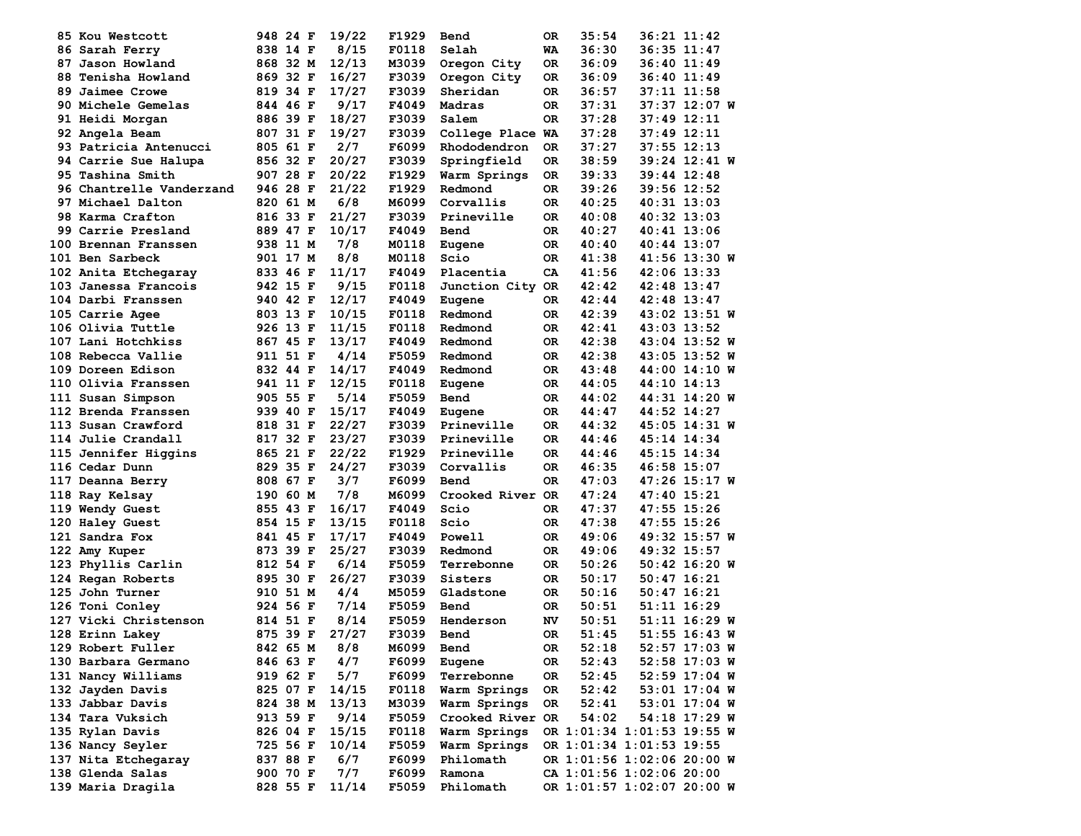| 85 Kou Westcott          | 948 24 F | 19/22 | F1929 | Bend             | OR. | 35:54                      | 36:21 11:42   |  |
|--------------------------|----------|-------|-------|------------------|-----|----------------------------|---------------|--|
| 86 Sarah Ferry           | 838 14 F | 8/15  | F0118 | Selah            | WA  | 36:30                      | 36:35 11:47   |  |
| 87 Jason Howland         | 868 32 M | 12/13 | M3039 | Oregon City      | ОR  | 36:09                      | 36:40 11:49   |  |
| 88 Tenisha Howland       | 869 32 F | 16/27 | F3039 | Oregon City      | ОR  | 36:09                      | 36:40 11:49   |  |
| 89 Jaimee Crowe          | 819 34 F | 17/27 | F3039 | Sheridan         | ОR  | 36:57                      | 37:11 11:58   |  |
| 90 Michele Gemelas       | 844 46 F | 9/17  | F4049 | Madras           | 0R  | 37:31                      | 37:37 12:07 W |  |
| 91 Heidi Morgan          | 886 39 F | 18/27 | F3039 | Salem            | 0R  | 37:28                      | 37:49 12:11   |  |
| 92 Angela Beam           | 807 31 F | 19/27 | F3039 | College Place WA |     | 37:28                      | 37:49 12:11   |  |
| 93 Patricia Antenucci    | 805 61 F | 2/7   | F6099 | Rhododendron     | 0R  | 37:27                      | 37:55 12:13   |  |
| 94 Carrie Sue Halupa     | 856 32 F | 20/27 | F3039 | Springfield      | ОR  | 38:59                      | 39:24 12:41 W |  |
| 95 Tashina Smith         | 907 28 F | 20/22 | F1929 | Warm Springs     | OR. | 39:33                      | 39:44 12:48   |  |
| 96 Chantrelle Vanderzand | 946 28 F | 21/22 | F1929 | Redmond          | 0R  | 39:26                      | 39:56 12:52   |  |
| 97 Michael Dalton        | 820 61 M | 6/8   | M6099 | Corvallis        | ОR  | 40:25                      | 40:31 13:03   |  |
| 98 Karma Crafton         | 816 33 F | 21/27 | F3039 | Prineville       | ОR  | 40:08                      | 40:32 13:03   |  |
| 99 Carrie Presland       | 889 47 F | 10/17 | F4049 | Bend             | ОR  | 40:27                      | 40:41 13:06   |  |
| 100 Brennan Franssen     | 938 11 M | 7/8   | M0118 | Eugene           | OR. | 40:40                      | 40:44 13:07   |  |
| 101 Ben Sarbeck          | 901 17 M | 8/8   | M0118 | Scio             | OR  | 41:38                      | 41:56 13:30 W |  |
| 102 Anita Etchegaray     | 833 46 F | 11/17 | F4049 | Placentia        | CA  | 41:56                      | 42:06 13:33   |  |
| 103 Janessa Francois     | 942 15 F | 9/15  | F0118 | Junction City OR |     | 42:42                      | 42:48 13:47   |  |
| 104 Darbi Franssen       | 940 42 F | 12/17 | F4049 | Eugene           | OR. | 42:44                      | 42:48 13:47   |  |
| 105 Carrie Agee          | 803 13 F | 10/15 | F0118 | Redmond          | 0R  | 42:39                      | 43:02 13:51 W |  |
| 106 Olivia Tuttle        | 926 13 F | 11/15 | F0118 | Redmond          | ОR  | 42:41                      | 43:03 13:52   |  |
| 107 Lani Hotchkiss       | 867 45 F | 13/17 | F4049 | Redmond          | ОR  | 42:38                      | 43:04 13:52 W |  |
| 108 Rebecca Vallie       | 911 51 F | 4/14  | F5059 | Redmond          | ОR  | 42:38                      | 43:05 13:52 W |  |
| 109 Doreen Edison        | 832 44 F | 14/17 | F4049 | Redmond          | ОR  | 43:48                      | 44:00 14:10 W |  |
| 110 Olivia Franssen      | 941 11 F | 12/15 | F0118 | Eugene           | ОR  | 44:05                      | 44:10 14:13   |  |
| 111 Susan Simpson        | 905 55 F | 5/14  | F5059 | Bend             | OR  | 44:02                      | 44:31 14:20 W |  |
| 112 Brenda Franssen      | 939 40 F | 15/17 | F4049 | Eugene           | OR  | 44:47                      | 44:52 14:27   |  |
| 113 Susan Crawford       | 818 31 F | 22/27 | F3039 | Prineville       | 0R  | 44:32                      | 45:05 14:31 W |  |
| 114 Julie Crandall       | 817 32 F | 23/27 | F3039 | Prineville       | ОR  | 44:46                      | 45:14 14:34   |  |
| 115 Jennifer Higgins     | 865 21 F | 22/22 | F1929 | Prineville       | ОR  | 44:46                      | 45:15 14:34   |  |
| 116 Cedar Dunn           | 829 35 F | 24/27 | F3039 | Corvallis        | 0R  | 46:35                      | 46:58 15:07   |  |
| 117 Deanna Berry         | 808 67 F | 3/7   | F6099 | Bend             | 0R  | 47:03                      | 47:26 15:17 W |  |
| 118 Ray Kelsay           | 190 60 M | 7/8   | M6099 | Crooked River OR |     | 47:24                      | 47:40 15:21   |  |
| 119 Wendy Guest          | 855 43 F | 16/17 | F4049 | Scio             | ОR  | 47:37                      | 47:55 15:26   |  |
| 120 Haley Guest          | 854 15 F | 13/15 | F0118 | Scio             | 0R  | 47:38                      | 47:55 15:26   |  |
| 121 Sandra Fox           | 841 45 F | 17/17 | F4049 | Powell           | OR  | 49:06                      | 49:32 15:57 W |  |
| 122 Amy Kuper            | 873 39 F | 25/27 | F3039 | Redmond          | ОR  | 49:06                      | 49:32 15:57   |  |
| 123 Phyllis Carlin       | 812 54 F | 6/14  | F5059 | Terrebonne       | ОR  | 50:26                      | 50:42 16:20 W |  |
| 124 Regan Roberts        | 895 30 F | 26/27 | F3039 | Sisters          | ОR  | 50:17                      | 50:47 16:21   |  |
| 125 John Turner          | 910 51 M | 4/4   | M5059 | Gladstone        | ОR  | 50:16                      | 50:47 16:21   |  |
| 126 Toni Conley          | 924 56 F | 7/14  | F5059 | Bend             | ОR  | 50:51                      | 51:11 16:29   |  |
| 127 Vicki Christenson    | 814 51 F | 8/14  | F5059 | Henderson        | NV  | 50:51                      | 51:11 16:29 W |  |
| 128 Erinn Lakey          | 875 39 F | 27/27 | F3039 | Bend             | 0R  | 51:45                      | 51:55 16:43 W |  |
| 129 Robert Fuller        | 842 65 M | 8/8   | M6099 | Bend             | 0R  | 52:18                      | 52:57 17:03 W |  |
| 130 Barbara Germano      | 846 63 F | 4/7   | F6099 | Eugene           | 0R  | 52:43                      | 52:58 17:03 W |  |
| 131 Nancy Williams       | 919 62 F | 5/7   | F6099 | Terrebonne       | OR  | 52:45                      | 52:59 17:04 W |  |
| 132 Jayden Davis         | 825 07 F | 14/15 | F0118 | Warm Springs     | 0R  | 52:42                      | 53:01 17:04 W |  |
| 133 Jabbar Davis         | 824 38 M | 13/13 | M3039 | Warm Springs     | 0R  | 52:41                      | 53:01 17:04 W |  |
| 134 Tara Vuksich         | 913 59 F | 9/14  | F5059 | Crooked River OR |     | 54:02                      | 54:18 17:29 W |  |
| 135 Rylan Davis          | 826 04 F | 15/15 | F0118 | Warm Springs     |     | OR 1:01:34 1:01:53 19:55 W |               |  |
| 136 Nancy Seyler         | 725 56 F | 10/14 | F5059 | Warm Springs     |     | OR 1:01:34 1:01:53 19:55   |               |  |
| 137 Nita Etchegaray      | 837 88 F | 6/7   | F6099 | Philomath        |     | OR 1:01:56 1:02:06 20:00 W |               |  |
| 138 Glenda Salas         | 900 70 F | 7/7   | F6099 | Ramona           |     | CA 1:01:56 1:02:06 20:00   |               |  |
| 139 Maria Dragila        | 828 55 F | 11/14 | F5059 | Philomath        |     | OR 1:01:57 1:02:07 20:00 W |               |  |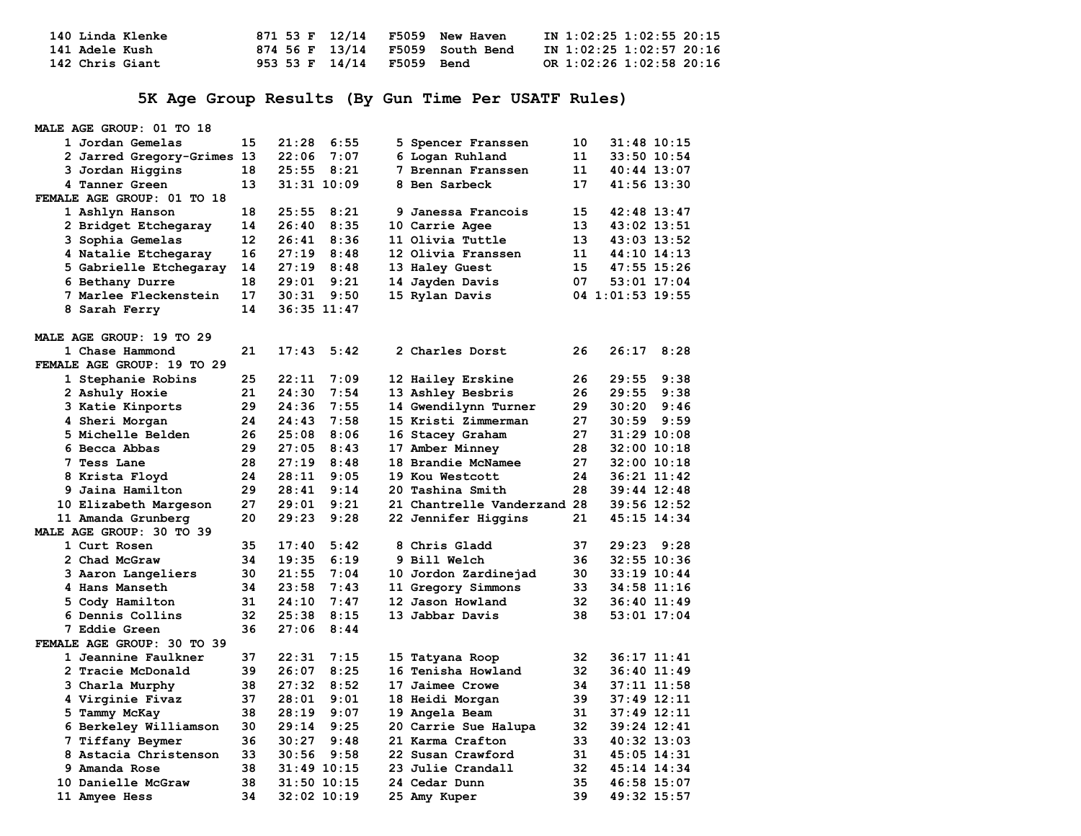| 140 Linda Klenke |                           | 871 53 F 12/14 F5059 New Haven  | IN 1:02:25 1:02:55 20:15 |
|------------------|---------------------------|---------------------------------|--------------------------|
| 141 Adele Kush   |                           | 874 56 F 13/14 F5059 South Bend | IN 1:02:25 1:02:57 20:16 |
| 142 Chris Giant  | 953 53 F 14/14 F5059 Bend |                                 | OR 1:02:26 1:02:58 20:16 |

## **5K Age Group Results (By Gun Time Per USATF Rules)**

| MALE AGE GROUP: 01 TO 18   |    |       |                 |                             |    |                  |
|----------------------------|----|-------|-----------------|-----------------------------|----|------------------|
| 1 Jordan Gemelas           | 15 | 21:28 | 6:55            | 5 Spencer Franssen          | 10 | 31:48 10:15      |
| 2 Jarred Gregory-Grimes 13 |    | 22:06 | 7:07            | 6 Logan Ruhland             | 11 | 33:50 10:54      |
| 3 Jordan Higgins           | 18 | 25:55 | 8:21            | 7 Brennan Franssen          | 11 | $40:44$ $13:07$  |
| 4 Tanner Green             | 13 |       | $31:31$ $10:09$ | 8 Ben Sarbeck               | 17 | 41:56 13:30      |
| FEMALE AGE GROUP: 01 TO 18 |    |       |                 |                             |    |                  |
| 1 Ashlyn Hanson            | 18 | 25:55 | 8:21            | 9 Janessa Francois          | 15 | 42:48 13:47      |
| 2 Bridget Etchegaray       | 14 | 26:40 | 8:35            | 10 Carrie Agee              | 13 | 43:02 13:51      |
| 3 Sophia Gemelas           | 12 | 26:41 | 8:36            | 11 Olivia Tuttle            | 13 | 43:03 13:52      |
| 4 Natalie Etchegaray       | 16 | 27:19 | 8:48            | 12 Olivia Franssen          | 11 | $44:10$ $14:13$  |
| 5 Gabrielle Etchegaray     | 14 | 27:19 | 8:48            | 13 Haley Guest              | 15 | 47:55 15:26      |
| 6 Bethany Durre            | 18 | 29:01 | 9:21            | 14 Jayden Davis             | 07 | 53:01 17:04      |
| 7 Marlee Fleckenstein      | 17 | 30:31 | 9:50            | 15 Rylan Davis              |    | 04 1:01:53 19:55 |
| 8 Sarah Ferry              | 14 |       | $36:35$ $11:47$ |                             |    |                  |
| MALE AGE GROUP: 19 TO 29   |    |       |                 |                             |    |                  |
| 1 Chase Hammond            | 21 | 17:43 | 5:42            | 2 Charles Dorst             | 26 | 26:17<br>8:28    |
| FEMALE AGE GROUP: 19 TO 29 |    |       |                 |                             |    |                  |
| 1 Stephanie Robins         | 25 | 22:11 | 7:09            | 12 Hailey Erskine           | 26 | 29:55<br>9:38    |
| 2 Ashuly Hoxie             | 21 | 24:30 | 7:54            | 13 Ashley Besbris           | 26 | 9:38<br>29:55    |
| 3 Katie Kinports           | 29 | 24:36 | 7:55            | 14 Gwendilynn Turner        | 29 | 9:46<br>30:20    |
| 4 Sheri Morgan             | 24 | 24:43 | 7:58            | 15 Kristi Zimmerman         | 27 | 30:59<br>9:59    |
| <b>5 Michelle Belden</b>   | 26 | 25:08 | 8:06            | 16 Stacey Graham            | 27 | $31:29$ 10:08    |
| 6 Becca Abbas              | 29 | 27:05 | 8:43            | 17 Amber Minney             | 28 | $32:00$ 10:18    |
| 7 Tess Lane                | 28 | 27:19 | 8:48            | 18 Brandie McNamee          | 27 | $32:00$ 10:18    |
| 8 Krista Floyd             | 24 | 28:11 | 9:05            | 19 Kou Westcott             | 24 | $36:21$ $11:42$  |
| 9 Jaina Hamilton           | 29 | 28:41 | 9:14            | 20 Tashina Smith            | 28 | $39:44$ 12:48    |
| 10 Elizabeth Margeson      | 27 | 29:01 | 9:21            | 21 Chantrelle Vanderzand 28 |    | 39:56 12:52      |
| 11 Amanda Grunberg         | 20 | 29:23 | 9:28            | 22 Jennifer Higgins         | 21 | $45:15$ $14:34$  |
| MALE AGE GROUP: 30 TO 39   |    |       |                 |                             |    |                  |
| 1 Curt Rosen               | 35 | 17:40 | 5:42            | 8 Chris Gladd               | 37 | 29:23<br>9:28    |
| 2 Chad McGraw              | 34 | 19:35 | 6:19            | 9 Bill Welch                | 36 | $32:55$ $10:36$  |
| 3 Aaron Langeliers         | 30 | 21:55 | 7:04            | 10 Jordon Zardinejad        | 30 | $33:19$ $10:44$  |
| 4 Hans Manseth             | 34 | 23:58 | 7:43            | 11 Gregory Simmons          | 33 | 34:58 11:16      |
| 5 Cody Hamilton            | 31 | 24:10 | 7:47            | 12 Jason Howland            | 32 | $36:40$ 11:49    |
| 6 Dennis Collins           | 32 | 25:38 | 8:15            | 13 Jabbar Davis             | 38 | $53:01$ $17:04$  |
| 7 Eddie Green              | 36 | 27:06 | 8:44            |                             |    |                  |
| FEMALE AGE GROUP: 30 TO 39 |    |       |                 |                             |    |                  |
| 1 Jeannine Faulkner        | 37 | 22:31 | 7:15            | 15 Tatyana Roop             | 32 | $36:17$ $11:41$  |
| 2 Tracie McDonald          | 39 | 26:07 | 8:25            | 16 Tenisha Howland          | 32 | $36:40$ 11:49    |
| 3 Charla Murphy            | 38 | 27:32 | 8:52            | 17 Jaimee Crowe             | 34 | $37:11$ $11:58$  |
| 4 Virginie Fivaz           | 37 | 28:01 | 9:01            | 18 Heidi Morgan             | 39 | 37:49 12:11      |
| 5 Tammy McKay              | 38 | 28:19 | 9:07            | 19 Angela Beam              | 31 | $37:49$ $12:11$  |
| 6 Berkeley Williamson      | 30 | 29:14 | 9:25            | 20 Carrie Sue Halupa        | 32 | 39:24 12:41      |
| 7 Tiffany Beymer           | 36 | 30:27 | 9:48            | 21 Karma Crafton            | 33 | $40:32$ $13:03$  |
| 8 Astacia Christenson      | 33 | 30:56 | 9:58            | 22 Susan Crawford           | 31 | 45:05 14:31      |
| 9 Amanda Rose              | 38 |       | $31:49$ $10:15$ | 23 Julie Crandall           | 32 | 45:14 14:34      |
| 10 Danielle McGraw         | 38 |       | $31:50$ $10:15$ | 24 Cedar Dunn               | 35 | 46:58 15:07      |
| <b>11 Amyee Hess</b>       | 34 |       | 32:02 10:19     | 25 Amy Kuper                | 39 | 49:32 15:57      |